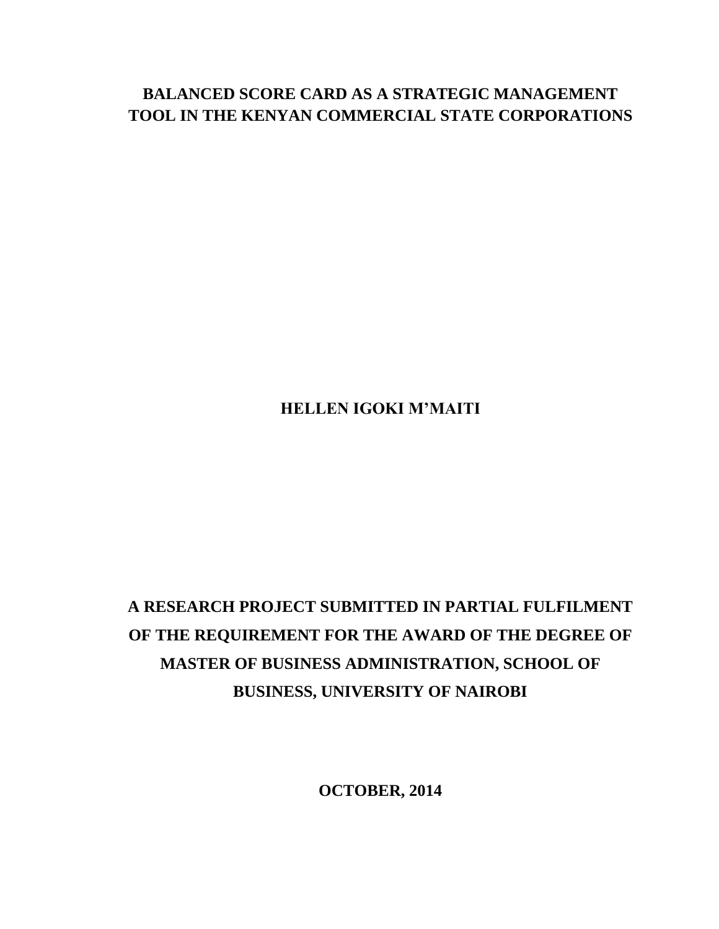# **BALANCED SCORE CARD AS A STRATEGIC MANAGEMENT TOOL IN THE KENYAN COMMERCIAL STATE CORPORATIONS**

# **HELLEN IGOKI M'MAITI**

# **A RESEARCH PROJECT SUBMITTED IN PARTIAL FULFILMENT OF THE REQUIREMENT FOR THE AWARD OF THE DEGREE OF MASTER OF BUSINESS ADMINISTRATION, SCHOOL OF BUSINESS, UNIVERSITY OF NAIROBI**

**OCTOBER, 2014**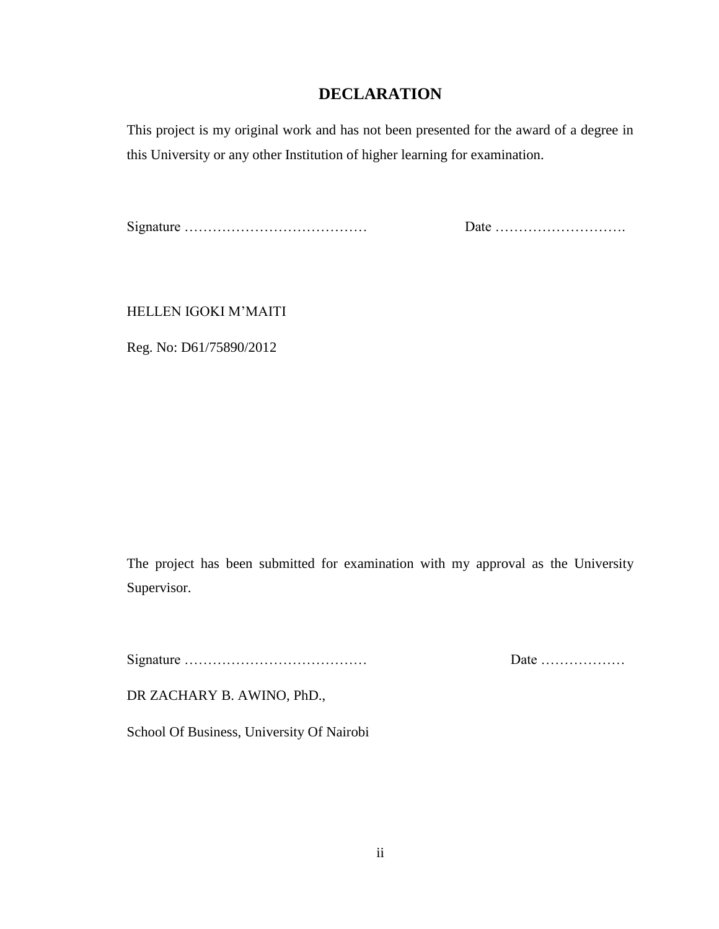# **DECLARATION**

<span id="page-1-0"></span>This project is my original work and has not been presented for the award of a degree in this University or any other Institution of higher learning for examination.

Signature ………………………………… Date ……………………….

HELLEN IGOKI M"MAITI

Reg. No: D61/75890/2012

The project has been submitted for examination with my approval as the University Supervisor.

Signature ………………………………… Date ………………

DR ZACHARY B. AWINO, PhD.,

School Of Business, University Of Nairobi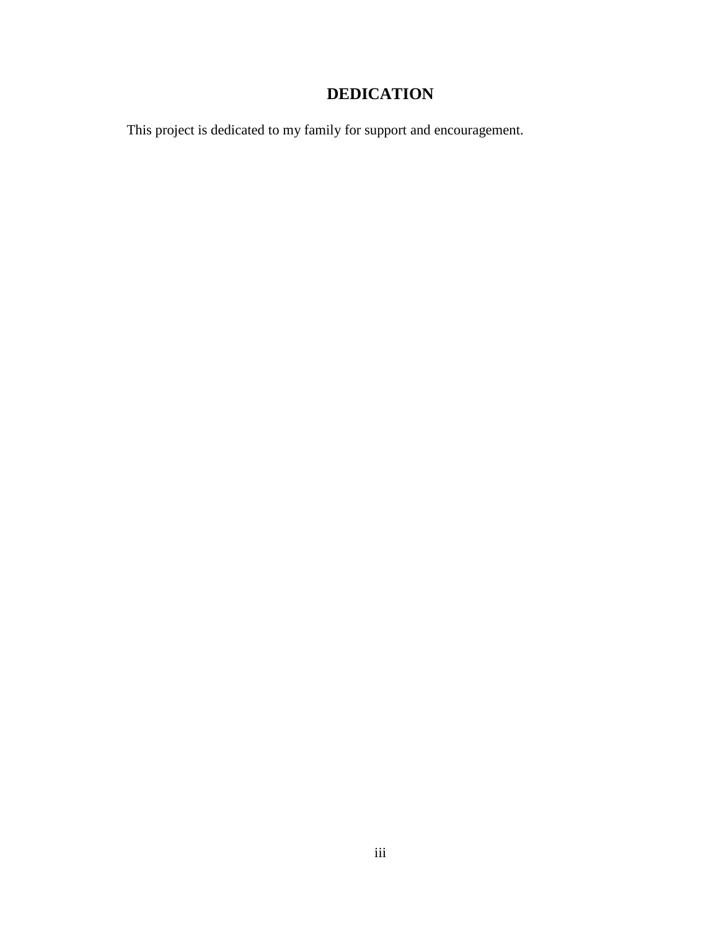# **DEDICATION**

<span id="page-2-0"></span>This project is dedicated to my family for support and encouragement.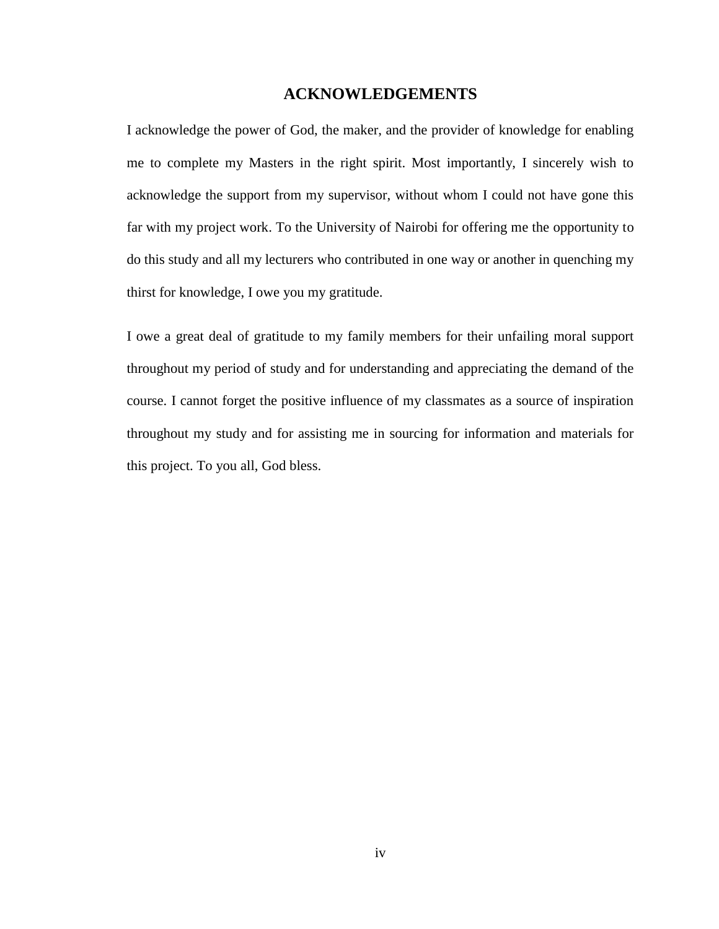# **ACKNOWLEDGEMENTS**

<span id="page-3-0"></span>I acknowledge the power of God, the maker, and the provider of knowledge for enabling me to complete my Masters in the right spirit. Most importantly, I sincerely wish to acknowledge the support from my supervisor, without whom I could not have gone this far with my project work. To the University of Nairobi for offering me the opportunity to do this study and all my lecturers who contributed in one way or another in quenching my thirst for knowledge, I owe you my gratitude.

I owe a great deal of gratitude to my family members for their unfailing moral support throughout my period of study and for understanding and appreciating the demand of the course. I cannot forget the positive influence of my classmates as a source of inspiration throughout my study and for assisting me in sourcing for information and materials for this project. To you all, God bless.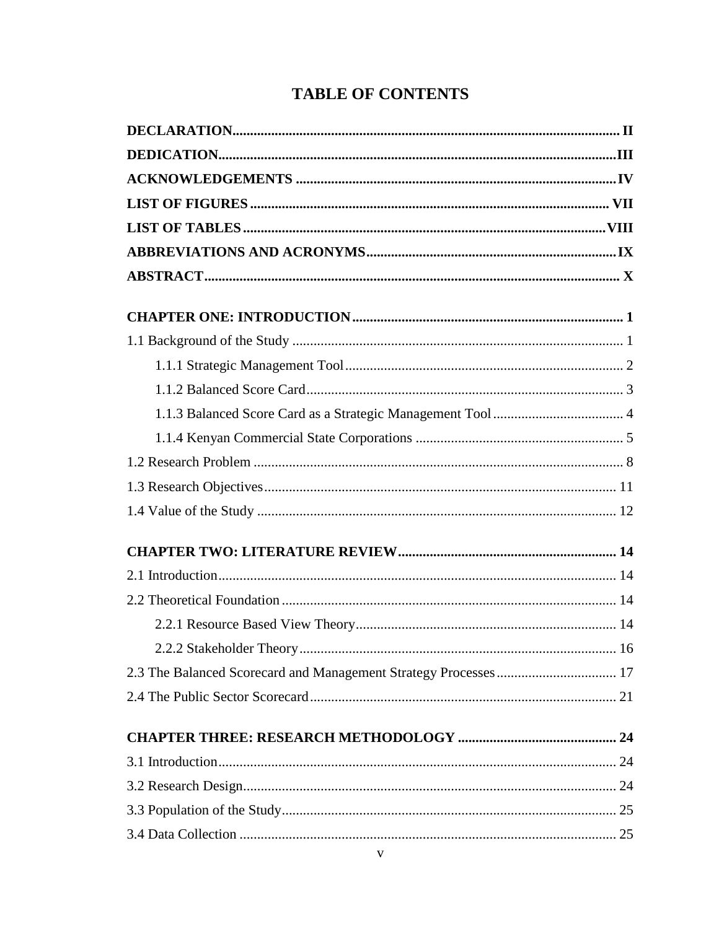# **TABLE OF CONTENTS**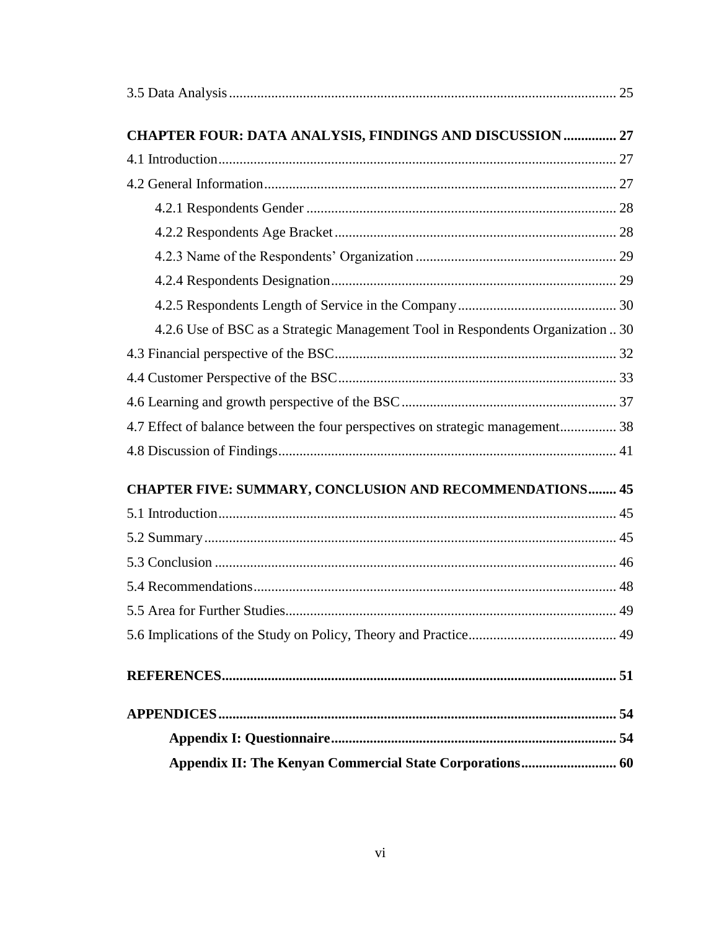| <b>CHAPTER FOUR: DATA ANALYSIS, FINDINGS AND DISCUSSION  27</b>                 |  |
|---------------------------------------------------------------------------------|--|
|                                                                                 |  |
|                                                                                 |  |
|                                                                                 |  |
|                                                                                 |  |
|                                                                                 |  |
|                                                                                 |  |
|                                                                                 |  |
| 4.2.6 Use of BSC as a Strategic Management Tool in Respondents Organization  30 |  |
|                                                                                 |  |
|                                                                                 |  |
|                                                                                 |  |
| 4.7 Effect of balance between the four perspectives on strategic management 38  |  |
|                                                                                 |  |
| CHAPTER FIVE: SUMMARY, CONCLUSION AND RECOMMENDATIONS 45                        |  |
|                                                                                 |  |
|                                                                                 |  |
|                                                                                 |  |
|                                                                                 |  |
|                                                                                 |  |
|                                                                                 |  |
|                                                                                 |  |
|                                                                                 |  |
|                                                                                 |  |
| Appendix II: The Kenyan Commercial State Corporations 60                        |  |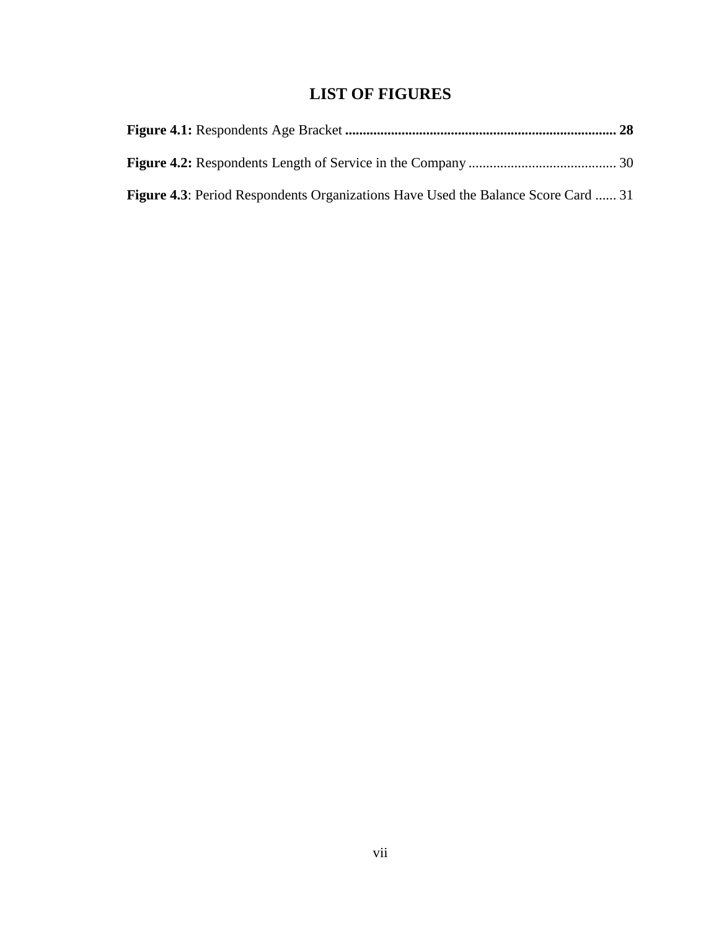# **LIST OF FIGURES**

<span id="page-6-0"></span>

| <b>Figure 4.3:</b> Period Respondents Organizations Have Used the Balance Score Card  31 |  |
|------------------------------------------------------------------------------------------|--|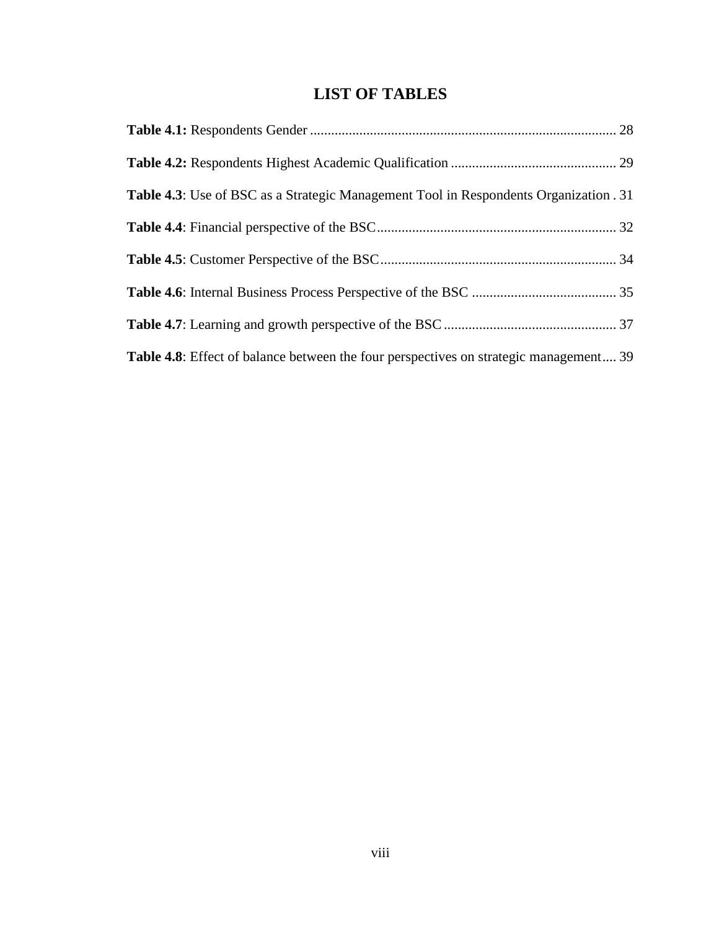# **LIST OF TABLES**

<span id="page-7-0"></span>

| <b>Table 4.3</b> : Use of BSC as a Strategic Management Tool in Respondents Organization . 31 |  |
|-----------------------------------------------------------------------------------------------|--|
|                                                                                               |  |
|                                                                                               |  |
|                                                                                               |  |
|                                                                                               |  |
| <b>Table 4.8:</b> Effect of balance between the four perspectives on strategic management 39  |  |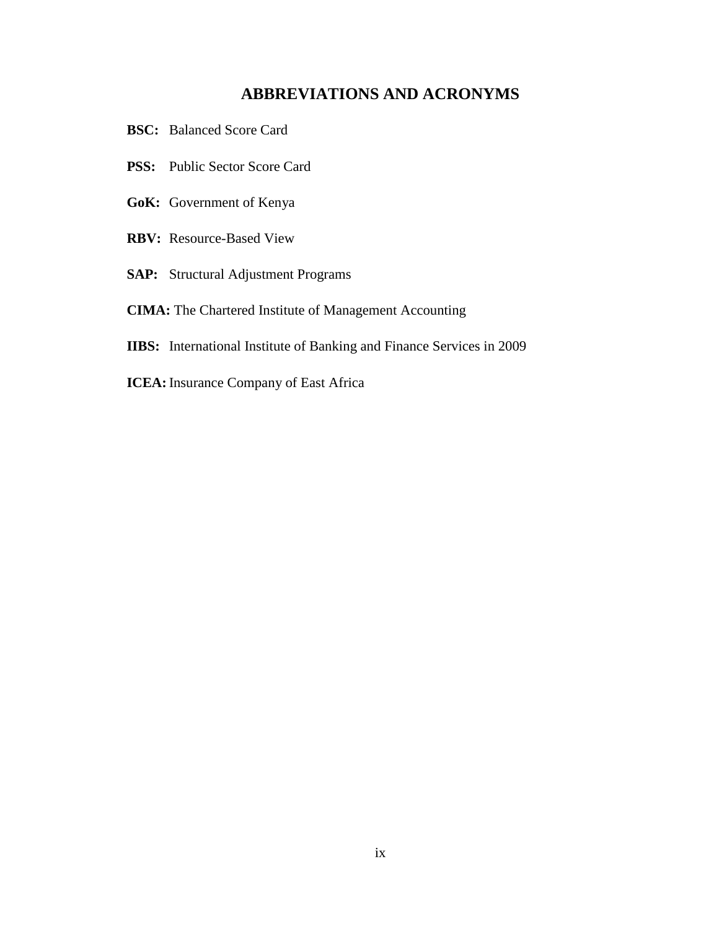# **ABBREVIATIONS AND ACRONYMS**

- <span id="page-8-0"></span>**BSC:** Balanced Score Card
- **PSS:** Public Sector Score Card
- **GoK:** Government of Kenya
- **RBV:** Resource-Based View
- **SAP:** Structural Adjustment Programs
- **CIMA:** The Chartered Institute of Management Accounting
- **IIBS:** International Institute of Banking and Finance Services in 2009
- **ICEA:** Insurance Company of East Africa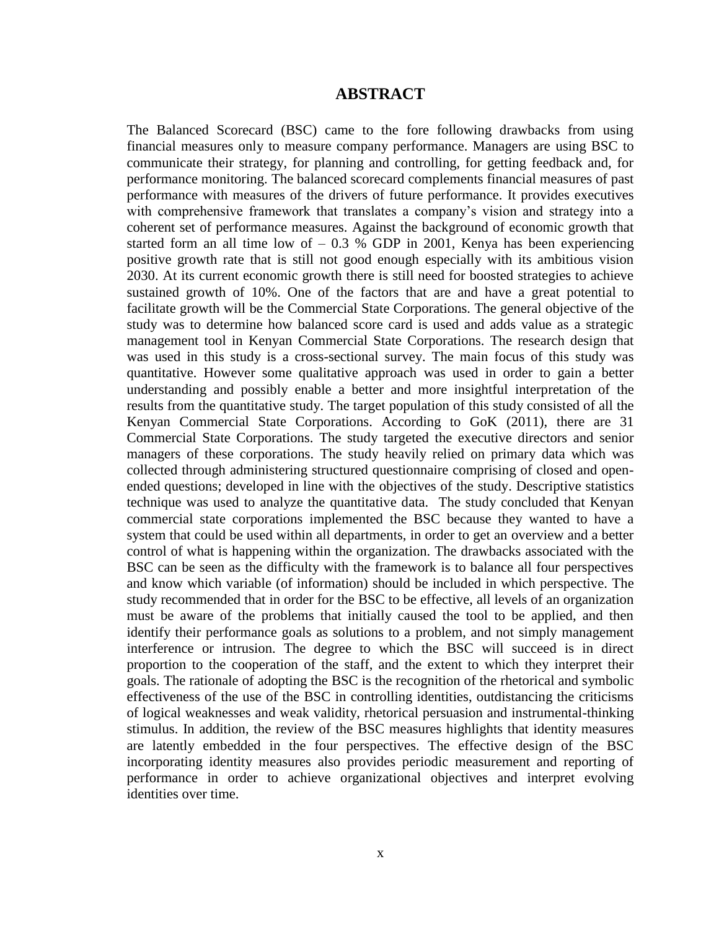# **ABSTRACT**

<span id="page-9-0"></span>The Balanced Scorecard (BSC) came to the fore following drawbacks from using financial measures only to measure company performance. Managers are using BSC to communicate their strategy, for planning and controlling, for getting feedback and, for performance monitoring. The balanced scorecard complements financial measures of past performance with measures of the drivers of future performance. It provides executives with comprehensive framework that translates a company's vision and strategy into a coherent set of performance measures. Against the background of economic growth that started form an all time low of  $-0.3$  % GDP in 2001, Kenya has been experiencing positive growth rate that is still not good enough especially with its ambitious vision 2030. At its current economic growth there is still need for boosted strategies to achieve sustained growth of 10%. One of the factors that are and have a great potential to facilitate growth will be the Commercial State Corporations. The general objective of the study was to determine how balanced score card is used and adds value as a strategic management tool in Kenyan Commercial State Corporations. The research design that was used in this study is a cross-sectional survey. The main focus of this study was quantitative. However some qualitative approach was used in order to gain a better understanding and possibly enable a better and more insightful interpretation of the results from the quantitative study. The target population of this study consisted of all the Kenyan Commercial State Corporations. According to GoK (2011), there are 31 Commercial State Corporations. The study targeted the executive directors and senior managers of these corporations. The study heavily relied on primary data which was collected through administering structured questionnaire comprising of closed and openended questions; developed in line with the objectives of the study. Descriptive statistics technique was used to analyze the quantitative data. The study concluded that Kenyan commercial state corporations implemented the BSC because they wanted to have a system that could be used within all departments, in order to get an overview and a better control of what is happening within the organization. The drawbacks associated with the BSC can be seen as the difficulty with the framework is to balance all four perspectives and know which variable (of information) should be included in which perspective. The study recommended that in order for the BSC to be effective, all levels of an organization must be aware of the problems that initially caused the tool to be applied, and then identify their performance goals as solutions to a problem, and not simply management interference or intrusion. The degree to which the BSC will succeed is in direct proportion to the cooperation of the staff, and the extent to which they interpret their goals. The rationale of adopting the BSC is the recognition of the rhetorical and symbolic effectiveness of the use of the BSC in controlling identities, outdistancing the criticisms of logical weaknesses and weak validity, rhetorical persuasion and instrumental-thinking stimulus. In addition, the review of the BSC measures highlights that identity measures are latently embedded in the four perspectives. The effective design of the BSC incorporating identity measures also provides periodic measurement and reporting of performance in order to achieve organizational objectives and interpret evolving identities over time.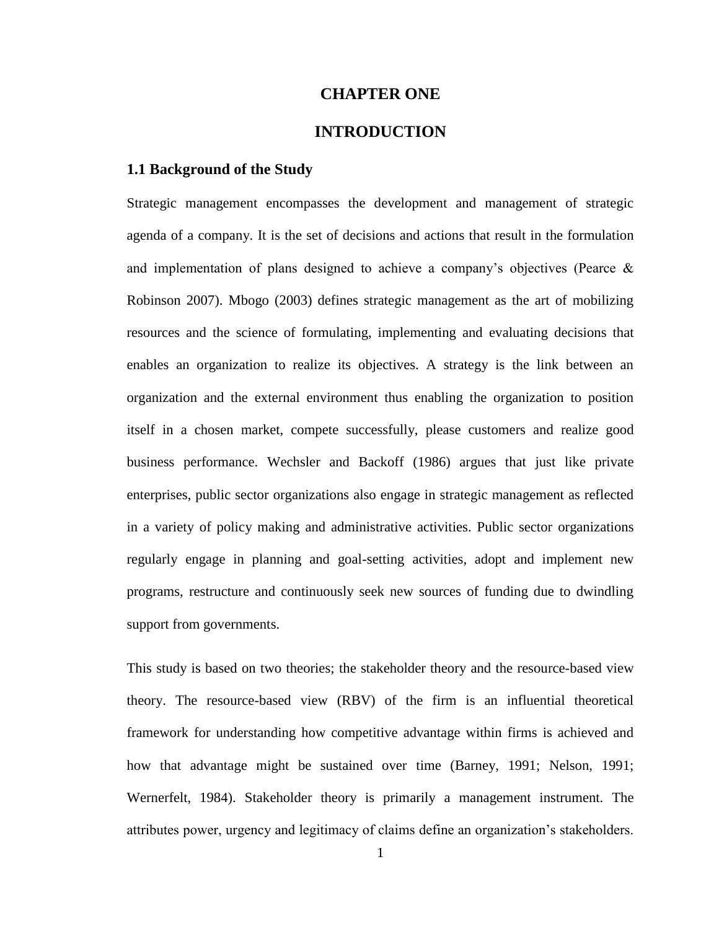### **CHAPTER ONE**

# **INTRODUCTION**

### <span id="page-10-1"></span><span id="page-10-0"></span>**1.1 Background of the Study**

Strategic management encompasses the development and management of strategic agenda of a company. It is the set of decisions and actions that result in the formulation and implementation of plans designed to achieve a company"s objectives (Pearce & Robinson 2007). Mbogo (2003) defines strategic management as the art of mobilizing resources and the science of formulating, implementing and evaluating decisions that enables an organization to realize its objectives. A strategy is the link between an organization and the external environment thus enabling the organization to position itself in a chosen market, compete successfully, please customers and realize good business performance. Wechsler and Backoff (1986) argues that just like private enterprises, public sector organizations also engage in strategic management as reflected in a variety of policy making and administrative activities. Public sector organizations regularly engage in planning and goal-setting activities, adopt and implement new programs, restructure and continuously seek new sources of funding due to dwindling support from governments.

This study is based on two theories; the stakeholder theory and the resource-based view theory. The resource-based view (RBV) of the firm is an influential theoretical framework for understanding how competitive advantage within firms is achieved and how that advantage might be sustained over time (Barney, 1991; Nelson, 1991; Wernerfelt, 1984). Stakeholder theory is primarily a management instrument. The attributes power, urgency and legitimacy of claims define an organization"s stakeholders.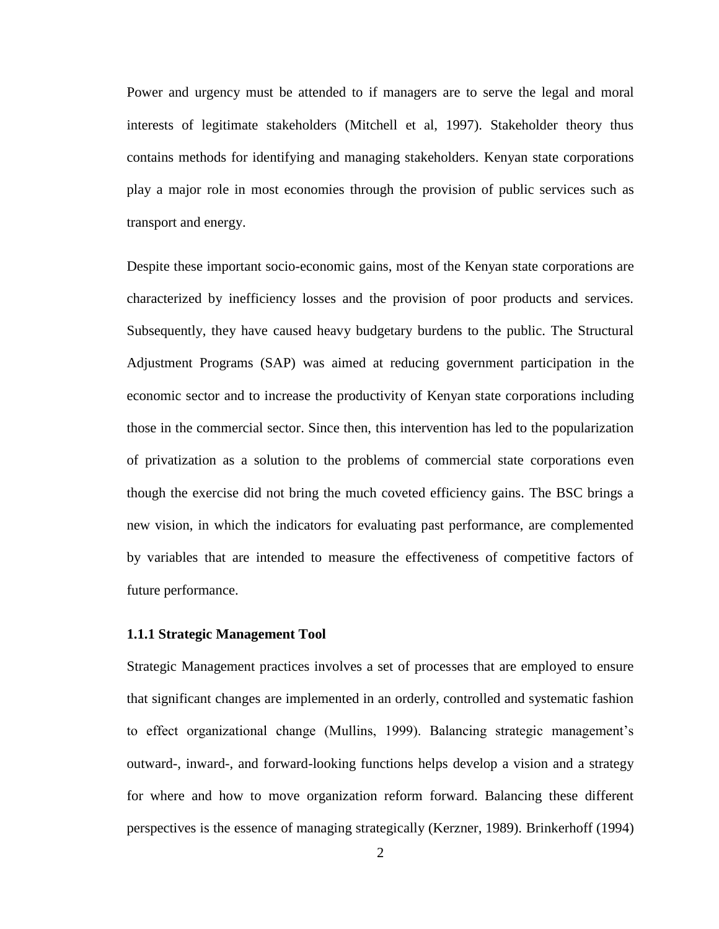Power and urgency must be attended to if managers are to serve the legal and moral interests of legitimate stakeholders (Mitchell et al, 1997). Stakeholder theory thus contains methods for identifying and managing stakeholders. Kenyan state corporations play a major role in most economies through the provision of public services such as transport and energy.

Despite these important socio-economic gains, most of the Kenyan state corporations are characterized by inefficiency losses and the provision of poor products and services. Subsequently, they have caused heavy budgetary burdens to the public. The Structural Adjustment Programs (SAP) was aimed at reducing government participation in the economic sector and to increase the productivity of Kenyan state corporations including those in the commercial sector. Since then, this intervention has led to the popularization of privatization as a solution to the problems of commercial state corporations even though the exercise did not bring the much coveted efficiency gains. The BSC brings a new vision, in which the indicators for evaluating past performance, are complemented by variables that are intended to measure the effectiveness of competitive factors of future performance.

#### <span id="page-11-0"></span>**1.1.1 Strategic Management Tool**

Strategic Management practices involves a set of processes that are employed to ensure that significant changes are implemented in an orderly, controlled and systematic fashion to effect organizational change (Mullins, 1999). Balancing strategic management"s outward-, inward-, and forward-looking functions helps develop a vision and a strategy for where and how to move organization reform forward. Balancing these different perspectives is the essence of managing strategically (Kerzner, 1989). Brinkerhoff (1994)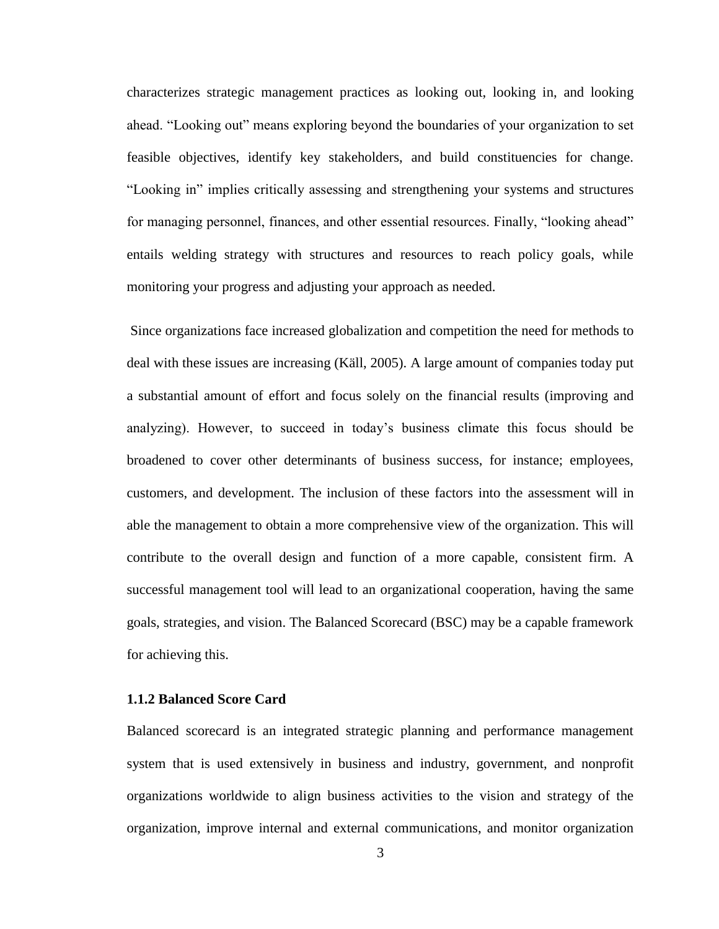characterizes strategic management practices as looking out, looking in, and looking ahead. "Looking out" means exploring beyond the boundaries of your organization to set feasible objectives, identify key stakeholders, and build constituencies for change. "Looking in" implies critically assessing and strengthening your systems and structures for managing personnel, finances, and other essential resources. Finally, "looking ahead" entails welding strategy with structures and resources to reach policy goals, while monitoring your progress and adjusting your approach as needed.

Since organizations face increased globalization and competition the need for methods to deal with these issues are increasing (Käll, 2005). A large amount of companies today put a substantial amount of effort and focus solely on the financial results (improving and analyzing). However, to succeed in today"s business climate this focus should be broadened to cover other determinants of business success, for instance; employees, customers, and development. The inclusion of these factors into the assessment will in able the management to obtain a more comprehensive view of the organization. This will contribute to the overall design and function of a more capable, consistent firm. A successful management tool will lead to an organizational cooperation, having the same goals, strategies, and vision. The Balanced Scorecard (BSC) may be a capable framework for achieving this.

# <span id="page-12-0"></span>**1.1.2 Balanced Score Card**

Balanced scorecard is an integrated strategic planning and performance management system that is used extensively in business and industry, government, and nonprofit organizations worldwide to align business activities to the vision and strategy of the organization, improve internal and external communications, and monitor organization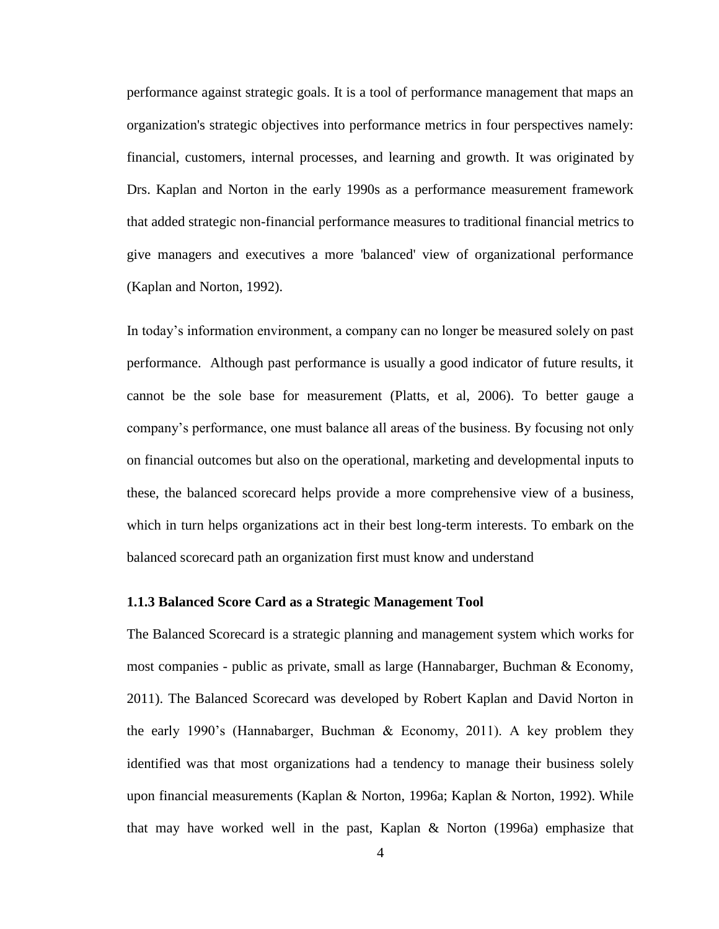performance against strategic goals. It is a tool of performance management that maps an organization's strategic objectives into performance metrics in four perspectives namely: financial, customers, internal processes, and learning and growth. It was originated by Drs. Kaplan and Norton in the early 1990s as a performance measurement framework that added strategic non-financial performance measures to traditional financial metrics to give managers and executives a more 'balanced' view of organizational performance (Kaplan and Norton, 1992).

In today"s information environment, a company can no longer be measured solely on past performance. Although past performance is usually a good indicator of future results, it cannot be the sole base for measurement (Platts, et al, 2006). To better gauge a company"s performance, one must balance all areas of the business. By focusing not only on financial outcomes but also on the operational, marketing and developmental inputs to these, the balanced scorecard helps provide a more comprehensive view of a business, which in turn helps organizations act in their best long-term interests. To embark on the balanced scorecard path an organization first must know and understand

#### <span id="page-13-0"></span>**1.1.3 Balanced Score Card as a Strategic Management Tool**

The Balanced Scorecard is a strategic planning and management system which works for most companies - public as private, small as large (Hannabarger, Buchman & Economy, 2011). The Balanced Scorecard was developed by Robert Kaplan and David Norton in the early 1990's (Hannabarger, Buchman  $\&$  Economy, 2011). A key problem they identified was that most organizations had a tendency to manage their business solely upon financial measurements (Kaplan & Norton, 1996a; Kaplan & Norton, 1992). While that may have worked well in the past, Kaplan  $\&$  Norton (1996a) emphasize that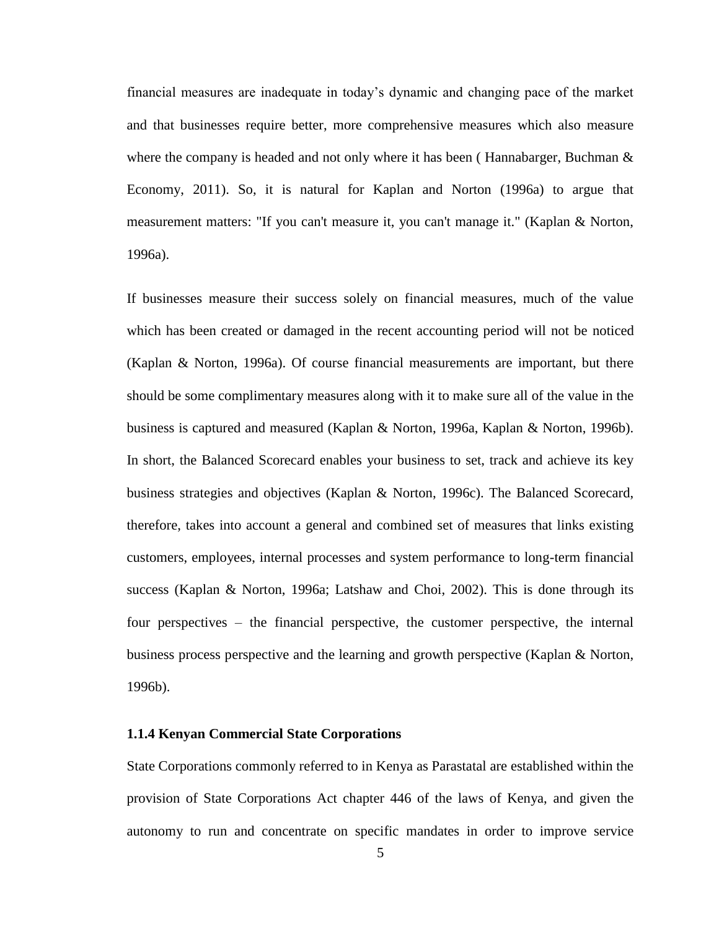financial measures are inadequate in today"s dynamic and changing pace of the market and that businesses require better, more comprehensive measures which also measure where the company is headed and not only where it has been (Hannabarger, Buchman  $\&$ Economy, 2011). So, it is natural for Kaplan and Norton (1996a) to argue that measurement matters: "If you can't measure it, you can't manage it." (Kaplan & Norton, 1996a).

If businesses measure their success solely on financial measures, much of the value which has been created or damaged in the recent accounting period will not be noticed (Kaplan & Norton, 1996a). Of course financial measurements are important, but there should be some complimentary measures along with it to make sure all of the value in the business is captured and measured (Kaplan & Norton, 1996a, Kaplan & Norton, 1996b). In short, the Balanced Scorecard enables your business to set, track and achieve its key business strategies and objectives (Kaplan & Norton, 1996c). The Balanced Scorecard, therefore, takes into account a general and combined set of measures that links existing customers, employees, internal processes and system performance to long-term financial success (Kaplan & Norton, 1996a; Latshaw and Choi, 2002). This is done through its four perspectives – the financial perspective, the customer perspective, the internal business process perspective and the learning and growth perspective (Kaplan & Norton, 1996b).

#### <span id="page-14-0"></span>**1.1.4 Kenyan Commercial State Corporations**

State Corporations commonly referred to in Kenya as Parastatal are established within the provision of State Corporations Act chapter 446 of the laws of Kenya, and given the autonomy to run and concentrate on specific mandates in order to improve service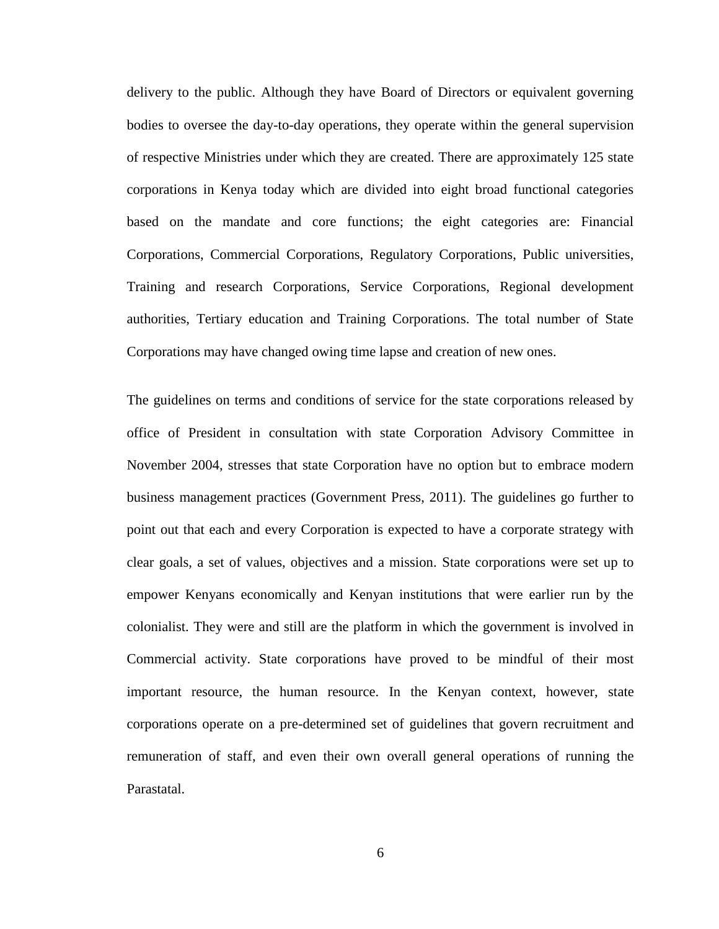delivery to the public. Although they have Board of Directors or equivalent governing bodies to oversee the day-to-day operations, they operate within the general supervision of respective Ministries under which they are created. There are approximately 125 state corporations in Kenya today which are divided into eight broad functional categories based on the mandate and core functions; the eight categories are: Financial Corporations, Commercial Corporations, Regulatory Corporations, Public universities, Training and research Corporations, Service Corporations, Regional development authorities, Tertiary education and Training Corporations. The total number of State Corporations may have changed owing time lapse and creation of new ones.

The guidelines on terms and conditions of service for the state corporations released by office of President in consultation with state Corporation Advisory Committee in November 2004, stresses that state Corporation have no option but to embrace modern business management practices (Government Press, 2011). The guidelines go further to point out that each and every Corporation is expected to have a corporate strategy with clear goals, a set of values, objectives and a mission. State corporations were set up to empower Kenyans economically and Kenyan institutions that were earlier run by the colonialist. They were and still are the platform in which the government is involved in Commercial activity. State corporations have proved to be mindful of their most important resource, the human resource. In the Kenyan context, however, state corporations operate on a pre-determined set of guidelines that govern recruitment and remuneration of staff, and even their own overall general operations of running the Parastatal.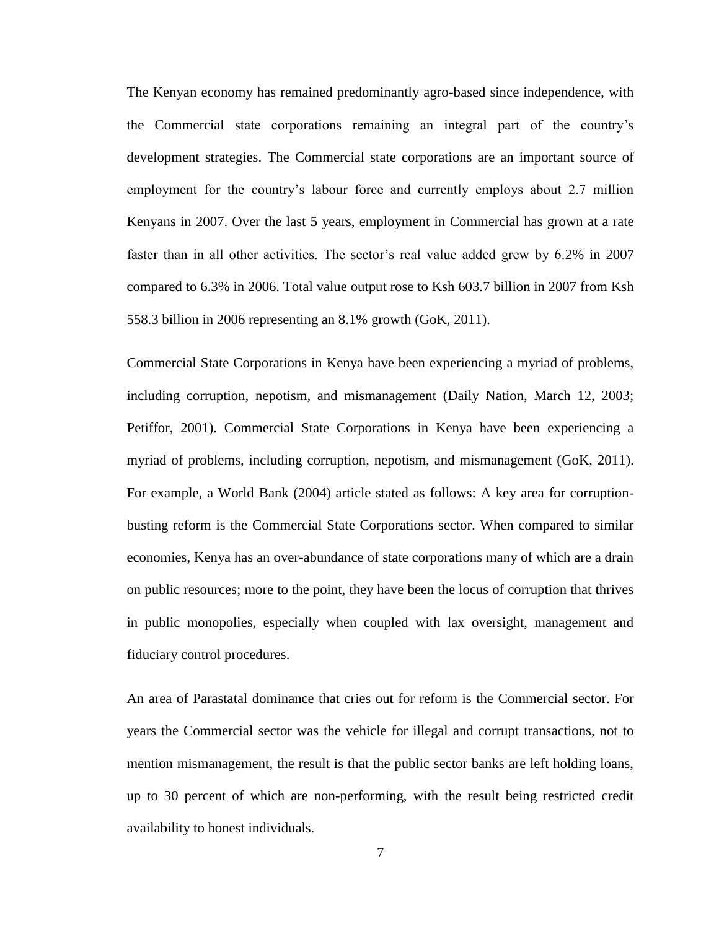The Kenyan economy has remained predominantly agro-based since independence, with the Commercial state corporations remaining an integral part of the country"s development strategies. The Commercial state corporations are an important source of employment for the country"s labour force and currently employs about 2.7 million Kenyans in 2007. Over the last 5 years, employment in Commercial has grown at a rate faster than in all other activities. The sector's real value added grew by 6.2% in 2007 compared to 6.3% in 2006. Total value output rose to Ksh 603.7 billion in 2007 from Ksh 558.3 billion in 2006 representing an 8.1% growth (GoK, 2011).

Commercial State Corporations in Kenya have been experiencing a myriad of problems, including corruption, nepotism, and mismanagement (Daily Nation, March 12, 2003; Petiffor, 2001). Commercial State Corporations in Kenya have been experiencing a myriad of problems, including corruption, nepotism, and mismanagement (GoK, 2011). For example, a World Bank (2004) article stated as follows: A key area for corruptionbusting reform is the Commercial State Corporations sector. When compared to similar economies, Kenya has an over-abundance of state corporations many of which are a drain on public resources; more to the point, they have been the locus of corruption that thrives in public monopolies, especially when coupled with lax oversight, management and fiduciary control procedures.

An area of Parastatal dominance that cries out for reform is the Commercial sector. For years the Commercial sector was the vehicle for illegal and corrupt transactions, not to mention mismanagement, the result is that the public sector banks are left holding loans, up to 30 percent of which are non-performing, with the result being restricted credit availability to honest individuals.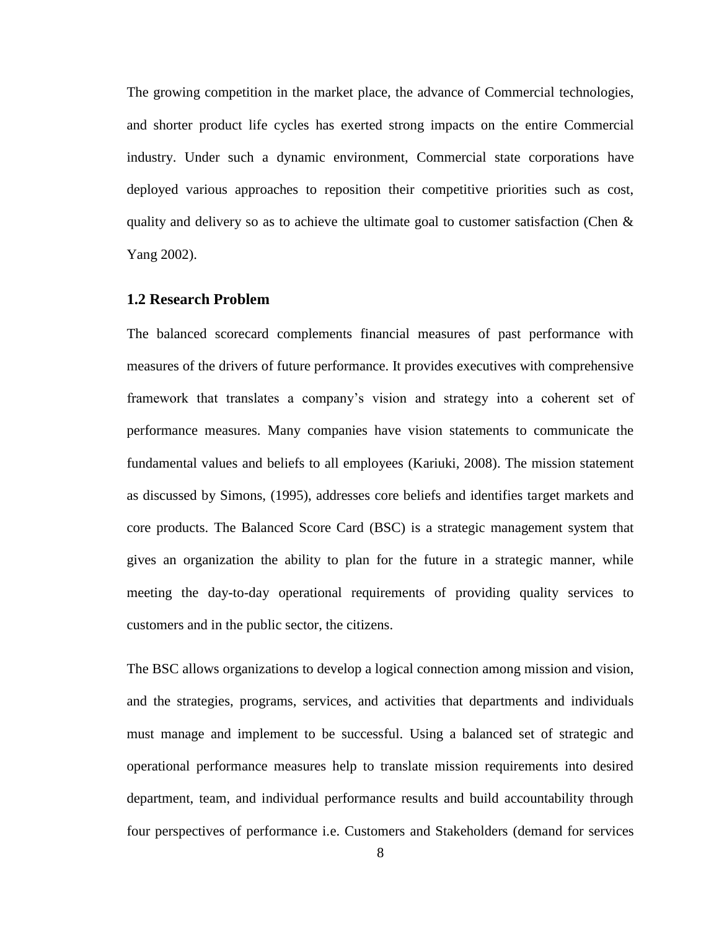The growing competition in the market place, the advance of Commercial technologies, and shorter product life cycles has exerted strong impacts on the entire Commercial industry. Under such a dynamic environment, Commercial state corporations have deployed various approaches to reposition their competitive priorities such as cost, quality and delivery so as to achieve the ultimate goal to customer satisfaction (Chen  $\&$ Yang 2002).

### <span id="page-17-0"></span>**1.2 Research Problem**

The balanced scorecard complements financial measures of past performance with measures of the drivers of future performance. It provides executives with comprehensive framework that translates a company"s vision and strategy into a coherent set of performance measures. Many companies have vision statements to communicate the fundamental values and beliefs to all employees (Kariuki, 2008). The mission statement as discussed by Simons, (1995), addresses core beliefs and identifies target markets and core products. The Balanced Score Card (BSC) is a strategic management system that gives an organization the ability to plan for the future in a strategic manner, while meeting the day-to-day operational requirements of providing quality services to customers and in the public sector, the citizens.

The BSC allows organizations to develop a logical connection among mission and vision, and the strategies, programs, services, and activities that departments and individuals must manage and implement to be successful. Using a balanced set of strategic and operational performance measures help to translate mission requirements into desired department, team, and individual performance results and build accountability through four perspectives of performance i.e. Customers and Stakeholders (demand for services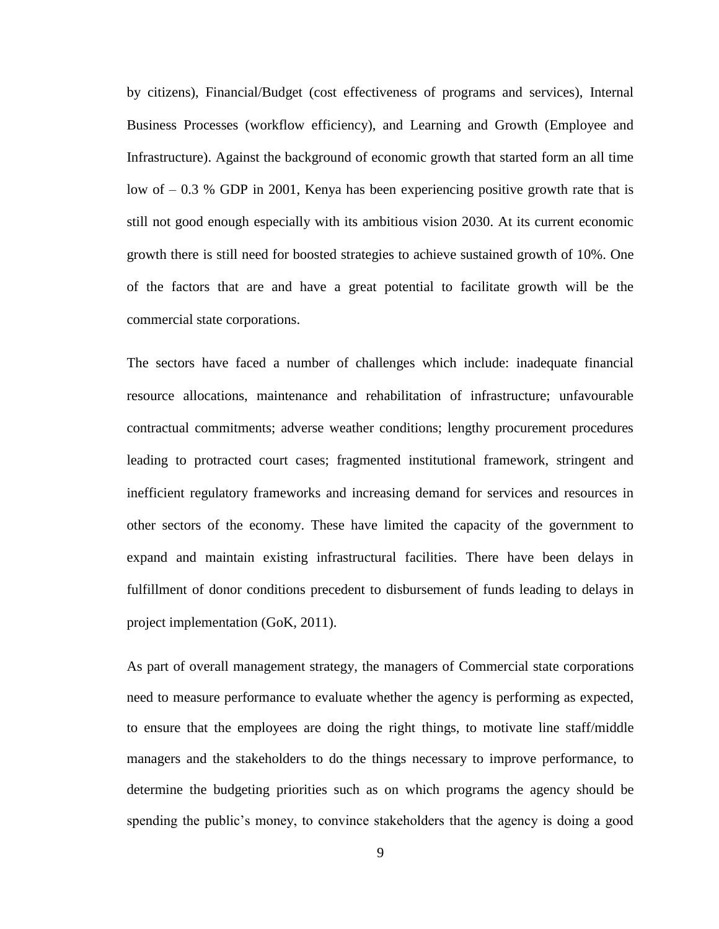by citizens), Financial/Budget (cost effectiveness of programs and services), Internal Business Processes (workflow efficiency), and Learning and Growth (Employee and Infrastructure). Against the background of economic growth that started form an all time low of – 0.3 % GDP in 2001, Kenya has been experiencing positive growth rate that is still not good enough especially with its ambitious vision 2030. At its current economic growth there is still need for boosted strategies to achieve sustained growth of 10%. One of the factors that are and have a great potential to facilitate growth will be the commercial state corporations.

The sectors have faced a number of challenges which include: inadequate financial resource allocations, maintenance and rehabilitation of infrastructure; unfavourable contractual commitments; adverse weather conditions; lengthy procurement procedures leading to protracted court cases; fragmented institutional framework, stringent and inefficient regulatory frameworks and increasing demand for services and resources in other sectors of the economy. These have limited the capacity of the government to expand and maintain existing infrastructural facilities. There have been delays in fulfillment of donor conditions precedent to disbursement of funds leading to delays in project implementation (GoK, 2011).

As part of overall management strategy, the managers of Commercial state corporations need to measure performance to evaluate whether the agency is performing as expected, to ensure that the employees are doing the right things, to motivate line staff/middle managers and the stakeholders to do the things necessary to improve performance, to determine the budgeting priorities such as on which programs the agency should be spending the public's money, to convince stakeholders that the agency is doing a good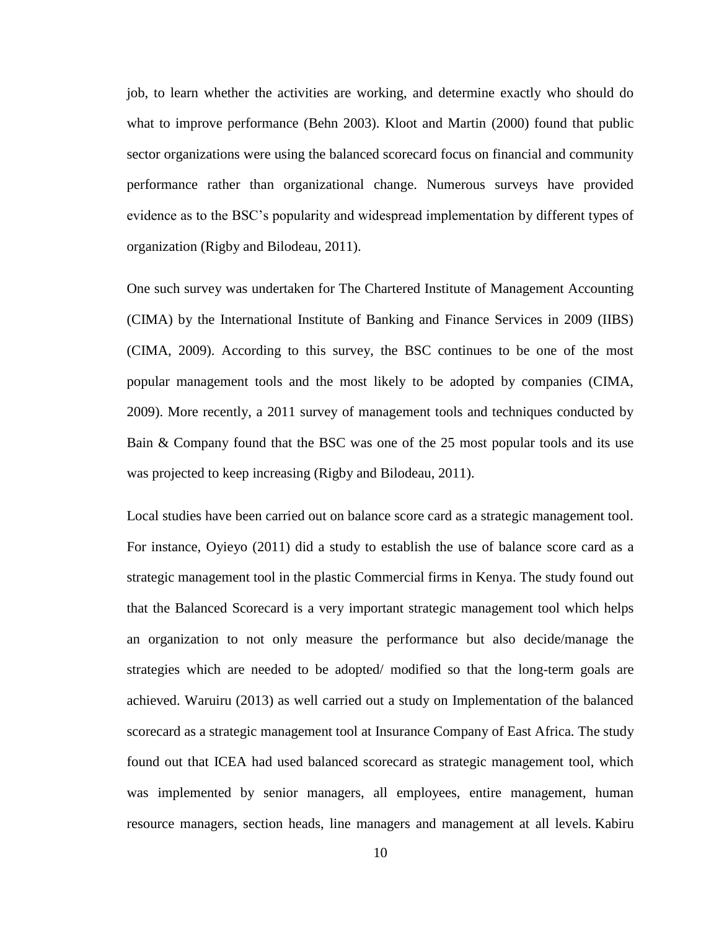job, to learn whether the activities are working, and determine exactly who should do what to improve performance (Behn 2003). Kloot and Martin (2000) found that public sector organizations were using the balanced scorecard focus on financial and community performance rather than organizational change. Numerous surveys have provided evidence as to the BSC"s popularity and widespread implementation by different types of organization (Rigby and Bilodeau, 2011).

One such survey was undertaken for The Chartered Institute of Management Accounting (CIMA) by the International Institute of Banking and Finance Services in 2009 (IIBS) (CIMA, 2009). According to this survey, the BSC continues to be one of the most popular management tools and the most likely to be adopted by companies (CIMA, 2009). More recently, a 2011 survey of management tools and techniques conducted by Bain & Company found that the BSC was one of the 25 most popular tools and its use was projected to keep increasing (Rigby and Bilodeau, 2011).

Local studies have been carried out on balance score card as a strategic management tool. For instance, Oyieyo (2011) did a study to establish the use of balance score card as a strategic management tool in the plastic Commercial firms in Kenya. The study found out that the Balanced Scorecard is a very important strategic management tool which helps an organization to not only measure the performance but also decide/manage the strategies which are needed to be adopted/ modified so that the long-term goals are achieved. Waruiru (2013) as well carried out a study on Implementation of the balanced scorecard as a strategic management tool at Insurance Company of East Africa. The study found out that ICEA had used balanced scorecard as strategic management tool, which was implemented by senior managers, all employees, entire management, human resource managers, section heads, line managers and management at all levels. Kabiru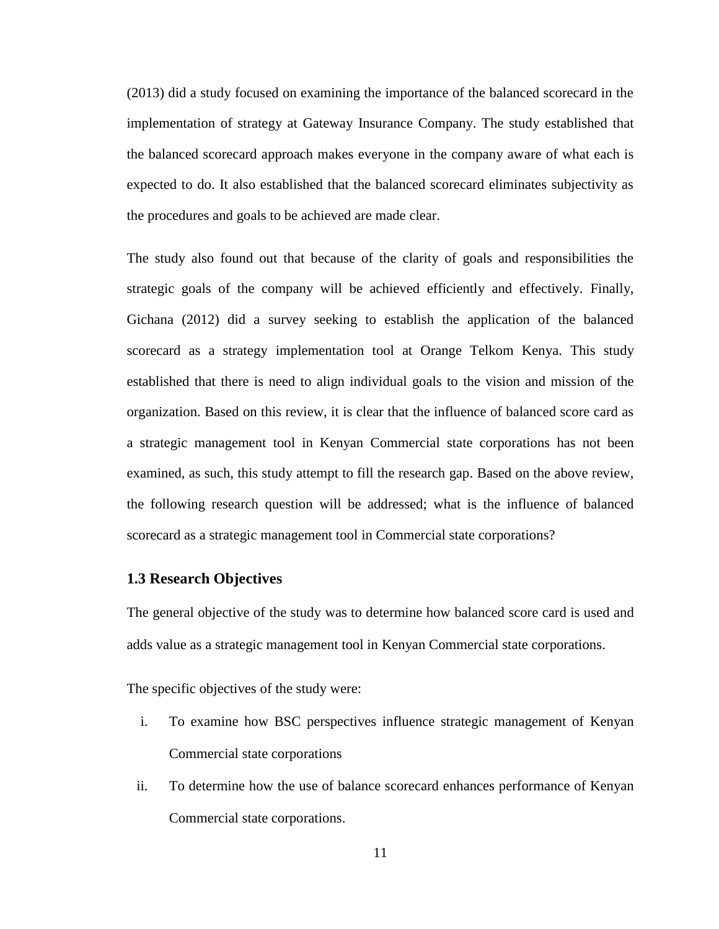(2013) did a study focused on examining the importance of the balanced scorecard in the implementation of strategy at Gateway Insurance Company. The study established that the balanced scorecard approach makes everyone in the company aware of what each is expected to do. It also established that the balanced scorecard eliminates subjectivity as the procedures and goals to be achieved are made clear.

The study also found out that because of the clarity of goals and responsibilities the strategic goals of the company will be achieved efficiently and effectively. Finally, Gichana (2012) did a survey seeking to establish the application of the balanced scorecard as a strategy implementation tool at Orange Telkom Kenya. This study established that there is need to align individual goals to the vision and mission of the organization. Based on this review, it is clear that the influence of balanced score card as a strategic management tool in Kenyan Commercial state corporations has not been examined, as such, this study attempt to fill the research gap. Based on the above review, the following research question will be addressed; what is the influence of balanced scorecard as a strategic management tool in Commercial state corporations?

### <span id="page-20-0"></span>**1.3 Research Objectives**

The general objective of the study was to determine how balanced score card is used and adds value as a strategic management tool in Kenyan Commercial state corporations.

The specific objectives of the study were:

- i. To examine how BSC perspectives influence strategic management of Kenyan Commercial state corporations
- ii. To determine how the use of balance scorecard enhances performance of Kenyan Commercial state corporations.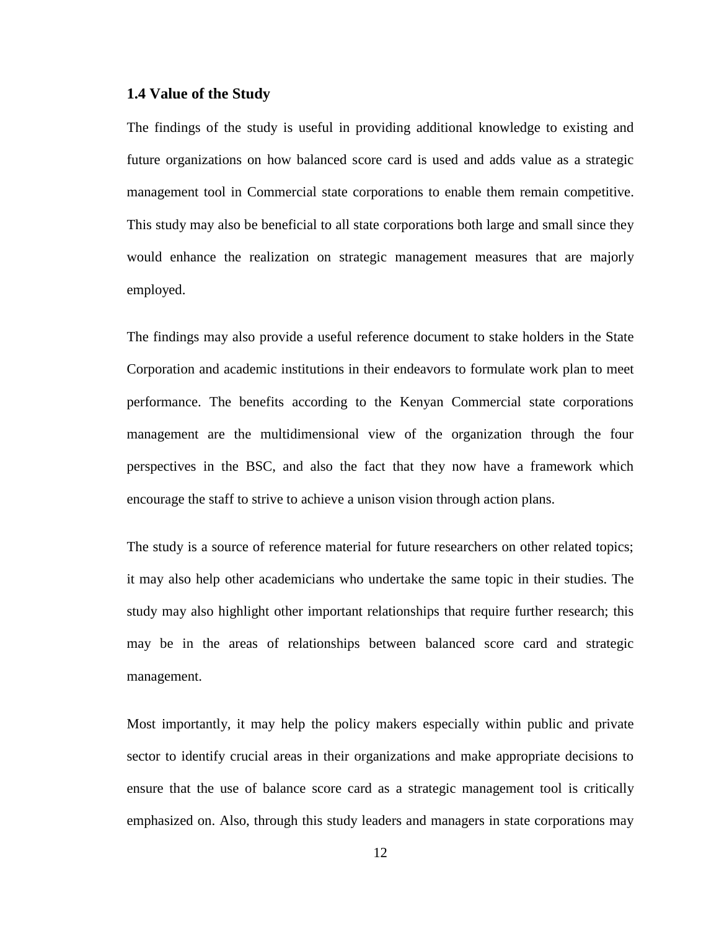#### <span id="page-21-0"></span>**1.4 Value of the Study**

The findings of the study is useful in providing additional knowledge to existing and future organizations on how balanced score card is used and adds value as a strategic management tool in Commercial state corporations to enable them remain competitive. This study may also be beneficial to all state corporations both large and small since they would enhance the realization on strategic management measures that are majorly employed.

The findings may also provide a useful reference document to stake holders in the State Corporation and academic institutions in their endeavors to formulate work plan to meet performance. The benefits according to the Kenyan Commercial state corporations management are the multidimensional view of the organization through the four perspectives in the BSC, and also the fact that they now have a framework which encourage the staff to strive to achieve a unison vision through action plans.

The study is a source of reference material for future researchers on other related topics; it may also help other academicians who undertake the same topic in their studies. The study may also highlight other important relationships that require further research; this may be in the areas of relationships between balanced score card and strategic management.

Most importantly, it may help the policy makers especially within public and private sector to identify crucial areas in their organizations and make appropriate decisions to ensure that the use of balance score card as a strategic management tool is critically emphasized on. Also, through this study leaders and managers in state corporations may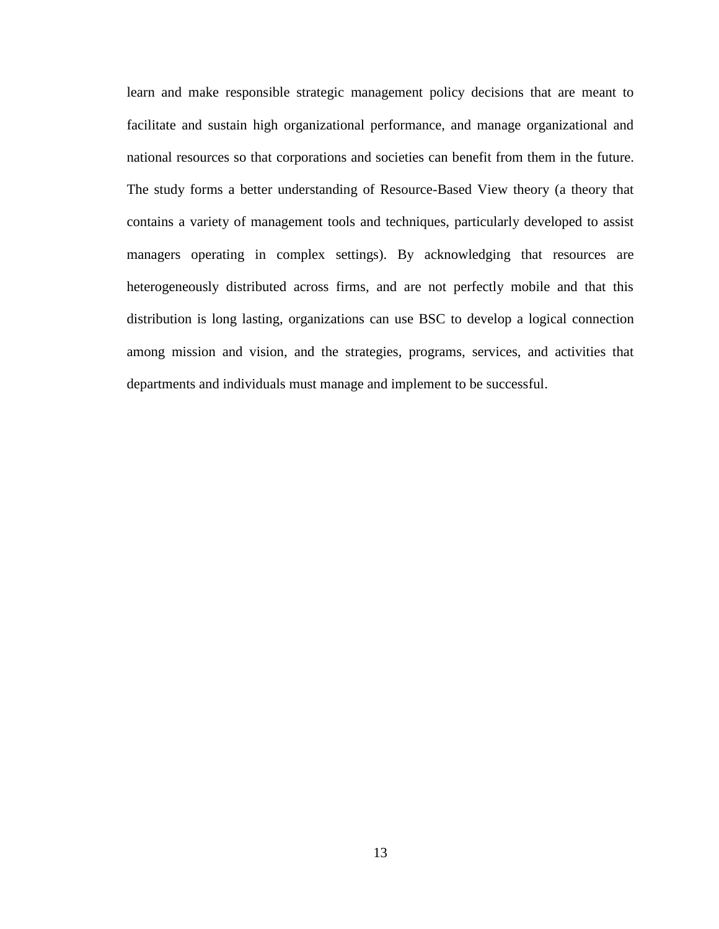learn and make responsible strategic management policy decisions that are meant to facilitate and sustain high organizational performance, and manage organizational and national resources so that corporations and societies can benefit from them in the future. The study forms a better understanding of Resource-Based View theory (a theory that contains a variety of management tools and techniques, particularly developed to assist managers operating in complex settings). By acknowledging that resources are heterogeneously distributed across firms, and are not perfectly mobile and that this distribution is long lasting, organizations can use BSC to develop a logical connection among mission and vision, and the strategies, programs, services, and activities that departments and individuals must manage and implement to be successful.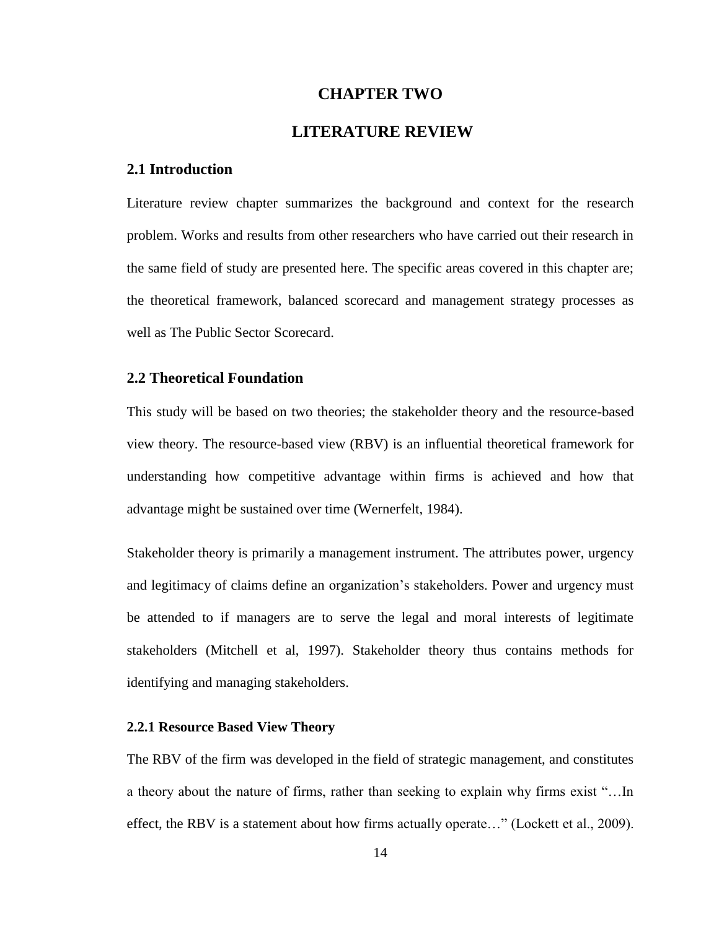## **CHAPTER TWO**

# **LITERATURE REVIEW**

#### <span id="page-23-1"></span><span id="page-23-0"></span>**2.1 Introduction**

Literature review chapter summarizes the background and context for the research problem. Works and results from other researchers who have carried out their research in the same field of study are presented here. The specific areas covered in this chapter are; the theoretical framework, balanced scorecard and management strategy processes as well as The Public Sector Scorecard.

# <span id="page-23-2"></span>**2.2 Theoretical Foundation**

This study will be based on two theories; the stakeholder theory and the resource-based view theory. The resource-based view (RBV) is an influential theoretical framework for understanding how competitive advantage within firms is achieved and how that advantage might be sustained over time (Wernerfelt, 1984).

Stakeholder theory is primarily a management instrument. The attributes power, urgency and legitimacy of claims define an organization"s stakeholders. Power and urgency must be attended to if managers are to serve the legal and moral interests of legitimate stakeholders (Mitchell et al, 1997). Stakeholder theory thus contains methods for identifying and managing stakeholders.

#### <span id="page-23-3"></span>**2.2.1 Resource Based View Theory**

The RBV of the firm was developed in the field of strategic management, and constitutes a theory about the nature of firms, rather than seeking to explain why firms exist "…In effect, the RBV is a statement about how firms actually operate…" (Lockett et al., 2009).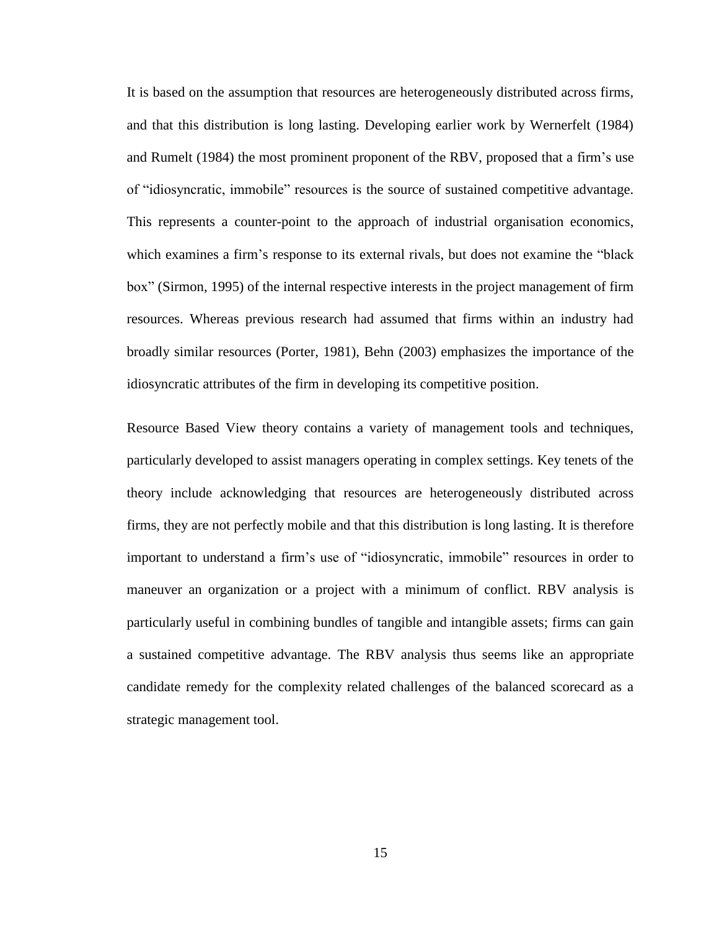It is based on the assumption that resources are heterogeneously distributed across firms, and that this distribution is long lasting. Developing earlier work by Wernerfelt (1984) and Rumelt (1984) the most prominent proponent of the RBV, proposed that a firm"s use of "idiosyncratic, immobile" resources is the source of sustained competitive advantage. This represents a counter-point to the approach of industrial organisation economics, which examines a firm"s response to its external rivals, but does not examine the "black box" (Sirmon, 1995) of the internal respective interests in the project management of firm resources. Whereas previous research had assumed that firms within an industry had broadly similar resources (Porter, 1981), Behn (2003) emphasizes the importance of the idiosyncratic attributes of the firm in developing its competitive position.

<span id="page-24-0"></span>Resource Based View theory contains a variety of management tools and techniques, particularly developed to assist managers operating in complex settings. Key tenets of the theory include acknowledging that resources are heterogeneously distributed across firms, they are not perfectly mobile and that this distribution is long lasting. It is therefore important to understand a firm"s use of "idiosyncratic, immobile" resources in order to maneuver an organization or a project with a minimum of conflict. RBV analysis is particularly useful in combining bundles of tangible and intangible assets; firms can gain a sustained competitive advantage. The RBV analysis thus seems like an appropriate candidate remedy for the complexity related challenges of the balanced scorecard as a strategic management tool.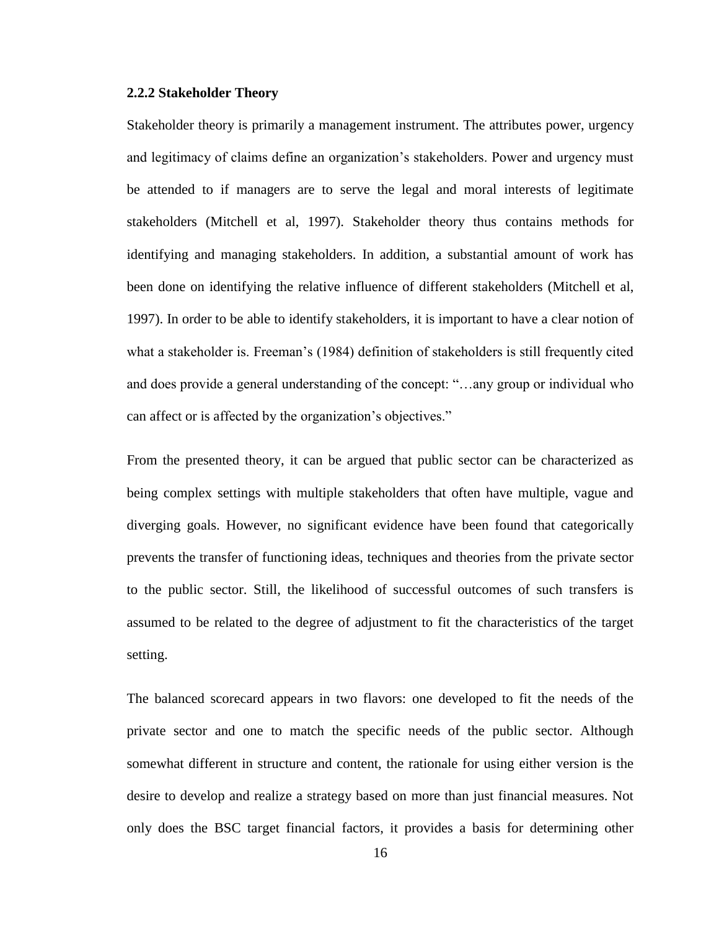#### **2.2.2 Stakeholder Theory**

Stakeholder theory is primarily a management instrument. The attributes power, urgency and legitimacy of claims define an organization"s stakeholders. Power and urgency must be attended to if managers are to serve the legal and moral interests of legitimate stakeholders (Mitchell et al, 1997). Stakeholder theory thus contains methods for identifying and managing stakeholders. In addition, a substantial amount of work has been done on identifying the relative influence of different stakeholders (Mitchell et al, 1997). In order to be able to identify stakeholders, it is important to have a clear notion of what a stakeholder is. Freeman's (1984) definition of stakeholders is still frequently cited and does provide a general understanding of the concept: "…any group or individual who can affect or is affected by the organization's objectives."

From the presented theory, it can be argued that public sector can be characterized as being complex settings with multiple stakeholders that often have multiple, vague and diverging goals. However, no significant evidence have been found that categorically prevents the transfer of functioning ideas, techniques and theories from the private sector to the public sector. Still, the likelihood of successful outcomes of such transfers is assumed to be related to the degree of adjustment to fit the characteristics of the target setting.

The balanced scorecard appears in two flavors: one developed to fit the needs of the private sector and one to match the specific needs of the public sector. Although somewhat different in structure and content, the rationale for using either version is the desire to develop and realize a strategy based on more than just financial measures. Not only does the BSC target financial factors, it provides a basis for determining other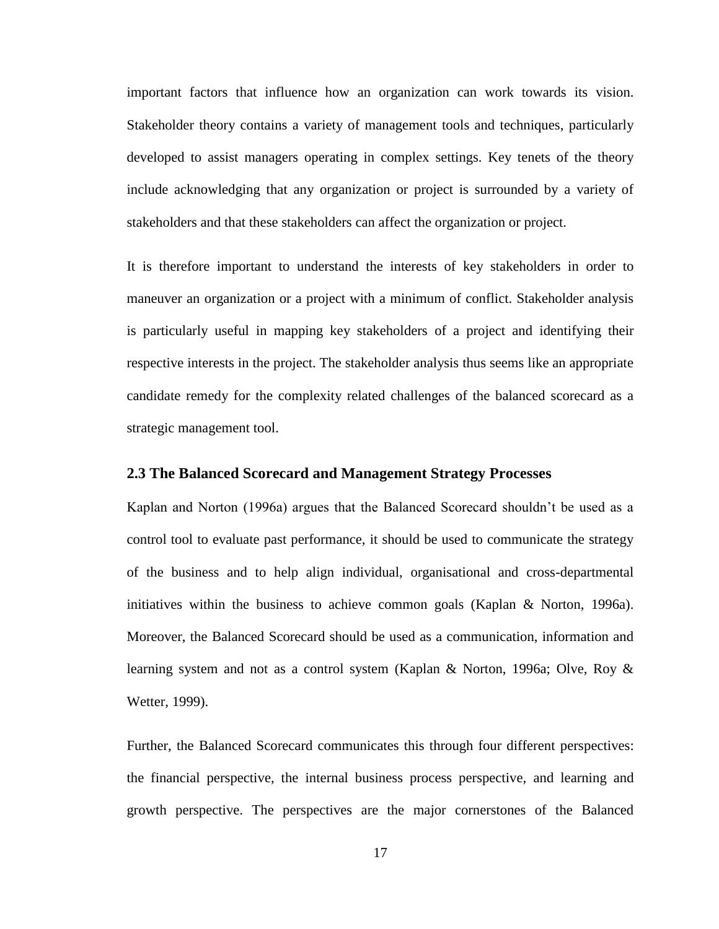important factors that influence how an organization can work towards its vision. Stakeholder theory contains a variety of management tools and techniques, particularly developed to assist managers operating in complex settings. Key tenets of the theory include acknowledging that any organization or project is surrounded by a variety of stakeholders and that these stakeholders can affect the organization or project.

It is therefore important to understand the interests of key stakeholders in order to maneuver an organization or a project with a minimum of conflict. Stakeholder analysis is particularly useful in mapping key stakeholders of a project and identifying their respective interests in the project. The stakeholder analysis thus seems like an appropriate candidate remedy for the complexity related challenges of the balanced scorecard as a strategic management tool.

#### <span id="page-26-0"></span>**2.3 The Balanced Scorecard and Management Strategy Processes**

Kaplan and Norton (1996a) argues that the Balanced Scorecard shouldn"t be used as a control tool to evaluate past performance, it should be used to communicate the strategy of the business and to help align individual, organisational and cross-departmental initiatives within the business to achieve common goals (Kaplan & Norton, 1996a). Moreover, the Balanced Scorecard should be used as a communication, information and learning system and not as a control system (Kaplan & Norton, 1996a; Olve, Roy & Wetter, 1999).

Further, the Balanced Scorecard communicates this through four different perspectives: the financial perspective, the internal business process perspective, and learning and growth perspective. The perspectives are the major cornerstones of the Balanced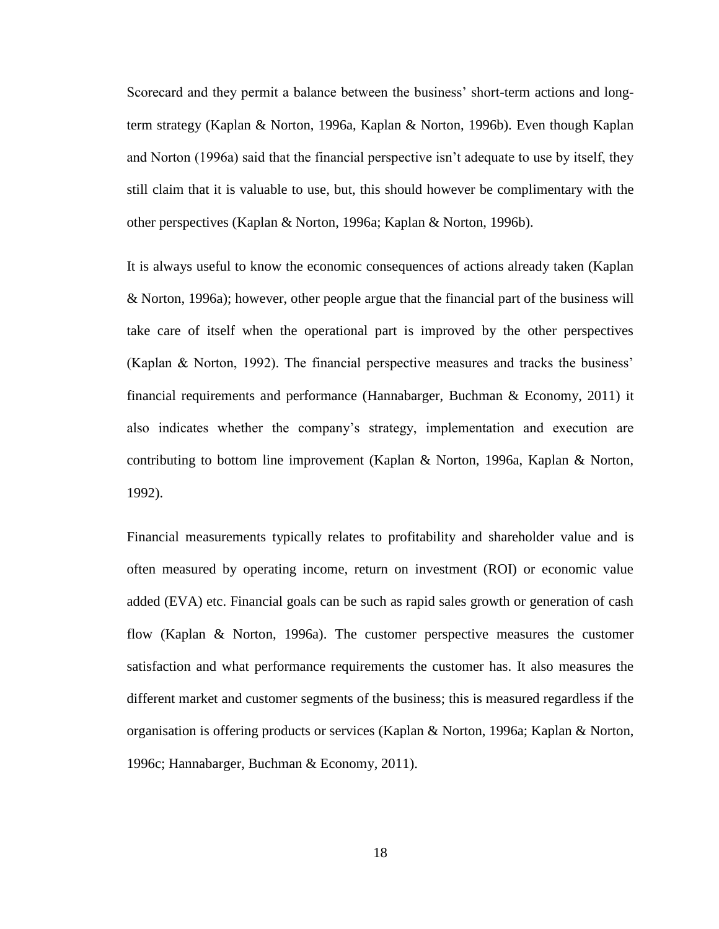Scorecard and they permit a balance between the business" short-term actions and longterm strategy (Kaplan & Norton, 1996a, Kaplan & Norton, 1996b). Even though Kaplan and Norton (1996a) said that the financial perspective isn"t adequate to use by itself, they still claim that it is valuable to use, but, this should however be complimentary with the other perspectives (Kaplan & Norton, 1996a; Kaplan & Norton, 1996b).

It is always useful to know the economic consequences of actions already taken (Kaplan & Norton, 1996a); however, other people argue that the financial part of the business will take care of itself when the operational part is improved by the other perspectives (Kaplan & Norton, 1992). The financial perspective measures and tracks the business" financial requirements and performance (Hannabarger, Buchman & Economy, 2011) it also indicates whether the company"s strategy, implementation and execution are contributing to bottom line improvement (Kaplan & Norton, 1996a, Kaplan & Norton, 1992).

Financial measurements typically relates to profitability and shareholder value and is often measured by operating income, return on investment (ROI) or economic value added (EVA) etc. Financial goals can be such as rapid sales growth or generation of cash flow (Kaplan & Norton, 1996a). The customer perspective measures the customer satisfaction and what performance requirements the customer has. It also measures the different market and customer segments of the business; this is measured regardless if the organisation is offering products or services (Kaplan & Norton, 1996a; Kaplan & Norton, 1996c; Hannabarger, Buchman & Economy, 2011).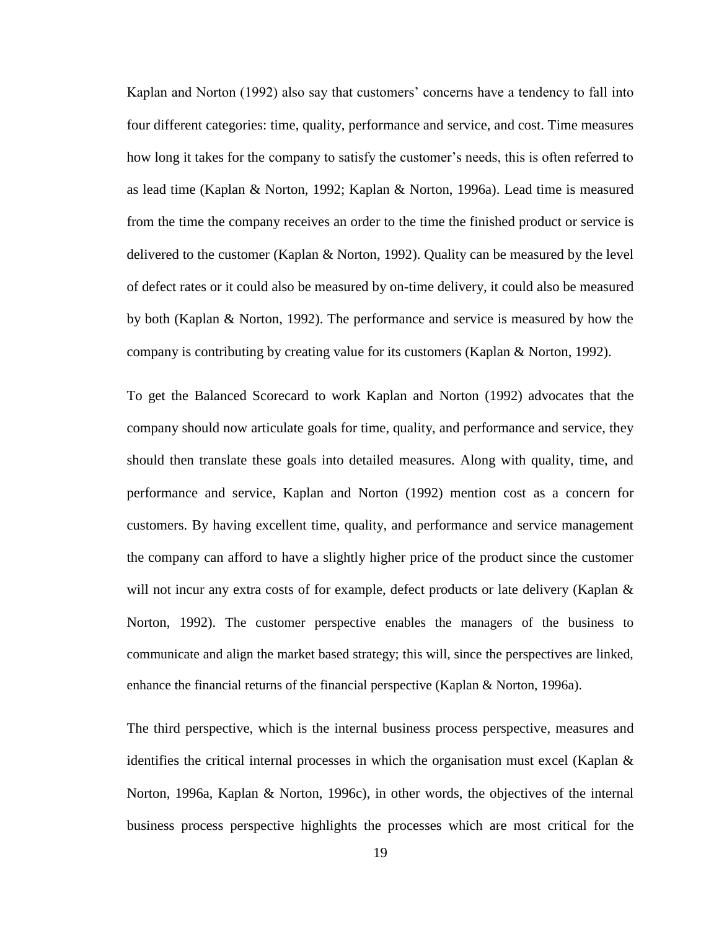Kaplan and Norton (1992) also say that customers' concerns have a tendency to fall into four different categories: time, quality, performance and service, and cost. Time measures how long it takes for the company to satisfy the customer"s needs, this is often referred to as lead time (Kaplan & Norton, 1992; Kaplan & Norton, 1996a). Lead time is measured from the time the company receives an order to the time the finished product or service is delivered to the customer (Kaplan & Norton, 1992). Quality can be measured by the level of defect rates or it could also be measured by on-time delivery, it could also be measured by both (Kaplan & Norton, 1992). The performance and service is measured by how the company is contributing by creating value for its customers (Kaplan & Norton, 1992).

To get the Balanced Scorecard to work Kaplan and Norton (1992) advocates that the company should now articulate goals for time, quality, and performance and service, they should then translate these goals into detailed measures. Along with quality, time, and performance and service, Kaplan and Norton (1992) mention cost as a concern for customers. By having excellent time, quality, and performance and service management the company can afford to have a slightly higher price of the product since the customer will not incur any extra costs of for example, defect products or late delivery (Kaplan & Norton, 1992). The customer perspective enables the managers of the business to communicate and align the market based strategy; this will, since the perspectives are linked, enhance the financial returns of the financial perspective (Kaplan & Norton, 1996a).

The third perspective, which is the internal business process perspective, measures and identifies the critical internal processes in which the organisation must excel (Kaplan & Norton, 1996a, Kaplan & Norton, 1996c), in other words, the objectives of the internal business process perspective highlights the processes which are most critical for the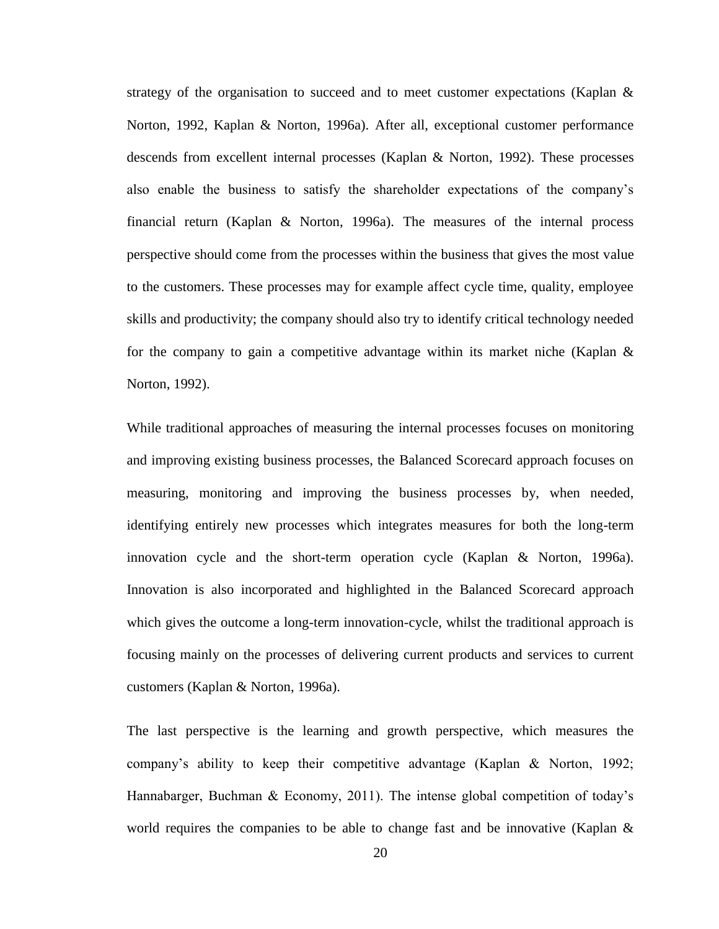strategy of the organisation to succeed and to meet customer expectations (Kaplan  $\&$ Norton, 1992, Kaplan & Norton, 1996a). After all, exceptional customer performance descends from excellent internal processes (Kaplan & Norton, 1992). These processes also enable the business to satisfy the shareholder expectations of the company"s financial return (Kaplan & Norton, 1996a). The measures of the internal process perspective should come from the processes within the business that gives the most value to the customers. These processes may for example affect cycle time, quality, employee skills and productivity; the company should also try to identify critical technology needed for the company to gain a competitive advantage within its market niche (Kaplan  $\&$ Norton, 1992).

While traditional approaches of measuring the internal processes focuses on monitoring and improving existing business processes, the Balanced Scorecard approach focuses on measuring, monitoring and improving the business processes by, when needed, identifying entirely new processes which integrates measures for both the long-term innovation cycle and the short-term operation cycle (Kaplan & Norton, 1996a). Innovation is also incorporated and highlighted in the Balanced Scorecard approach which gives the outcome a long-term innovation-cycle, whilst the traditional approach is focusing mainly on the processes of delivering current products and services to current customers (Kaplan & Norton, 1996a).

The last perspective is the learning and growth perspective, which measures the company"s ability to keep their competitive advantage (Kaplan & Norton, 1992; Hannabarger, Buchman & Economy, 2011). The intense global competition of today's world requires the companies to be able to change fast and be innovative (Kaplan  $\&$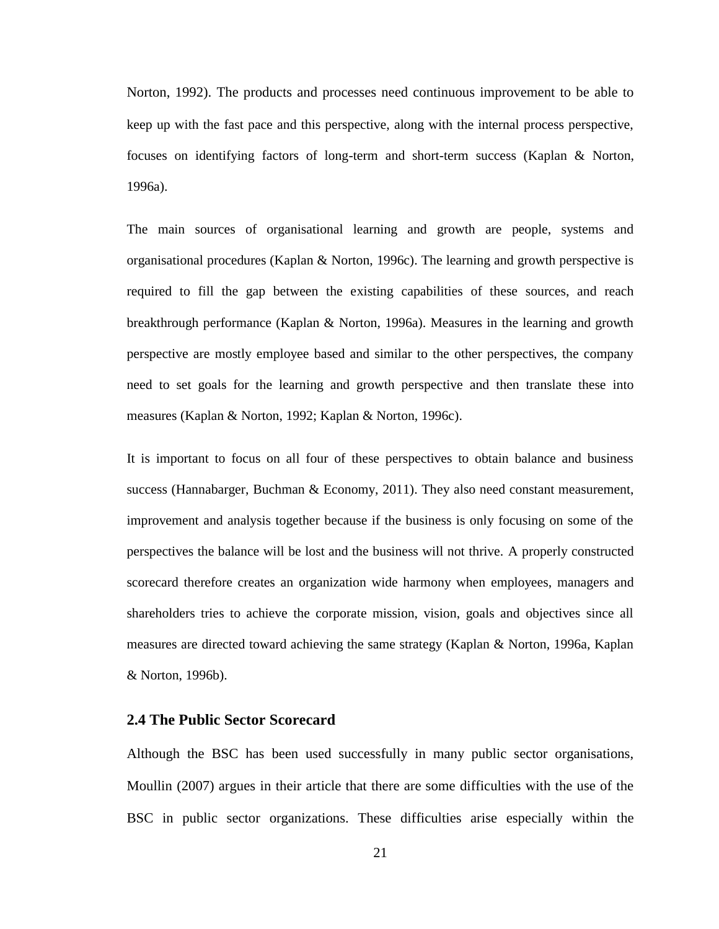Norton, 1992). The products and processes need continuous improvement to be able to keep up with the fast pace and this perspective, along with the internal process perspective, focuses on identifying factors of long-term and short-term success (Kaplan & Norton, 1996a).

The main sources of organisational learning and growth are people, systems and organisational procedures (Kaplan & Norton, 1996c). The learning and growth perspective is required to fill the gap between the existing capabilities of these sources, and reach breakthrough performance (Kaplan & Norton, 1996a). Measures in the learning and growth perspective are mostly employee based and similar to the other perspectives, the company need to set goals for the learning and growth perspective and then translate these into measures (Kaplan & Norton, 1992; Kaplan & Norton, 1996c).

It is important to focus on all four of these perspectives to obtain balance and business success (Hannabarger, Buchman & Economy, 2011). They also need constant measurement, improvement and analysis together because if the business is only focusing on some of the perspectives the balance will be lost and the business will not thrive. A properly constructed scorecard therefore creates an organization wide harmony when employees, managers and shareholders tries to achieve the corporate mission, vision, goals and objectives since all measures are directed toward achieving the same strategy (Kaplan & Norton, 1996a, Kaplan & Norton, 1996b).

#### <span id="page-30-0"></span>**2.4 The Public Sector Scorecard**

Although the BSC has been used successfully in many public sector organisations, Moullin (2007) argues in their article that there are some difficulties with the use of the BSC in public sector organizations. These difficulties arise especially within the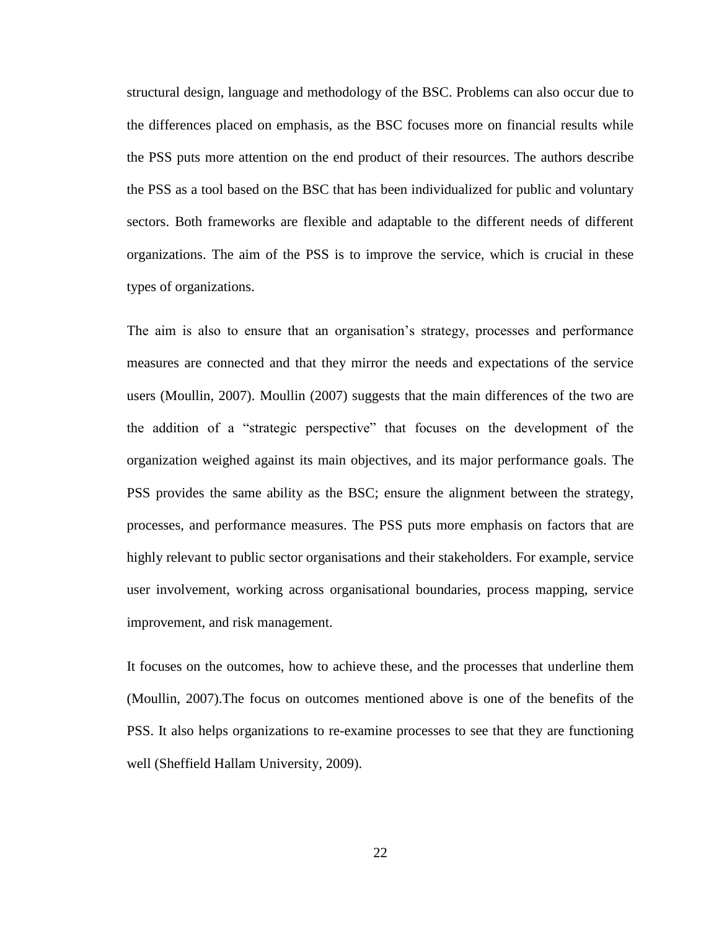structural design, language and methodology of the BSC. Problems can also occur due to the differences placed on emphasis, as the BSC focuses more on financial results while the PSS puts more attention on the end product of their resources. The authors describe the PSS as a tool based on the BSC that has been individualized for public and voluntary sectors. Both frameworks are flexible and adaptable to the different needs of different organizations. The aim of the PSS is to improve the service, which is crucial in these types of organizations.

The aim is also to ensure that an organisation"s strategy, processes and performance measures are connected and that they mirror the needs and expectations of the service users (Moullin, 2007). Moullin (2007) suggests that the main differences of the two are the addition of a "strategic perspective" that focuses on the development of the organization weighed against its main objectives, and its major performance goals. The PSS provides the same ability as the BSC; ensure the alignment between the strategy, processes, and performance measures. The PSS puts more emphasis on factors that are highly relevant to public sector organisations and their stakeholders. For example, service user involvement, working across organisational boundaries, process mapping, service improvement, and risk management.

It focuses on the outcomes, how to achieve these, and the processes that underline them (Moullin, 2007).The focus on outcomes mentioned above is one of the benefits of the PSS. It also helps organizations to re-examine processes to see that they are functioning well (Sheffield Hallam University, 2009).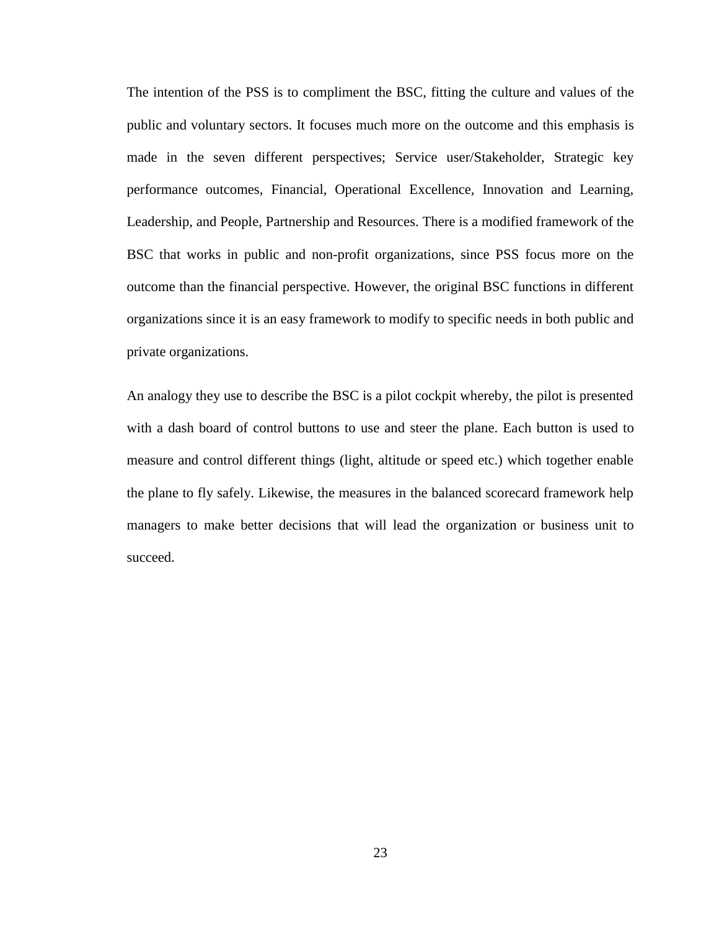The intention of the PSS is to compliment the BSC, fitting the culture and values of the public and voluntary sectors. It focuses much more on the outcome and this emphasis is made in the seven different perspectives; Service user/Stakeholder, Strategic key performance outcomes, Financial, Operational Excellence, Innovation and Learning, Leadership, and People, Partnership and Resources. There is a modified framework of the BSC that works in public and non-profit organizations, since PSS focus more on the outcome than the financial perspective. However, the original BSC functions in different organizations since it is an easy framework to modify to specific needs in both public and private organizations.

An analogy they use to describe the BSC is a pilot cockpit whereby, the pilot is presented with a dash board of control buttons to use and steer the plane. Each button is used to measure and control different things (light, altitude or speed etc.) which together enable the plane to fly safely. Likewise, the measures in the balanced scorecard framework help managers to make better decisions that will lead the organization or business unit to succeed.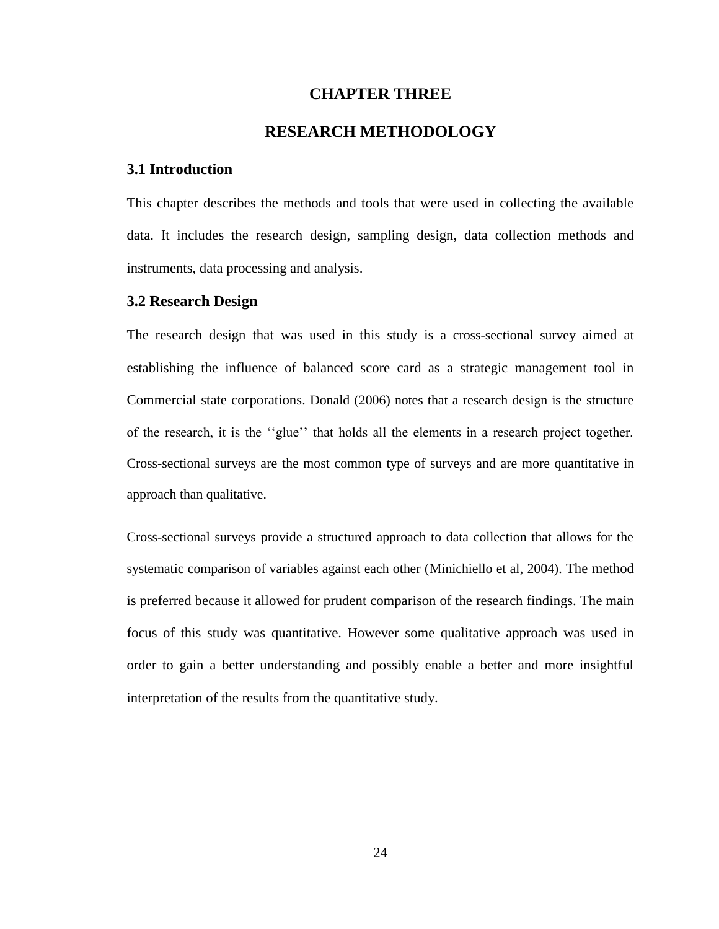# **CHAPTER THREE**

# **RESEARCH METHODOLOGY**

#### <span id="page-33-1"></span><span id="page-33-0"></span>**3.1 Introduction**

This chapter describes the methods and tools that were used in collecting the available data. It includes the research design, sampling design, data collection methods and instruments, data processing and analysis.

#### <span id="page-33-2"></span>**3.2 Research Design**

The research design that was used in this study is a cross-sectional survey aimed at establishing the influence of balanced score card as a strategic management tool in Commercial state corporations. Donald (2006) notes that a research design is the structure of the research, it is the ""glue"" that holds all the elements in a research project together. Cross-sectional surveys are the most common type of surveys and are more quantitative in approach than qualitative.

<span id="page-33-3"></span>Cross-sectional surveys provide a structured approach to data collection that allows for the systematic comparison of variables against each other (Minichiello et al, 2004). The method is preferred because it allowed for prudent comparison of the research findings. The main focus of this study was quantitative. However some qualitative approach was used in order to gain a better understanding and possibly enable a better and more insightful interpretation of the results from the quantitative study.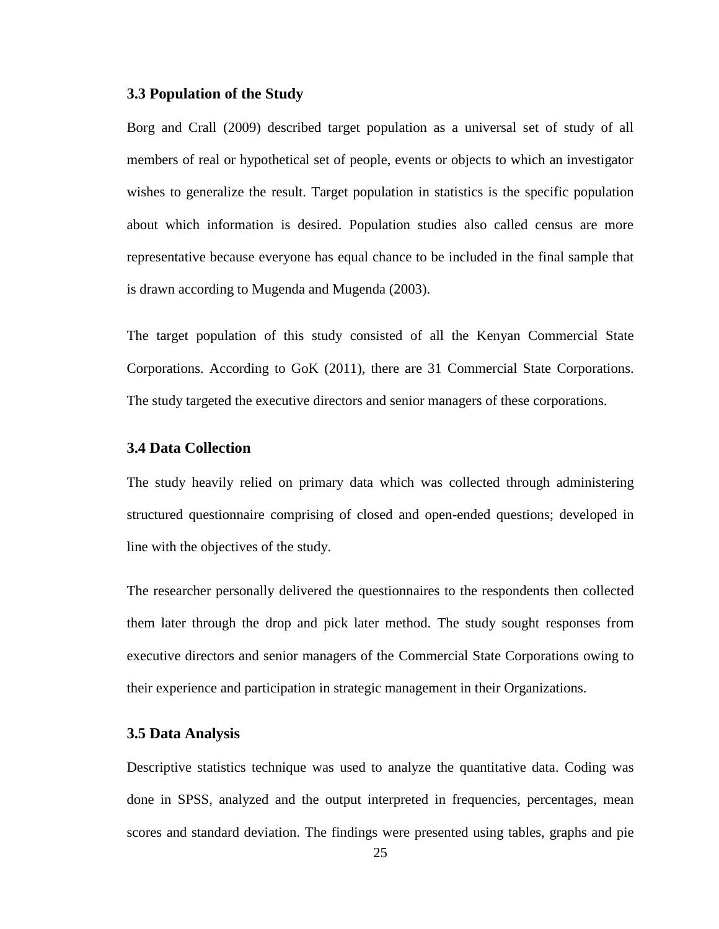#### **3.3 Population of the Study**

Borg and Crall (2009) described target population as a universal set of study of all members of real or hypothetical set of people, events or objects to which an investigator wishes to generalize the result. Target population in statistics is the specific population about which information is desired. Population studies also called census are more representative because everyone has equal chance to be included in the final sample that is drawn according to Mugenda and Mugenda (2003).

The target population of this study consisted of all the Kenyan Commercial State Corporations. According to GoK (2011), there are 31 Commercial State Corporations. The study targeted the executive directors and senior managers of these corporations.

# <span id="page-34-0"></span>**3.4 Data Collection**

The study heavily relied on primary data which was collected through administering structured questionnaire comprising of closed and open-ended questions; developed in line with the objectives of the study.

The researcher personally delivered the questionnaires to the respondents then collected them later through the drop and pick later method. The study sought responses from executive directors and senior managers of the Commercial State Corporations owing to their experience and participation in strategic management in their Organizations.

#### <span id="page-34-1"></span>**3.5 Data Analysis**

Descriptive statistics technique was used to analyze the quantitative data. Coding was done in SPSS, analyzed and the output interpreted in frequencies, percentages, mean scores and standard deviation. The findings were presented using tables, graphs and pie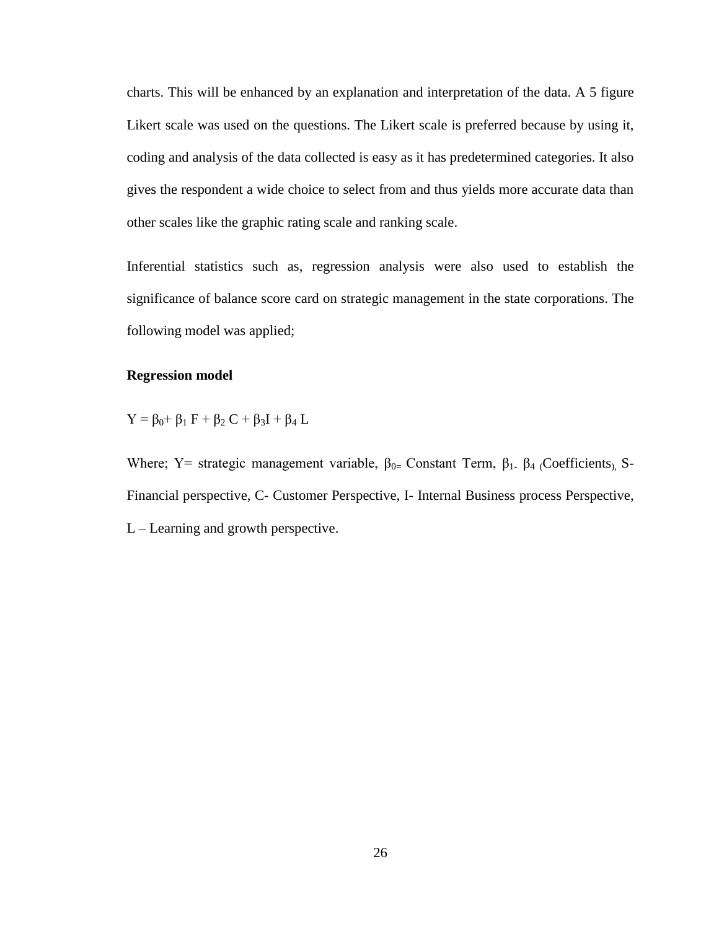charts. This will be enhanced by an explanation and interpretation of the data. A 5 figure Likert scale was used on the questions. The Likert scale is preferred because by using it, coding and analysis of the data collected is easy as it has predetermined categories. It also gives the respondent a wide choice to select from and thus yields more accurate data than other scales like the graphic rating scale and ranking scale.

Inferential statistics such as, regression analysis were also used to establish the significance of balance score card on strategic management in the state corporations. The following model was applied;

# **Regression model**

 $Y = \beta_0 + \beta_1 F + \beta_2 C + \beta_3 I + \beta_4 L$ 

Where; Y= strategic management variable,  $\beta_{0=}$  Constant Term,  $\beta_{1-}$   $\beta_{4}$  (Coefficients), S-Financial perspective, C- Customer Perspective, I- Internal Business process Perspective, L – Learning and growth perspective.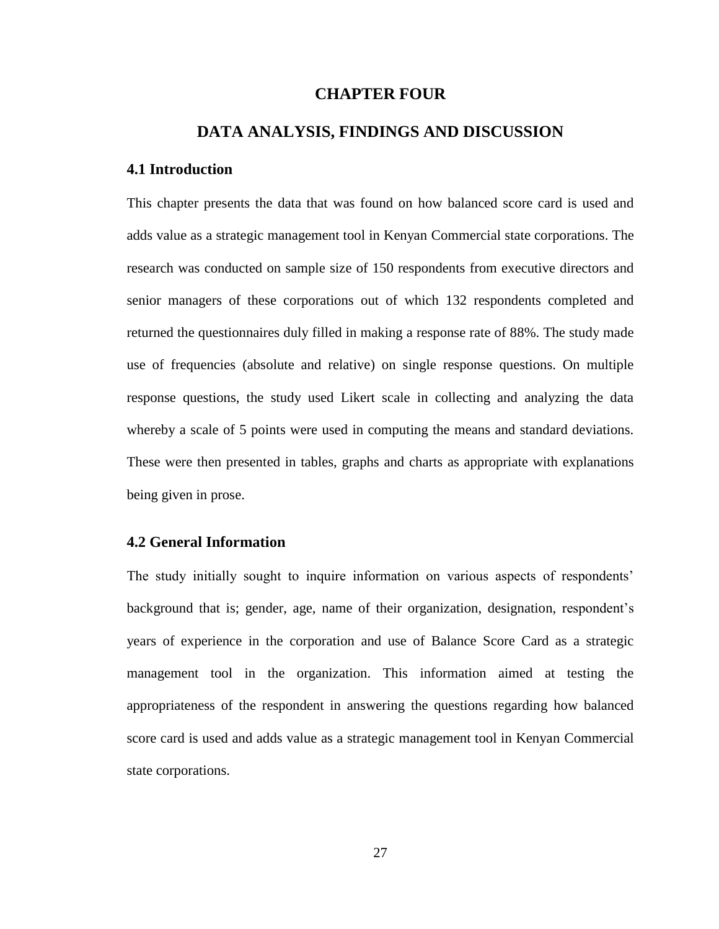## **CHAPTER FOUR**

# **DATA ANALYSIS, FINDINGS AND DISCUSSION**

#### <span id="page-36-1"></span><span id="page-36-0"></span>**4.1 Introduction**

This chapter presents the data that was found on how balanced score card is used and adds value as a strategic management tool in Kenyan Commercial state corporations. The research was conducted on sample size of 150 respondents from executive directors and senior managers of these corporations out of which 132 respondents completed and returned the questionnaires duly filled in making a response rate of 88%. The study made use of frequencies (absolute and relative) on single response questions. On multiple response questions, the study used Likert scale in collecting and analyzing the data whereby a scale of 5 points were used in computing the means and standard deviations. These were then presented in tables, graphs and charts as appropriate with explanations being given in prose.

# <span id="page-36-2"></span>**4.2 General Information**

The study initially sought to inquire information on various aspects of respondents" background that is; gender, age, name of their organization, designation, respondent"s years of experience in the corporation and use of Balance Score Card as a strategic management tool in the organization. This information aimed at testing the appropriateness of the respondent in answering the questions regarding how balanced score card is used and adds value as a strategic management tool in Kenyan Commercial state corporations.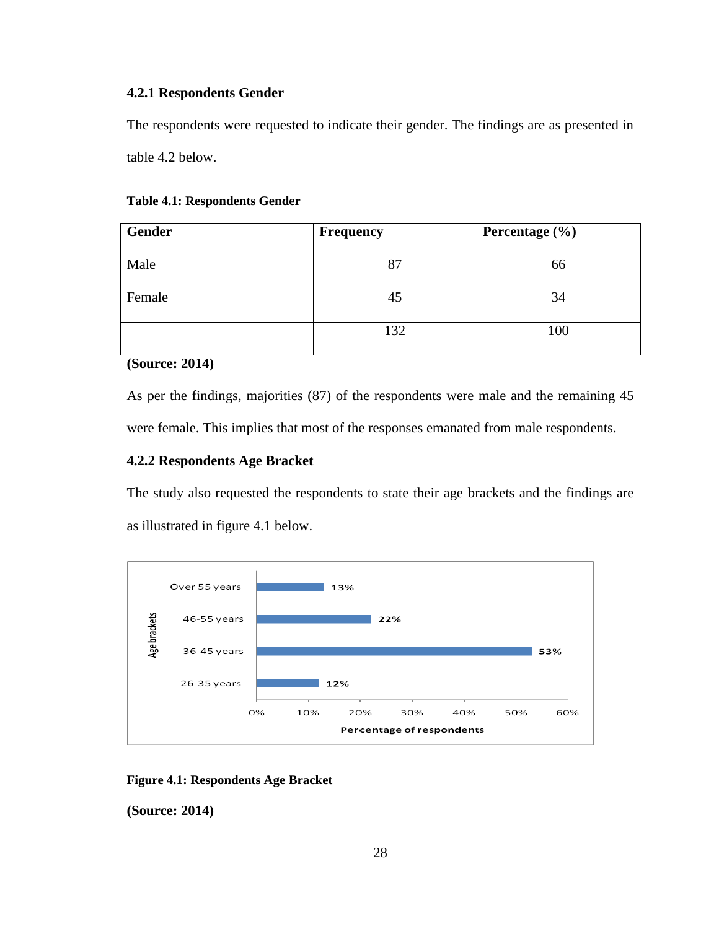# <span id="page-37-0"></span>**4.2.1 Respondents Gender**

The respondents were requested to indicate their gender. The findings are as presented in table 4.2 below.

#### <span id="page-37-3"></span>**Table 4.1: Respondents Gender**

| Gender | <b>Frequency</b> | Percentage $(\% )$ |
|--------|------------------|--------------------|
| Male   | 87               | 66                 |
| Female | 45               | 34                 |
|        | 132              | 100                |

**(Source: 2014)**

As per the findings, majorities (87) of the respondents were male and the remaining 45 were female. This implies that most of the responses emanated from male respondents.

# <span id="page-37-1"></span>**4.2.2 Respondents Age Bracket**

The study also requested the respondents to state their age brackets and the findings are as illustrated in figure 4.1 below.



<span id="page-37-2"></span>**Figure 4.1: Respondents Age Bracket**

**(Source: 2014)**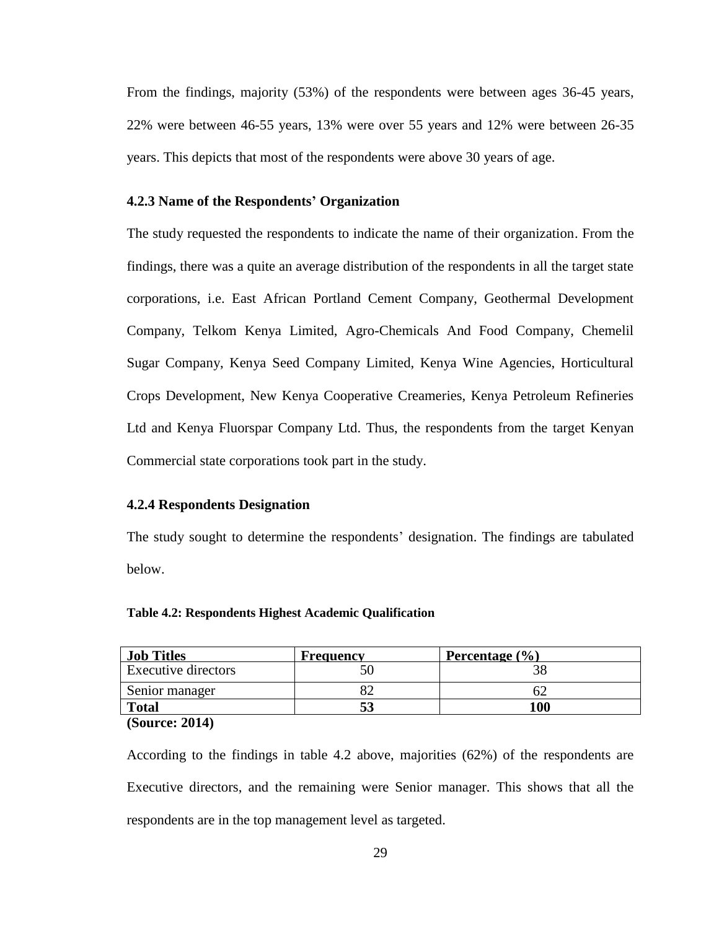From the findings, majority (53%) of the respondents were between ages 36-45 years, 22% were between 46-55 years, 13% were over 55 years and 12% were between 26-35 years. This depicts that most of the respondents were above 30 years of age.

#### <span id="page-38-0"></span>**4.2.3 Name of the Respondents' Organization**

The study requested the respondents to indicate the name of their organization. From the findings, there was a quite an average distribution of the respondents in all the target state corporations, i.e. East African Portland Cement Company, Geothermal Development Company, Telkom Kenya Limited, Agro-Chemicals And Food Company, Chemelil Sugar Company, Kenya Seed Company Limited, Kenya Wine Agencies, Horticultural Crops Development, New Kenya Cooperative Creameries, Kenya Petroleum Refineries Ltd and Kenya Fluorspar Company Ltd. Thus, the respondents from the target Kenyan Commercial state corporations took part in the study.

#### <span id="page-38-1"></span>**4.2.4 Respondents Designation**

The study sought to determine the respondents' designation. The findings are tabulated below.

#### <span id="page-38-2"></span>**Table 4.2: Respondents Highest Academic Qualification**

| <b>Job Titles</b>          | <b>Frequency</b> | Percentage $(\% )$ |
|----------------------------|------------------|--------------------|
| <b>Executive directors</b> |                  |                    |
| Senior manager             |                  |                    |
| <b>Total</b>               |                  | 100                |
| $\sqrt{2}$<br>$AA = A$     |                  |                    |

**(Source: 2014)**

According to the findings in table 4.2 above, majorities (62%) of the respondents are Executive directors, and the remaining were Senior manager. This shows that all the respondents are in the top management level as targeted.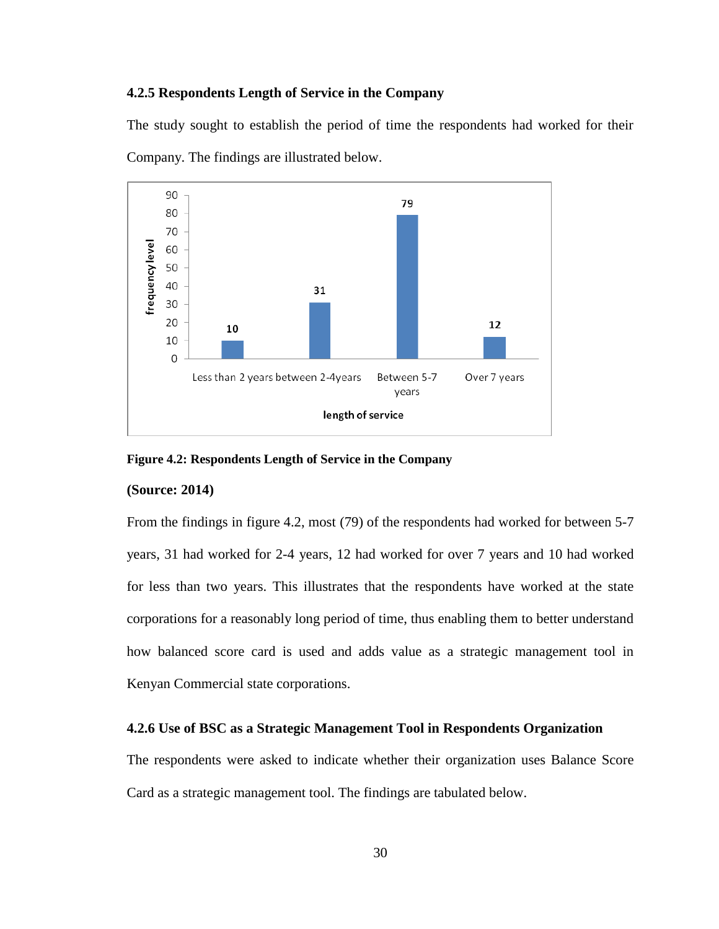#### <span id="page-39-0"></span>**4.2.5 Respondents Length of Service in the Company**

The study sought to establish the period of time the respondents had worked for their Company. The findings are illustrated below.



<span id="page-39-2"></span>**Figure 4.2: Respondents Length of Service in the Company**

#### **(Source: 2014)**

From the findings in figure 4.2, most (79) of the respondents had worked for between 5-7 years, 31 had worked for 2-4 years, 12 had worked for over 7 years and 10 had worked for less than two years. This illustrates that the respondents have worked at the state corporations for a reasonably long period of time, thus enabling them to better understand how balanced score card is used and adds value as a strategic management tool in Kenyan Commercial state corporations.

## <span id="page-39-1"></span>**4.2.6 Use of BSC as a Strategic Management Tool in Respondents Organization**

The respondents were asked to indicate whether their organization uses Balance Score Card as a strategic management tool. The findings are tabulated below.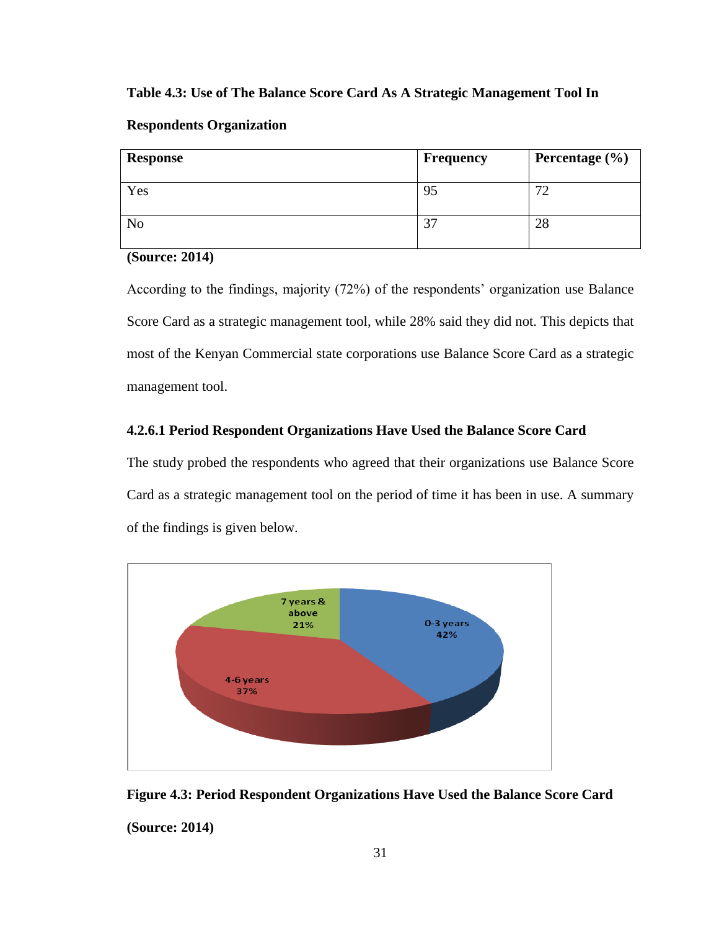#### <span id="page-40-1"></span>**Table 4.3: Use of The Balance Score Card As A Strategic Management Tool In**

| <b>Response</b> | Frequency | Percentage $(\% )$ |
|-----------------|-----------|--------------------|
| Yes             | 95        | 70                 |
| N <sub>o</sub>  | っっ        | 28                 |

# **Respondents Organization**

**(Source: 2014)**

According to the findings, majority (72%) of the respondents' organization use Balance Score Card as a strategic management tool, while 28% said they did not. This depicts that most of the Kenyan Commercial state corporations use Balance Score Card as a strategic management tool.

#### **4.2.6.1 Period Respondent Organizations Have Used the Balance Score Card**

The study probed the respondents who agreed that their organizations use Balance Score Card as a strategic management tool on the period of time it has been in use. A summary of the findings is given below.



<span id="page-40-0"></span>

**(Source: 2014)**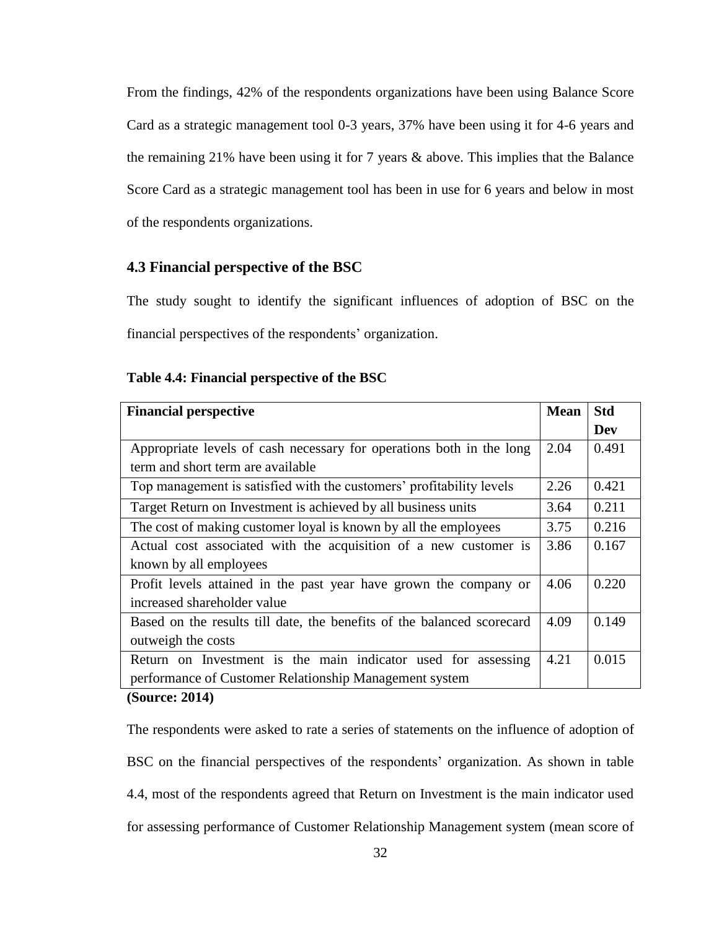From the findings, 42% of the respondents organizations have been using Balance Score Card as a strategic management tool 0-3 years, 37% have been using it for 4-6 years and the remaining 21% have been using it for 7 years & above. This implies that the Balance Score Card as a strategic management tool has been in use for 6 years and below in most of the respondents organizations.

# <span id="page-41-0"></span>**4.3 Financial perspective of the BSC**

The study sought to identify the significant influences of adoption of BSC on the financial perspectives of the respondents' organization.

| <b>Financial perspective</b>                                           | <b>Mean</b> | <b>Std</b> |
|------------------------------------------------------------------------|-------------|------------|
|                                                                        |             | Dev        |
| Appropriate levels of cash necessary for operations both in the long   | 2.04        | 0.491      |
| term and short term are available                                      |             |            |
| Top management is satisfied with the customers' profitability levels   | 2.26        | 0.421      |
| Target Return on Investment is achieved by all business units          | 3.64        | 0.211      |
| The cost of making customer loyal is known by all the employees        | 3.75        | 0.216      |
| Actual cost associated with the acquisition of a new customer is       | 3.86        | 0.167      |
| known by all employees                                                 |             |            |
| Profit levels attained in the past year have grown the company or      | 4.06        | 0.220      |
| increased shareholder value                                            |             |            |
| Based on the results till date, the benefits of the balanced scorecard | 4.09        | 0.149      |
| outweigh the costs                                                     |             |            |
| Return on Investment is the main indicator used for assessing          | 4.21        | 0.015      |
| performance of Customer Relationship Management system                 |             |            |

#### <span id="page-41-1"></span>**Table 4.4: Financial perspective of the BSC**

#### **(Source: 2014)**

The respondents were asked to rate a series of statements on the influence of adoption of BSC on the financial perspectives of the respondents' organization. As shown in table 4.4, most of the respondents agreed that Return on Investment is the main indicator used for assessing performance of Customer Relationship Management system (mean score of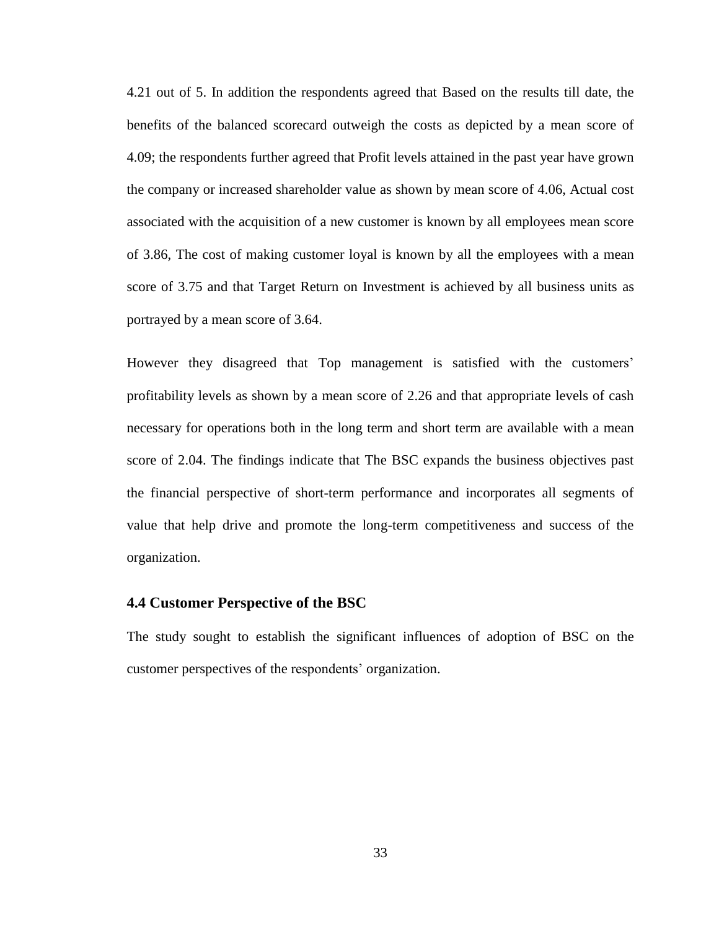4.21 out of 5. In addition the respondents agreed that Based on the results till date, the benefits of the balanced scorecard outweigh the costs as depicted by a mean score of 4.09; the respondents further agreed that Profit levels attained in the past year have grown the company or increased shareholder value as shown by mean score of 4.06, Actual cost associated with the acquisition of a new customer is known by all employees mean score of 3.86, The cost of making customer loyal is known by all the employees with a mean score of 3.75 and that Target Return on Investment is achieved by all business units as portrayed by a mean score of 3.64.

However they disagreed that Top management is satisfied with the customers' profitability levels as shown by a mean score of 2.26 and that appropriate levels of cash necessary for operations both in the long term and short term are available with a mean score of 2.04. The findings indicate that The BSC expands the business objectives past the financial perspective of short-term performance and incorporates all segments of value that help drive and promote the long-term competitiveness and success of the organization.

#### <span id="page-42-0"></span>**4.4 Customer Perspective of the BSC**

<span id="page-42-1"></span>The study sought to establish the significant influences of adoption of BSC on the customer perspectives of the respondents' organization.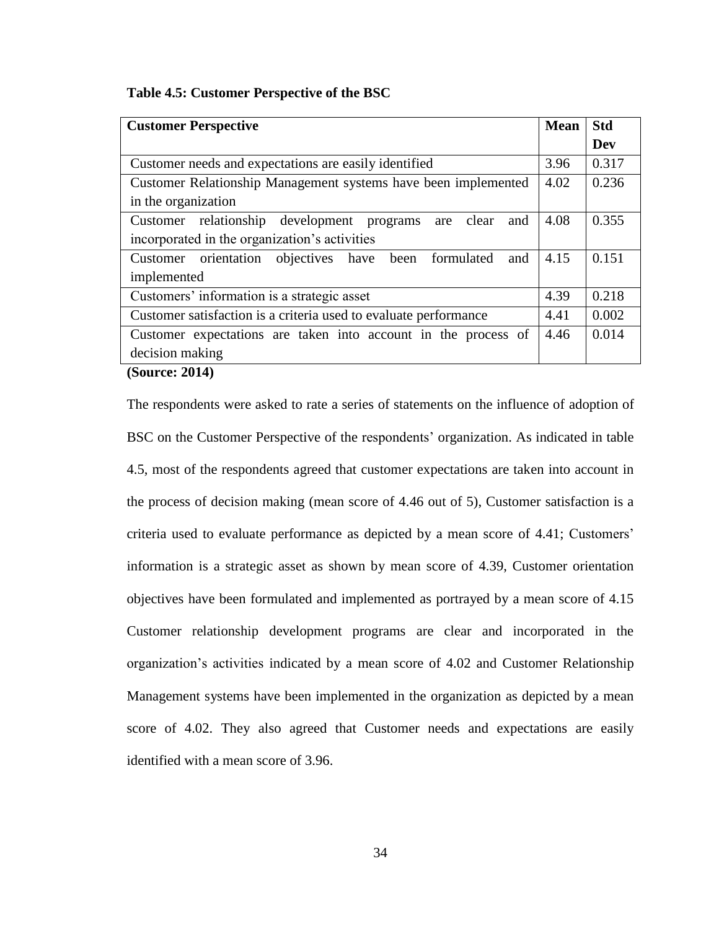**Table 4.5: Customer Perspective of the BSC**

| <b>Customer Perspective</b>                                       | <b>Mean</b> | <b>Std</b> |
|-------------------------------------------------------------------|-------------|------------|
|                                                                   |             | Dev        |
| Customer needs and expectations are easily identified             | 3.96        | 0.317      |
| Customer Relationship Management systems have been implemented    | 4.02        | 0.236      |
| in the organization                                               |             |            |
| Customer relationship development programs<br>clear<br>and<br>are | 4.08        | 0.355      |
| incorporated in the organization's activities                     |             |            |
| Customer orientation objectives have<br>been formulated<br>and    | 4.15        | 0.151      |
| implemented                                                       |             |            |
| Customers' information is a strategic asset                       | 4.39        | 0.218      |
| Customer satisfaction is a criteria used to evaluate performance  | 4.41        | 0.002      |
| Customer expectations are taken into account in the process of    | 4.46        | 0.014      |
| decision making                                                   |             |            |
| $\sim$<br>$AA = A$                                                |             |            |

**(Source: 2014)**

The respondents were asked to rate a series of statements on the influence of adoption of BSC on the Customer Perspective of the respondents' organization. As indicated in table 4.5, most of the respondents agreed that customer expectations are taken into account in the process of decision making (mean score of 4.46 out of 5), Customer satisfaction is a criteria used to evaluate performance as depicted by a mean score of 4.41; Customers" information is a strategic asset as shown by mean score of 4.39, Customer orientation objectives have been formulated and implemented as portrayed by a mean score of 4.15 Customer relationship development programs are clear and incorporated in the organization"s activities indicated by a mean score of 4.02 and Customer Relationship Management systems have been implemented in the organization as depicted by a mean score of 4.02. They also agreed that Customer needs and expectations are easily identified with a mean score of 3.96.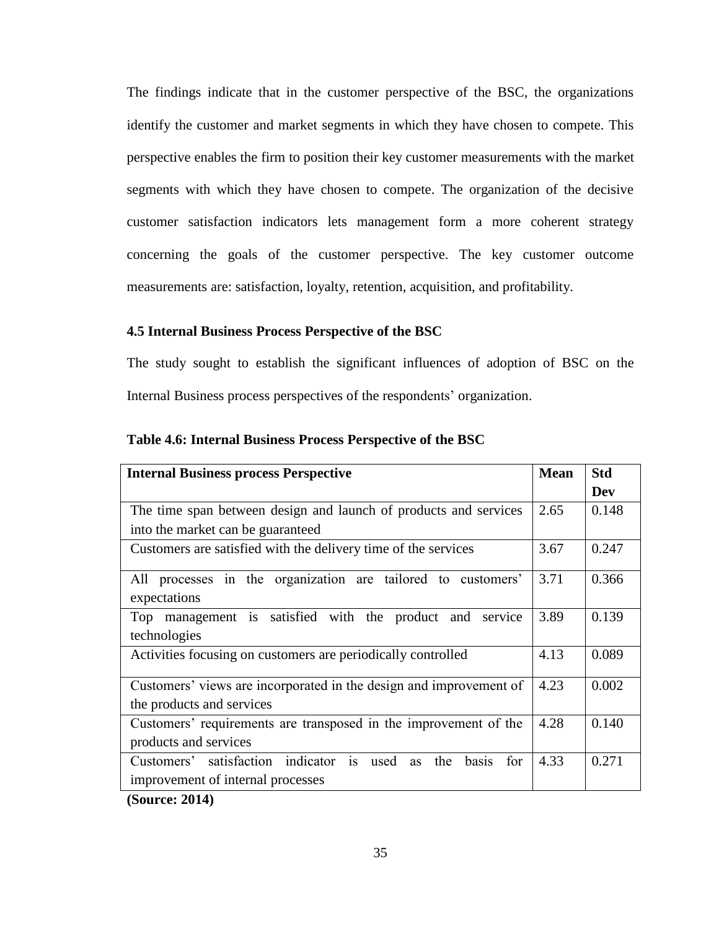The findings indicate that in the customer perspective of the BSC, the organizations identify the customer and market segments in which they have chosen to compete. This perspective enables the firm to position their key customer measurements with the market segments with which they have chosen to compete. The organization of the decisive customer satisfaction indicators lets management form a more coherent strategy concerning the goals of the customer perspective. The key customer outcome measurements are: satisfaction, loyalty, retention, acquisition, and profitability.

# **4.5 Internal Business Process Perspective of the BSC**

The study sought to establish the significant influences of adoption of BSC on the Internal Business process perspectives of the respondents" organization.

| <b>Internal Business process Perspective</b>                                                                          | <b>Mean</b> | <b>Std</b> |
|-----------------------------------------------------------------------------------------------------------------------|-------------|------------|
|                                                                                                                       |             | <b>Dev</b> |
| The time span between design and launch of products and services                                                      | 2.65        | 0.148      |
| into the market can be guaranteed                                                                                     |             |            |
| Customers are satisfied with the delivery time of the services                                                        | 3.67        | 0.247      |
| All processes in the organization are tailored to customers'<br>expectations                                          | 3.71        | 0.366      |
| Top management is satisfied with the product and<br>service<br>technologies                                           | 3.89        | 0.139      |
| Activities focusing on customers are periodically controlled                                                          | 4.13        | 0.089      |
| Customers' views are incorporated in the design and improvement of<br>the products and services                       | 4.23        | 0.002      |
| Customers' requirements are transposed in the improvement of the<br>products and services                             | 4.28        | 0.140      |
| Customers' satisfaction indicator is<br>used<br>the<br>basis<br>for<br><b>as</b><br>improvement of internal processes | 4.33        | 0.271      |

<span id="page-44-0"></span>**Table 4.6: Internal Business Process Perspective of the BSC**

**(Source: 2014)**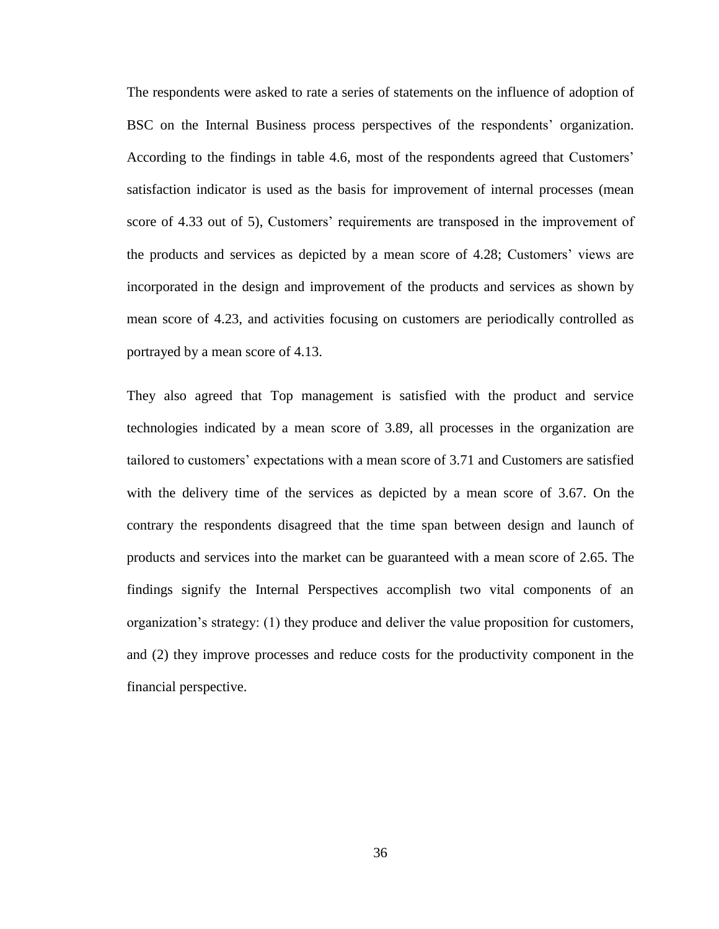The respondents were asked to rate a series of statements on the influence of adoption of BSC on the Internal Business process perspectives of the respondents' organization. According to the findings in table 4.6, most of the respondents agreed that Customers" satisfaction indicator is used as the basis for improvement of internal processes (mean score of 4.33 out of 5), Customers' requirements are transposed in the improvement of the products and services as depicted by a mean score of 4.28; Customers' views are incorporated in the design and improvement of the products and services as shown by mean score of 4.23, and activities focusing on customers are periodically controlled as portrayed by a mean score of 4.13.

<span id="page-45-0"></span>They also agreed that Top management is satisfied with the product and service technologies indicated by a mean score of 3.89, all processes in the organization are tailored to customers" expectations with a mean score of 3.71 and Customers are satisfied with the delivery time of the services as depicted by a mean score of 3.67. On the contrary the respondents disagreed that the time span between design and launch of products and services into the market can be guaranteed with a mean score of 2.65. The findings signify the Internal Perspectives accomplish two vital components of an organization"s strategy: (1) they produce and deliver the value proposition for customers, and (2) they improve processes and reduce costs for the productivity component in the financial perspective.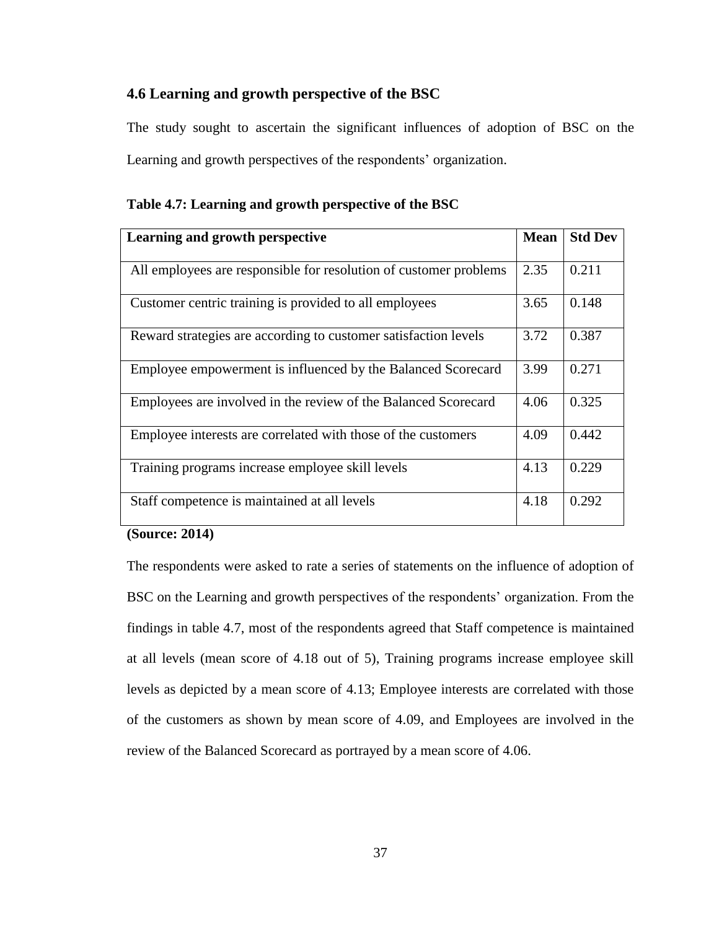# **4.6 Learning and growth perspective of the BSC**

The study sought to ascertain the significant influences of adoption of BSC on the Learning and growth perspectives of the respondents' organization.

| Learning and growth perspective                                   | <b>Mean</b> | <b>Std Dev</b> |
|-------------------------------------------------------------------|-------------|----------------|
| All employees are responsible for resolution of customer problems | 2.35        | 0.211          |
|                                                                   |             |                |
| Customer centric training is provided to all employees            | 3.65        | 0.148          |
| Reward strategies are according to customer satisfaction levels   | 3.72        | 0.387          |
| Employee empowerment is influenced by the Balanced Scorecard      | 3.99        | 0.271          |
| Employees are involved in the review of the Balanced Scorecard    | 4.06        | 0.325          |
| Employee interests are correlated with those of the customers     | 4.09        | 0.442          |
| Training programs increase employee skill levels                  | 4.13        | 0.229          |
| Staff competence is maintained at all levels                      | 4.18        | 0.292          |

# <span id="page-46-0"></span>**Table 4.7: Learning and growth perspective of the BSC**

#### **(Source: 2014)**

The respondents were asked to rate a series of statements on the influence of adoption of BSC on the Learning and growth perspectives of the respondents' organization. From the findings in table 4.7, most of the respondents agreed that Staff competence is maintained at all levels (mean score of 4.18 out of 5), Training programs increase employee skill levels as depicted by a mean score of 4.13; Employee interests are correlated with those of the customers as shown by mean score of 4.09, and Employees are involved in the review of the Balanced Scorecard as portrayed by a mean score of 4.06.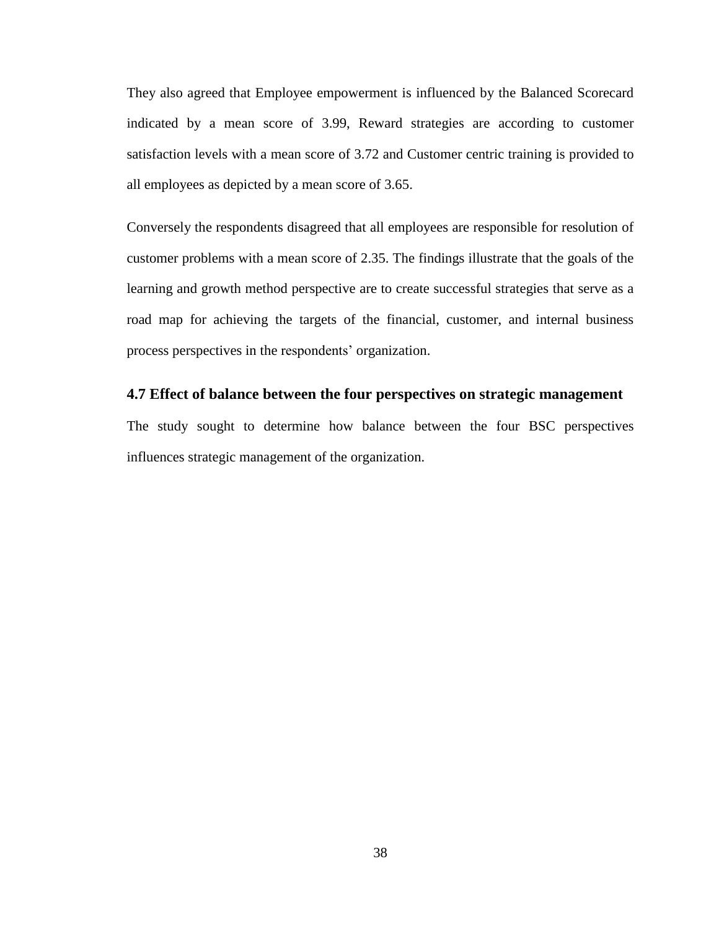They also agreed that Employee empowerment is influenced by the Balanced Scorecard indicated by a mean score of 3.99, Reward strategies are according to customer satisfaction levels with a mean score of 3.72 and Customer centric training is provided to all employees as depicted by a mean score of 3.65.

Conversely the respondents disagreed that all employees are responsible for resolution of customer problems with a mean score of 2.35. The findings illustrate that the goals of the learning and growth method perspective are to create successful strategies that serve as a road map for achieving the targets of the financial, customer, and internal business process perspectives in the respondents' organization.

#### <span id="page-47-0"></span>**4.7 Effect of balance between the four perspectives on strategic management**

<span id="page-47-1"></span>The study sought to determine how balance between the four BSC perspectives influences strategic management of the organization.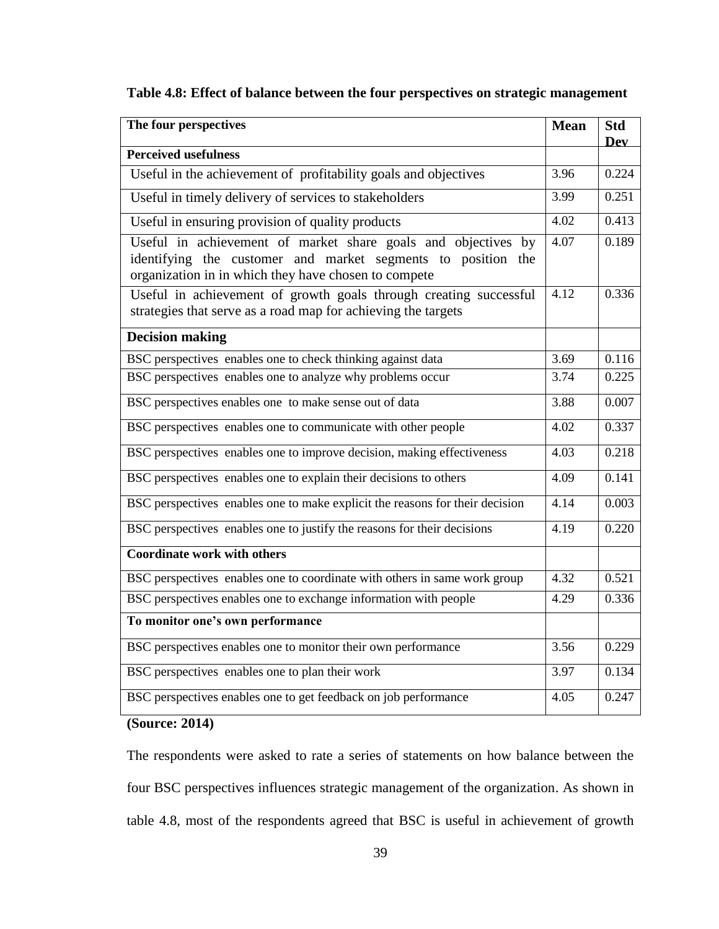| Table 4.8: Effect of balance between the four perspectives on strategic management |  |  |  |  |  |
|------------------------------------------------------------------------------------|--|--|--|--|--|
|                                                                                    |  |  |  |  |  |

| The four perspectives                                                                                                                                                                 | <b>Mean</b> | <b>Std</b><br><b>Dev</b> |
|---------------------------------------------------------------------------------------------------------------------------------------------------------------------------------------|-------------|--------------------------|
| <b>Perceived usefulness</b>                                                                                                                                                           |             |                          |
| Useful in the achievement of profitability goals and objectives                                                                                                                       | 3.96        | 0.224                    |
| Useful in timely delivery of services to stakeholders                                                                                                                                 | 3.99        | $\overline{0.251}$       |
| Useful in ensuring provision of quality products                                                                                                                                      | 4.02        | 0.413                    |
| Useful in achievement of market share goals and objectives by<br>identifying the customer and market segments to position the<br>organization in in which they have chosen to compete | 4.07        | 0.189                    |
| Useful in achievement of growth goals through creating successful<br>strategies that serve as a road map for achieving the targets                                                    | 4.12        | 0.336                    |
| <b>Decision making</b>                                                                                                                                                                |             |                          |
| BSC perspectives enables one to check thinking against data                                                                                                                           | 3.69        | 0.116                    |
| BSC perspectives enables one to analyze why problems occur                                                                                                                            | 3.74        | 0.225                    |
| BSC perspectives enables one to make sense out of data                                                                                                                                | 3.88        | 0.007                    |
| BSC perspectives enables one to communicate with other people                                                                                                                         | 4.02        | 0.337                    |
| BSC perspectives enables one to improve decision, making effectiveness                                                                                                                | 4.03        | 0.218                    |
| BSC perspectives enables one to explain their decisions to others                                                                                                                     | 4.09        | 0.141                    |
| BSC perspectives enables one to make explicit the reasons for their decision                                                                                                          | 4.14        | 0.003                    |
| BSC perspectives enables one to justify the reasons for their decisions                                                                                                               | 4.19        | 0.220                    |
| <b>Coordinate work with others</b>                                                                                                                                                    |             |                          |
| BSC perspectives enables one to coordinate with others in same work group                                                                                                             | 4.32        | 0.521                    |
| BSC perspectives enables one to exchange information with people                                                                                                                      | 4.29        | 0.336                    |
| To monitor one's own performance                                                                                                                                                      |             |                          |
| BSC perspectives enables one to monitor their own performance                                                                                                                         | 3.56        | 0.229                    |
| BSC perspectives enables one to plan their work                                                                                                                                       | 3.97        | 0.134                    |
| BSC perspectives enables one to get feedback on job performance                                                                                                                       | 4.05        | 0.247                    |

# **(Source: 2014)**

The respondents were asked to rate a series of statements on how balance between the four BSC perspectives influences strategic management of the organization. As shown in table 4.8, most of the respondents agreed that BSC is useful in achievement of growth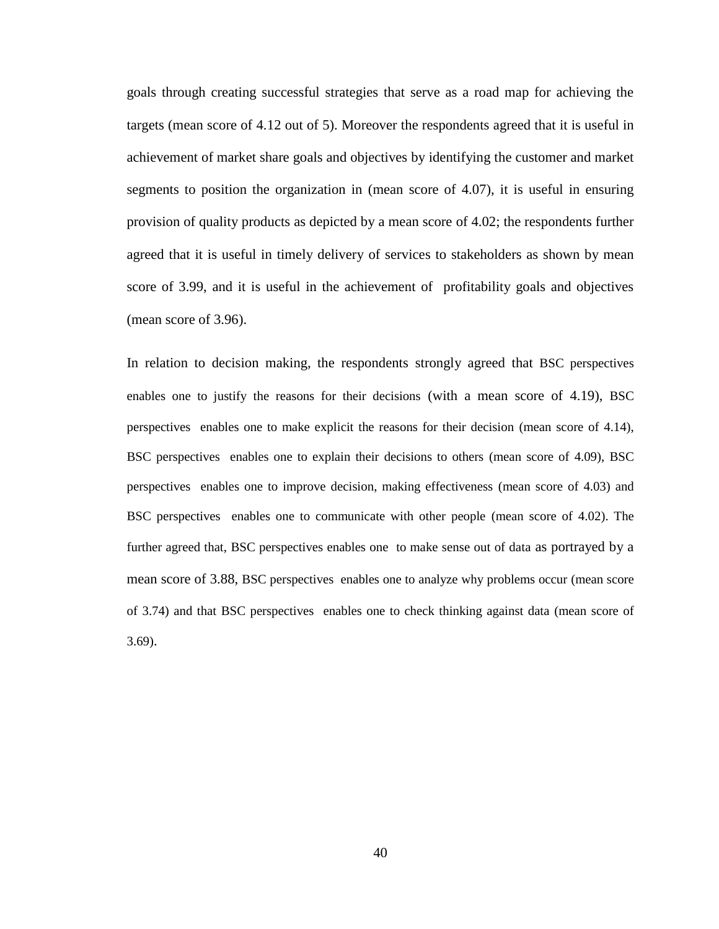goals through creating successful strategies that serve as a road map for achieving the targets (mean score of 4.12 out of 5). Moreover the respondents agreed that it is useful in achievement of market share goals and objectives by identifying the customer and market segments to position the organization in (mean score of 4.07), it is useful in ensuring provision of quality products as depicted by a mean score of 4.02; the respondents further agreed that it is useful in timely delivery of services to stakeholders as shown by mean score of 3.99, and it is useful in the achievement of profitability goals and objectives (mean score of 3.96).

In relation to decision making, the respondents strongly agreed that BSC perspectives enables one to justify the reasons for their decisions (with a mean score of 4.19), BSC perspectives enables one to make explicit the reasons for their decision (mean score of 4.14), BSC perspectives enables one to explain their decisions to others (mean score of 4.09), BSC perspectives enables one to improve decision, making effectiveness (mean score of 4.03) and BSC perspectives enables one to communicate with other people (mean score of 4.02). The further agreed that, BSC perspectives enables one to make sense out of data as portrayed by a mean score of 3.88, BSC perspectives enables one to analyze why problems occur (mean score of 3.74) and that BSC perspectives enables one to check thinking against data (mean score of 3.69).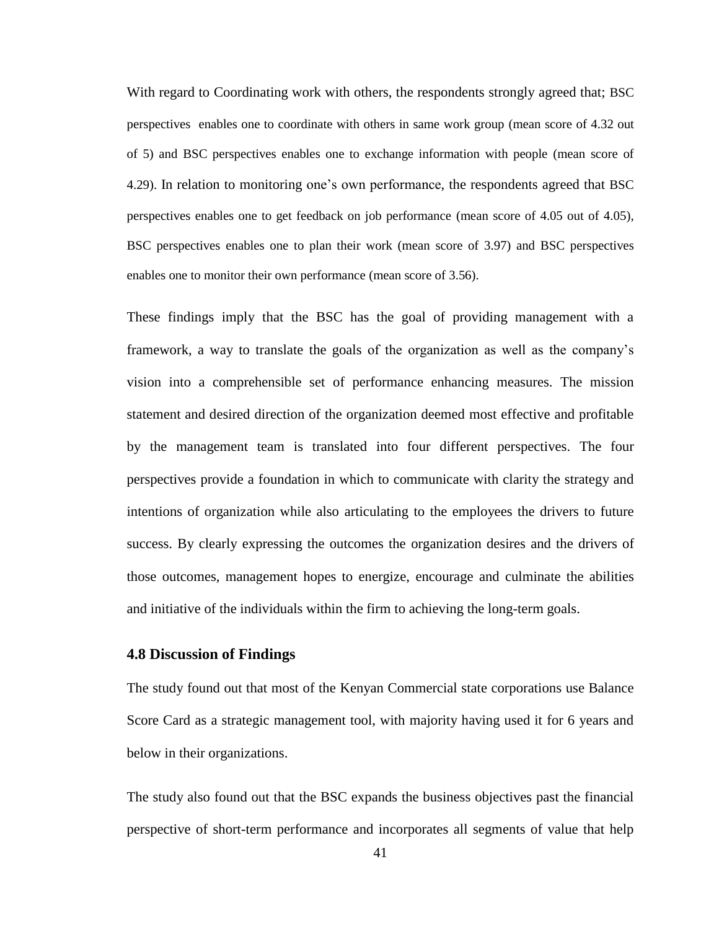With regard to Coordinating work with others, the respondents strongly agreed that; BSC perspectives enables one to coordinate with others in same work group (mean score of 4.32 out of 5) and BSC perspectives enables one to exchange information with people (mean score of 4.29). In relation to monitoring one"s own performance, the respondents agreed that BSC perspectives enables one to get feedback on job performance (mean score of 4.05 out of 4.05), BSC perspectives enables one to plan their work (mean score of 3.97) and BSC perspectives enables one to monitor their own performance (mean score of 3.56).

These findings imply that the BSC has the goal of providing management with a framework, a way to translate the goals of the organization as well as the company"s vision into a comprehensible set of performance enhancing measures. The mission statement and desired direction of the organization deemed most effective and profitable by the management team is translated into four different perspectives. The four perspectives provide a foundation in which to communicate with clarity the strategy and intentions of organization while also articulating to the employees the drivers to future success. By clearly expressing the outcomes the organization desires and the drivers of those outcomes, management hopes to energize, encourage and culminate the abilities and initiative of the individuals within the firm to achieving the long-term goals.

#### <span id="page-50-0"></span>**4.8 Discussion of Findings**

The study found out that most of the Kenyan Commercial state corporations use Balance Score Card as a strategic management tool, with majority having used it for 6 years and below in their organizations.

The study also found out that the BSC expands the business objectives past the financial perspective of short-term performance and incorporates all segments of value that help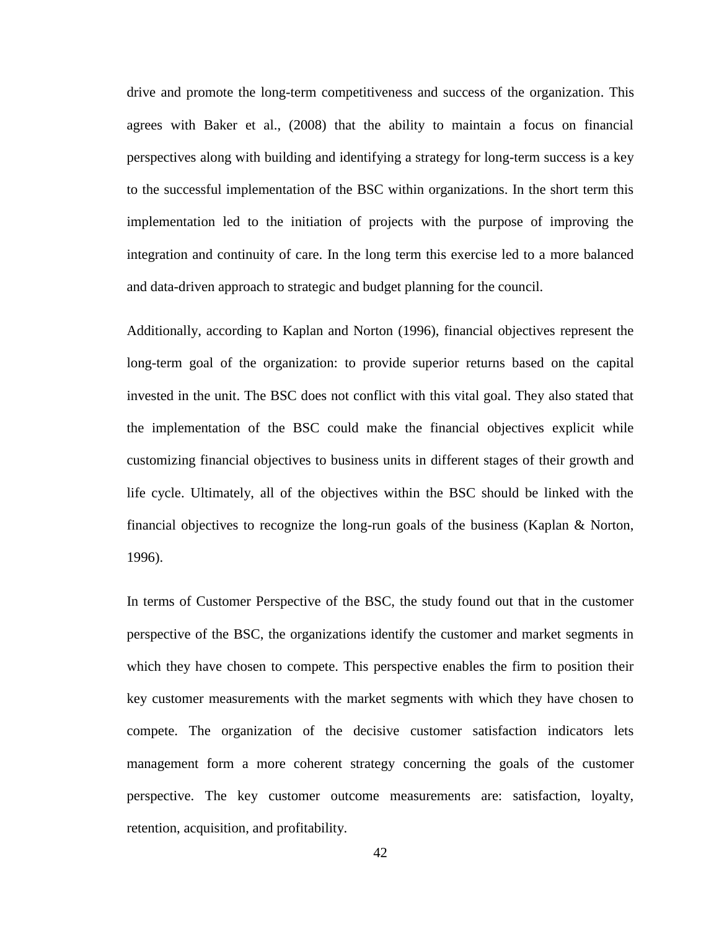drive and promote the long-term competitiveness and success of the organization. This agrees with Baker et al., (2008) that the ability to maintain a focus on financial perspectives along with building and identifying a strategy for long-term success is a key to the successful implementation of the BSC within organizations. In the short term this implementation led to the initiation of projects with the purpose of improving the integration and continuity of care. In the long term this exercise led to a more balanced and data-driven approach to strategic and budget planning for the council.

Additionally, according to Kaplan and Norton (1996), financial objectives represent the long-term goal of the organization: to provide superior returns based on the capital invested in the unit. The BSC does not conflict with this vital goal. They also stated that the implementation of the BSC could make the financial objectives explicit while customizing financial objectives to business units in different stages of their growth and life cycle. Ultimately, all of the objectives within the BSC should be linked with the financial objectives to recognize the long-run goals of the business (Kaplan & Norton, 1996).

In terms of Customer Perspective of the BSC, the study found out that in the customer perspective of the BSC, the organizations identify the customer and market segments in which they have chosen to compete. This perspective enables the firm to position their key customer measurements with the market segments with which they have chosen to compete. The organization of the decisive customer satisfaction indicators lets management form a more coherent strategy concerning the goals of the customer perspective. The key customer outcome measurements are: satisfaction, loyalty, retention, acquisition, and profitability.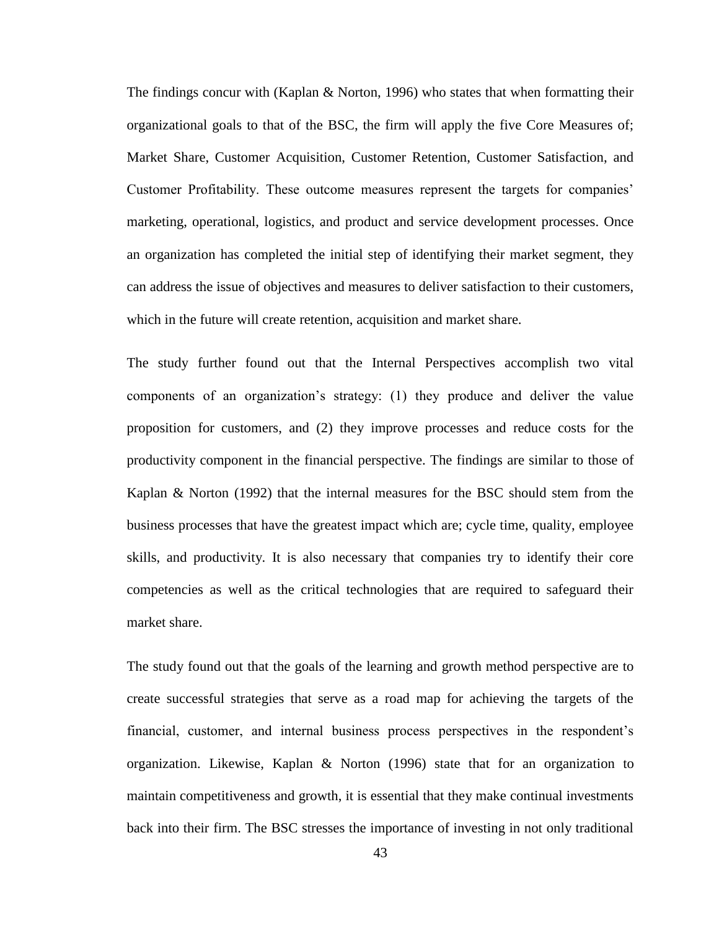The findings concur with (Kaplan & Norton, 1996) who states that when formatting their organizational goals to that of the BSC, the firm will apply the five Core Measures of; Market Share, Customer Acquisition, Customer Retention, Customer Satisfaction, and Customer Profitability. These outcome measures represent the targets for companies" marketing, operational, logistics, and product and service development processes. Once an organization has completed the initial step of identifying their market segment, they can address the issue of objectives and measures to deliver satisfaction to their customers, which in the future will create retention, acquisition and market share.

The study further found out that the Internal Perspectives accomplish two vital components of an organization"s strategy: (1) they produce and deliver the value proposition for customers, and (2) they improve processes and reduce costs for the productivity component in the financial perspective. The findings are similar to those of Kaplan & Norton (1992) that the internal measures for the BSC should stem from the business processes that have the greatest impact which are; cycle time, quality, employee skills, and productivity. It is also necessary that companies try to identify their core competencies as well as the critical technologies that are required to safeguard their market share.

The study found out that the goals of the learning and growth method perspective are to create successful strategies that serve as a road map for achieving the targets of the financial, customer, and internal business process perspectives in the respondent's organization. Likewise, Kaplan & Norton (1996) state that for an organization to maintain competitiveness and growth, it is essential that they make continual investments back into their firm. The BSC stresses the importance of investing in not only traditional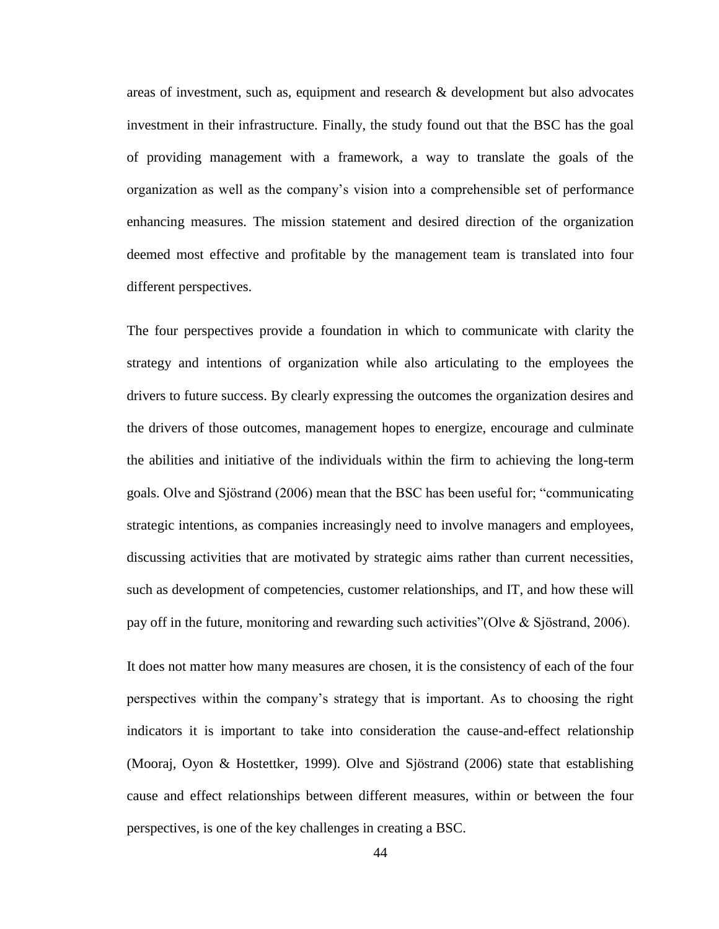areas of investment, such as, equipment and research & development but also advocates investment in their infrastructure. Finally, the study found out that the BSC has the goal of providing management with a framework, a way to translate the goals of the organization as well as the company"s vision into a comprehensible set of performance enhancing measures. The mission statement and desired direction of the organization deemed most effective and profitable by the management team is translated into four different perspectives.

The four perspectives provide a foundation in which to communicate with clarity the strategy and intentions of organization while also articulating to the employees the drivers to future success. By clearly expressing the outcomes the organization desires and the drivers of those outcomes, management hopes to energize, encourage and culminate the abilities and initiative of the individuals within the firm to achieving the long-term goals. Olve and Sjöstrand (2006) mean that the BSC has been useful for; "communicating strategic intentions, as companies increasingly need to involve managers and employees, discussing activities that are motivated by strategic aims rather than current necessities, such as development of competencies, customer relationships, and IT, and how these will pay off in the future, monitoring and rewarding such activities"(Olve & Sjöstrand, 2006).

It does not matter how many measures are chosen, it is the consistency of each of the four perspectives within the company"s strategy that is important. As to choosing the right indicators it is important to take into consideration the cause-and-effect relationship (Mooraj, Oyon & Hostettker, 1999). Olve and Sjöstrand (2006) state that establishing cause and effect relationships between different measures, within or between the four perspectives, is one of the key challenges in creating a BSC.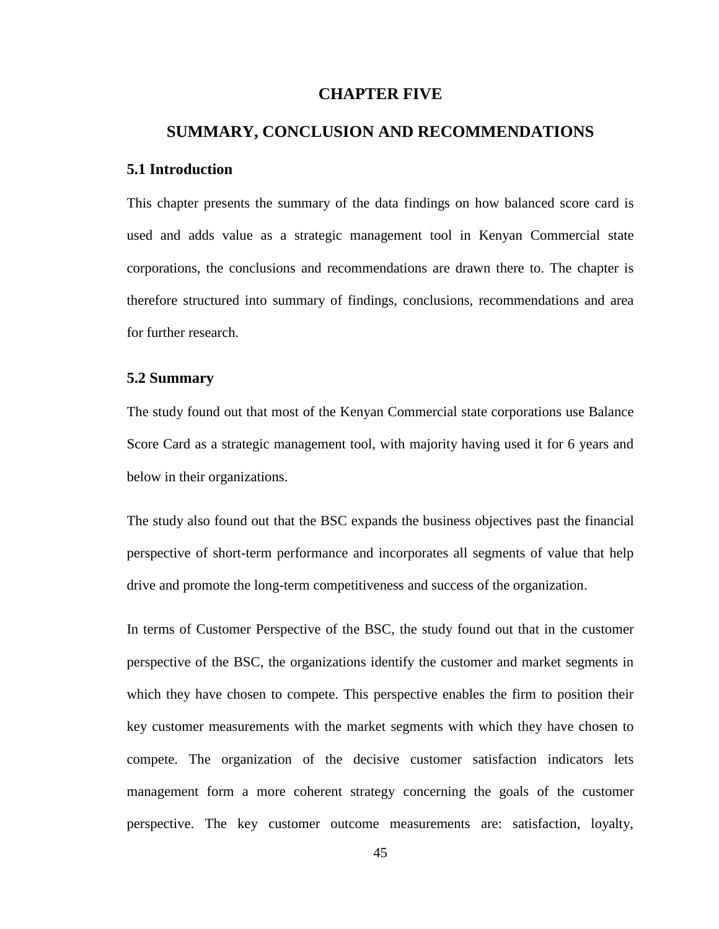# **CHAPTER FIVE**

# <span id="page-54-0"></span>**SUMMARY, CONCLUSION AND RECOMMENDATIONS**

#### <span id="page-54-1"></span>**5.1 Introduction**

This chapter presents the summary of the data findings on how balanced score card is used and adds value as a strategic management tool in Kenyan Commercial state corporations, the conclusions and recommendations are drawn there to. The chapter is therefore structured into summary of findings, conclusions, recommendations and area for further research.

### <span id="page-54-2"></span>**5.2 Summary**

The study found out that most of the Kenyan Commercial state corporations use Balance Score Card as a strategic management tool, with majority having used it for 6 years and below in their organizations.

The study also found out that the BSC expands the business objectives past the financial perspective of short-term performance and incorporates all segments of value that help drive and promote the long-term competitiveness and success of the organization.

In terms of Customer Perspective of the BSC, the study found out that in the customer perspective of the BSC, the organizations identify the customer and market segments in which they have chosen to compete. This perspective enables the firm to position their key customer measurements with the market segments with which they have chosen to compete. The organization of the decisive customer satisfaction indicators lets management form a more coherent strategy concerning the goals of the customer perspective. The key customer outcome measurements are: satisfaction, loyalty,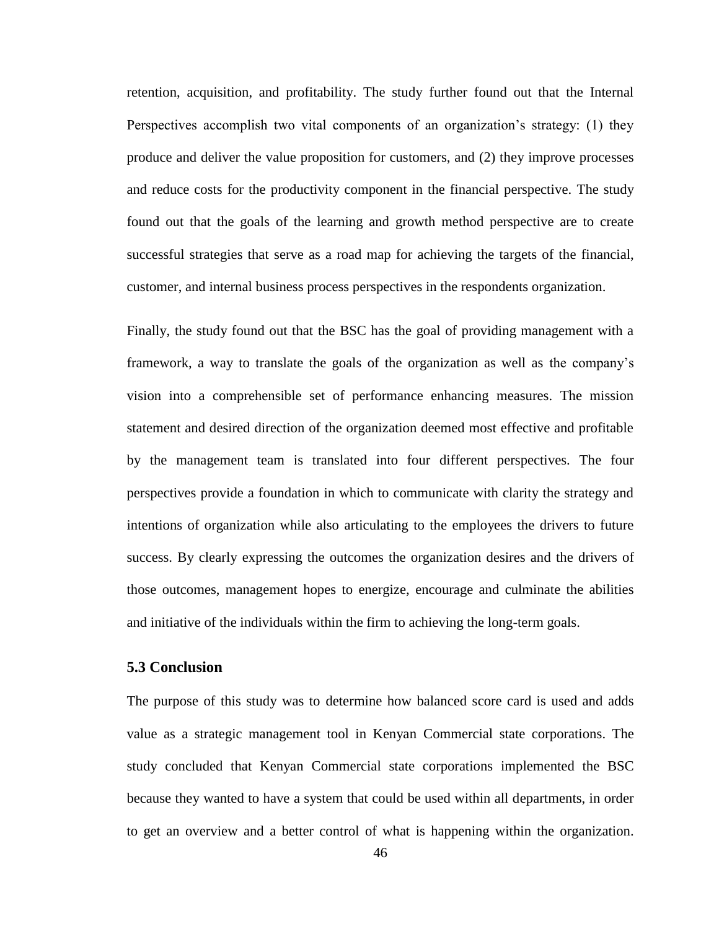retention, acquisition, and profitability. The study further found out that the Internal Perspectives accomplish two vital components of an organization's strategy: (1) they produce and deliver the value proposition for customers, and (2) they improve processes and reduce costs for the productivity component in the financial perspective. The study found out that the goals of the learning and growth method perspective are to create successful strategies that serve as a road map for achieving the targets of the financial, customer, and internal business process perspectives in the respondents organization.

Finally, the study found out that the BSC has the goal of providing management with a framework, a way to translate the goals of the organization as well as the company"s vision into a comprehensible set of performance enhancing measures. The mission statement and desired direction of the organization deemed most effective and profitable by the management team is translated into four different perspectives. The four perspectives provide a foundation in which to communicate with clarity the strategy and intentions of organization while also articulating to the employees the drivers to future success. By clearly expressing the outcomes the organization desires and the drivers of those outcomes, management hopes to energize, encourage and culminate the abilities and initiative of the individuals within the firm to achieving the long-term goals.

# <span id="page-55-0"></span>**5.3 Conclusion**

The purpose of this study was to determine how balanced score card is used and adds value as a strategic management tool in Kenyan Commercial state corporations. The study concluded that Kenyan Commercial state corporations implemented the BSC because they wanted to have a system that could be used within all departments, in order to get an overview and a better control of what is happening within the organization.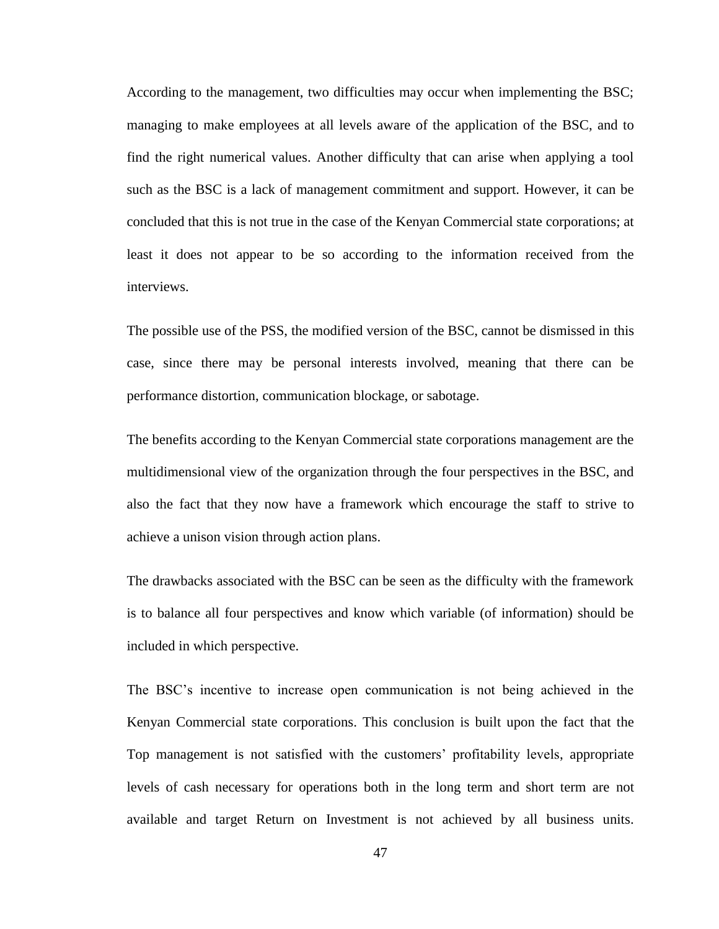According to the management, two difficulties may occur when implementing the BSC; managing to make employees at all levels aware of the application of the BSC, and to find the right numerical values. Another difficulty that can arise when applying a tool such as the BSC is a lack of management commitment and support. However, it can be concluded that this is not true in the case of the Kenyan Commercial state corporations; at least it does not appear to be so according to the information received from the interviews.

The possible use of the PSS, the modified version of the BSC, cannot be dismissed in this case, since there may be personal interests involved, meaning that there can be performance distortion, communication blockage, or sabotage.

The benefits according to the Kenyan Commercial state corporations management are the multidimensional view of the organization through the four perspectives in the BSC, and also the fact that they now have a framework which encourage the staff to strive to achieve a unison vision through action plans.

The drawbacks associated with the BSC can be seen as the difficulty with the framework is to balance all four perspectives and know which variable (of information) should be included in which perspective.

The BSC"s incentive to increase open communication is not being achieved in the Kenyan Commercial state corporations. This conclusion is built upon the fact that the Top management is not satisfied with the customers" profitability levels, appropriate levels of cash necessary for operations both in the long term and short term are not available and target Return on Investment is not achieved by all business units.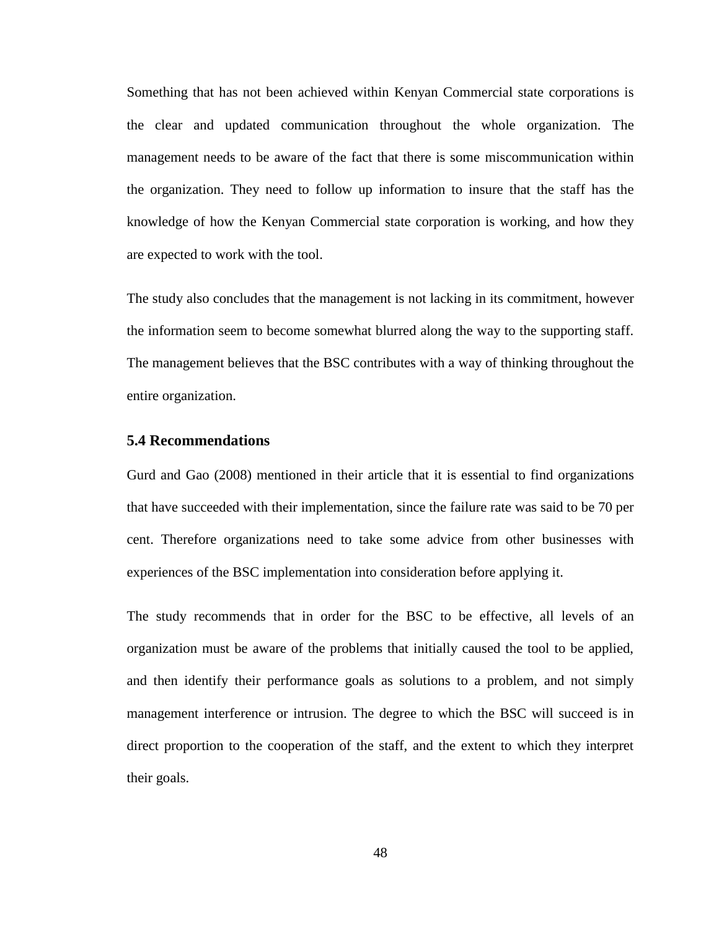Something that has not been achieved within Kenyan Commercial state corporations is the clear and updated communication throughout the whole organization. The management needs to be aware of the fact that there is some miscommunication within the organization. They need to follow up information to insure that the staff has the knowledge of how the Kenyan Commercial state corporation is working, and how they are expected to work with the tool.

The study also concludes that the management is not lacking in its commitment, however the information seem to become somewhat blurred along the way to the supporting staff. The management believes that the BSC contributes with a way of thinking throughout the entire organization.

#### <span id="page-57-0"></span>**5.4 Recommendations**

Gurd and Gao (2008) mentioned in their article that it is essential to find organizations that have succeeded with their implementation, since the failure rate was said to be 70 per cent. Therefore organizations need to take some advice from other businesses with experiences of the BSC implementation into consideration before applying it.

The study recommends that in order for the BSC to be effective, all levels of an organization must be aware of the problems that initially caused the tool to be applied, and then identify their performance goals as solutions to a problem, and not simply management interference or intrusion. The degree to which the BSC will succeed is in direct proportion to the cooperation of the staff, and the extent to which they interpret their goals.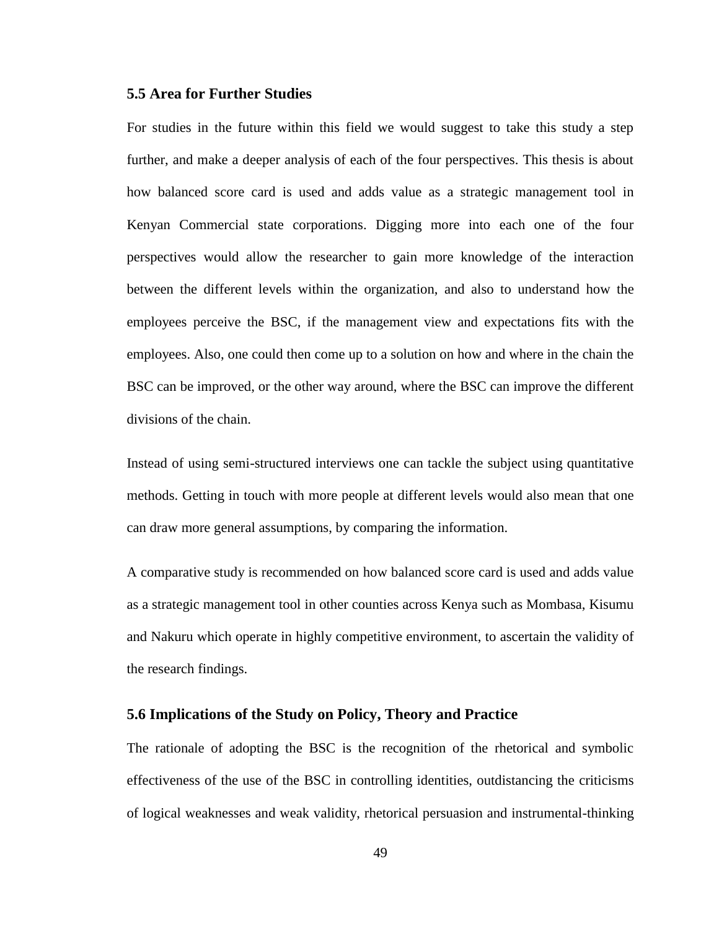#### <span id="page-58-0"></span>**5.5 Area for Further Studies**

For studies in the future within this field we would suggest to take this study a step further, and make a deeper analysis of each of the four perspectives. This thesis is about how balanced score card is used and adds value as a strategic management tool in Kenyan Commercial state corporations. Digging more into each one of the four perspectives would allow the researcher to gain more knowledge of the interaction between the different levels within the organization, and also to understand how the employees perceive the BSC, if the management view and expectations fits with the employees. Also, one could then come up to a solution on how and where in the chain the BSC can be improved, or the other way around, where the BSC can improve the different divisions of the chain.

Instead of using semi-structured interviews one can tackle the subject using quantitative methods. Getting in touch with more people at different levels would also mean that one can draw more general assumptions, by comparing the information.

A comparative study is recommended on how balanced score card is used and adds value as a strategic management tool in other counties across Kenya such as Mombasa, Kisumu and Nakuru which operate in highly competitive environment, to ascertain the validity of the research findings.

#### <span id="page-58-1"></span>**5.6 Implications of the Study on Policy, Theory and Practice**

The rationale of adopting the BSC is the recognition of the rhetorical and symbolic effectiveness of the use of the BSC in controlling identities, outdistancing the criticisms of logical weaknesses and weak validity, rhetorical persuasion and instrumental-thinking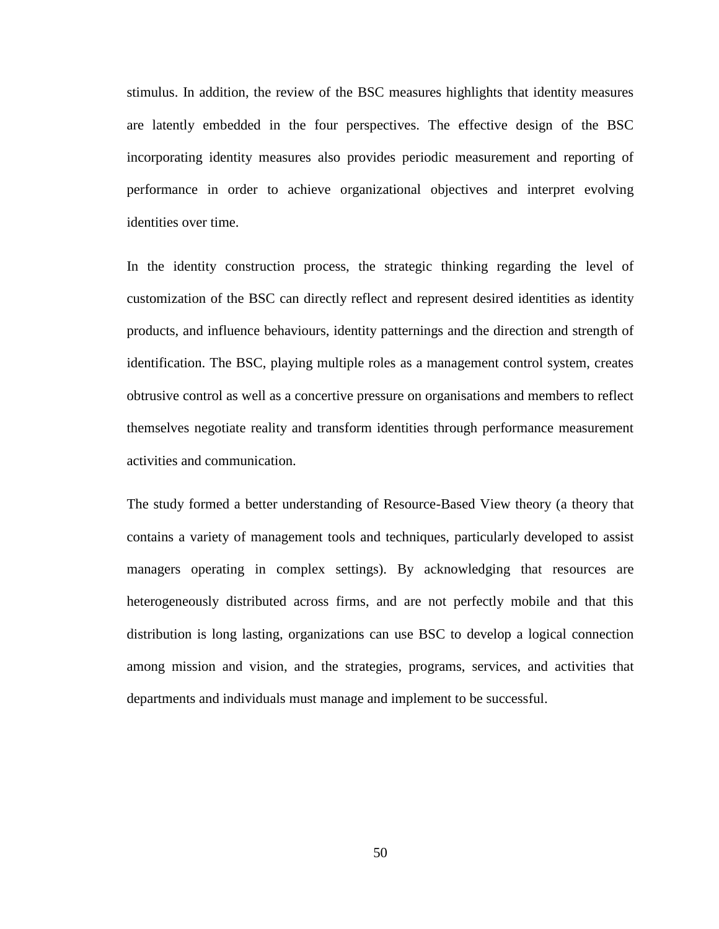stimulus. In addition, the review of the BSC measures highlights that identity measures are latently embedded in the four perspectives. The effective design of the BSC incorporating identity measures also provides periodic measurement and reporting of performance in order to achieve organizational objectives and interpret evolving identities over time.

In the identity construction process, the strategic thinking regarding the level of customization of the BSC can directly reflect and represent desired identities as identity products, and influence behaviours, identity patternings and the direction and strength of identification. The BSC, playing multiple roles as a management control system, creates obtrusive control as well as a concertive pressure on organisations and members to reflect themselves negotiate reality and transform identities through performance measurement activities and communication.

The study formed a better understanding of Resource-Based View theory (a theory that contains a variety of management tools and techniques, particularly developed to assist managers operating in complex settings). By acknowledging that resources are heterogeneously distributed across firms, and are not perfectly mobile and that this distribution is long lasting, organizations can use BSC to develop a logical connection among mission and vision, and the strategies, programs, services, and activities that departments and individuals must manage and implement to be successful.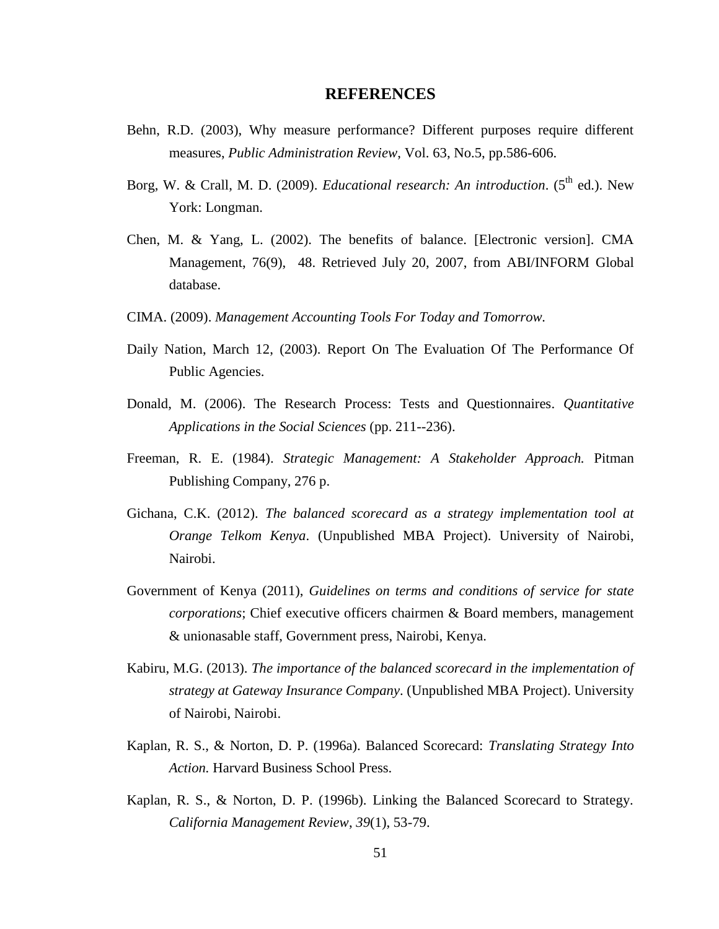#### **REFERENCES**

- <span id="page-60-0"></span>Behn, R.D. (2003), Why measure performance? Different purposes require different measures, *Public Administration Review*, Vol. 63, No.5, pp.586-606.
- Borg, W. & Crall, M. D. (2009). *Educational research: An introduction*. (5<sup>th</sup> ed.). New York: Longman.
- Chen, M. & Yang, L. (2002). The benefits of balance. [Electronic version]. CMA Management, 76(9), 48. Retrieved July 20, 2007, from ABI/INFORM Global database.
- CIMA. (2009). *Management Accounting Tools For Today and Tomorrow.*
- Daily Nation, March 12, (2003). Report On The Evaluation Of The Performance Of Public Agencies.
- Donald, M. (2006). The Research Process: Tests and Questionnaires. *Quantitative Applications in the Social Sciences* (pp. 211--236).
- Freeman, R. E. (1984). *Strategic Management: A Stakeholder Approach.* Pitman Publishing Company, 276 p.
- Gichana, C.K. (2012). *The balanced scorecard as a strategy implementation tool at Orange Telkom Kenya*. (Unpublished MBA Project). University of Nairobi, Nairobi.
- Government of Kenya (2011), *Guidelines on terms and conditions of service for state corporations*; Chief executive officers chairmen & Board members, management & unionasable staff, Government press, Nairobi, Kenya.
- Kabiru, M.G. (2013). *The importance of the balanced scorecard in the implementation of strategy at Gateway Insurance Company*. (Unpublished MBA Project). University of Nairobi, Nairobi.
- Kaplan, R. S., & Norton, D. P. (1996a). Balanced Scorecard: *Translating Strategy Into Action.* Harvard Business School Press.
- Kaplan, R. S., & Norton, D. P. (1996b). Linking the Balanced Scorecard to Strategy. *California Management Review*, *39*(1), 53-79.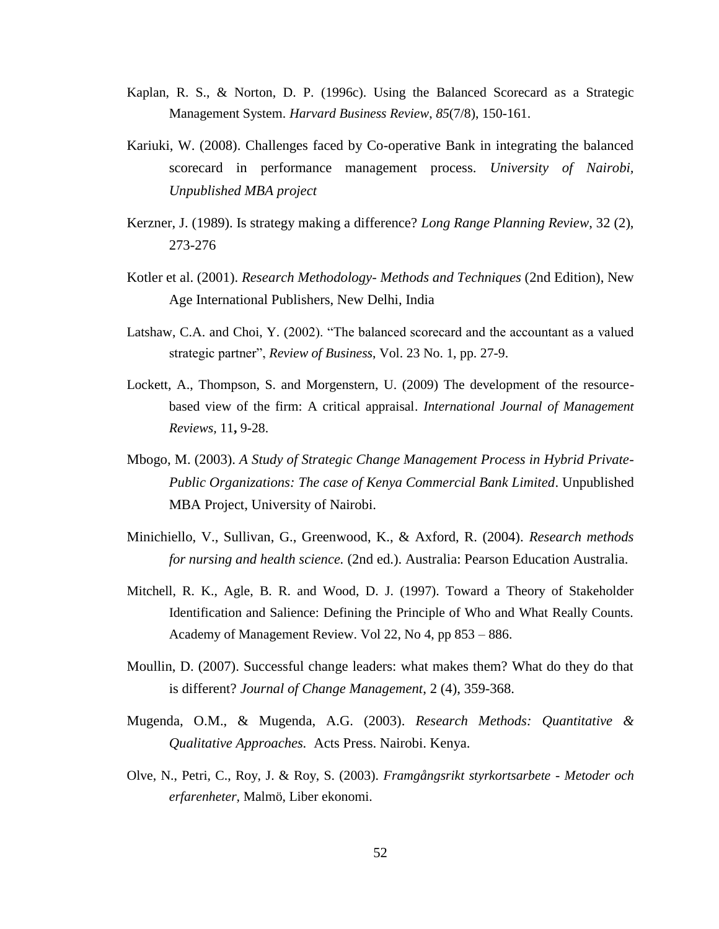- Kaplan, R. S., & Norton, D. P. (1996c). Using the Balanced Scorecard as a Strategic Management System. *Harvard Business Review*, *85*(7/8), 150-161.
- Kariuki, W. (2008). Challenges faced by Co-operative Bank in integrating the balanced scorecard in performance management process. *University of Nairobi, Unpublished MBA project*
- Kerzner, J. (1989). Is strategy making a difference? *Long Range Planning Review*, 32 (2), 273-276
- Kotler et al. (2001). *Research Methodology- Methods and Techniques* (2nd Edition), New Age International Publishers, New Delhi, India
- Latshaw, C.A. and Choi, Y. (2002). "The balanced scorecard and the accountant as a valued strategic partner", *Review of Business*, Vol. 23 No. 1, pp. 27-9.
- Lockett, A., Thompson, S. and Morgenstern, U. (2009) The development of the resourcebased view of the firm: A critical appraisal. *International Journal of Management Reviews,* 11**,** 9-28.
- Mbogo, M. (2003). *A Study of Strategic Change Management Process in Hybrid Private-Public Organizations: The case of Kenya Commercial Bank Limited*. Unpublished MBA Project, University of Nairobi.
- Minichiello, V., Sullivan, G., Greenwood, K., & Axford, R. (2004). *Research methods for nursing and health science.* (2nd ed.). Australia: Pearson Education Australia.
- Mitchell, R. K., Agle, B. R. and Wood, D. J. (1997). Toward a Theory of Stakeholder Identification and Salience: Defining the Principle of Who and What Really Counts. Academy of Management Review. Vol 22, No 4, pp 853 – 886.
- Moullin, D. (2007). Successful change leaders: what makes them? What do they do that is different? *Journal of Change Management*, 2 (4), 359-368.
- Mugenda, O.M., & Mugenda, A.G. (2003). *Research Methods: Quantitative & Qualitative Approaches.* Acts Press. Nairobi. Kenya.
- Olve, N., Petri, C., Roy, J. & Roy, S. (2003). *Framgångsrikt styrkortsarbete - Metoder och erfarenheter,* Malmö, Liber ekonomi.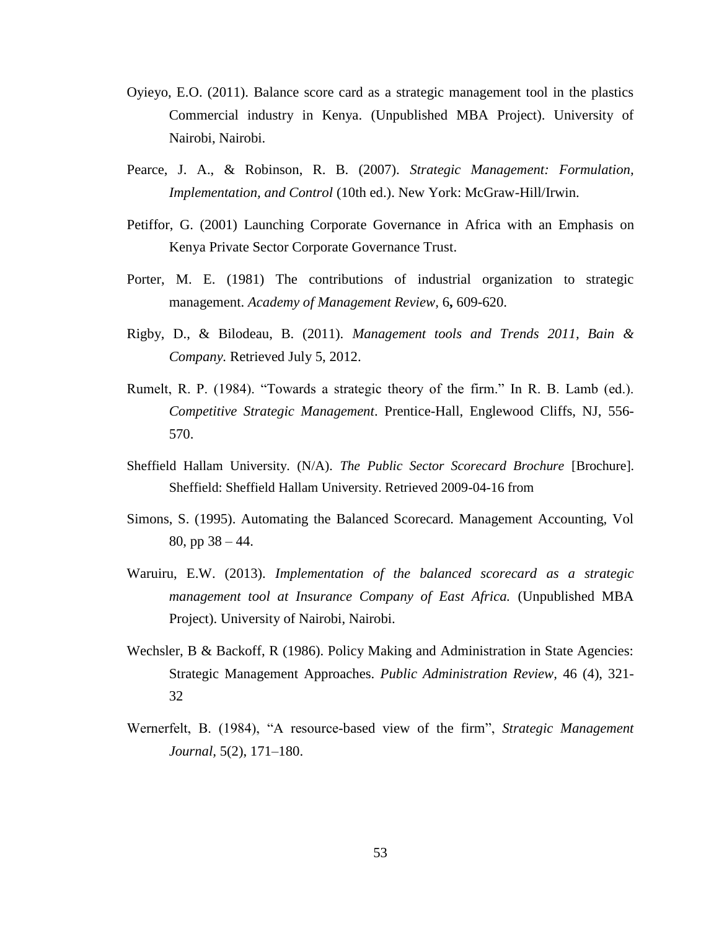- Oyieyo, E.O. (2011). Balance score card as a strategic management tool in the plastics Commercial industry in Kenya. (Unpublished MBA Project). University of Nairobi, Nairobi.
- Pearce, J. A., & Robinson, R. B. (2007). *Strategic Management: Formulation, Implementation, and Control* (10th ed.). New York: McGraw-Hill/Irwin.
- Petiffor, G. (2001) Launching Corporate Governance in Africa with an Emphasis on Kenya Private Sector Corporate Governance Trust.
- Porter, M. E. (1981) The contributions of industrial organization to strategic management. *Academy of Management Review,* 6**,** 609-620.
- Rigby, D., & Bilodeau, B. (2011). *Management tools and Trends 2011, Bain & Company.* Retrieved July 5, 2012.
- Rumelt, R. P. (1984). "Towards a strategic theory of the firm." In R. B. Lamb (ed.). *Competitive Strategic Management*. Prentice-Hall, Englewood Cliffs, NJ, 556- 570.
- Sheffield Hallam University. (N/A). *The Public Sector Scorecard Brochure* [Brochure]. Sheffield: Sheffield Hallam University. Retrieved 2009-04-16 from
- Simons, S. (1995). Automating the Balanced Scorecard. Management Accounting, Vol 80, pp 38 – 44.
- Waruiru, E.W. (2013). *Implementation of the balanced scorecard as a strategic management tool at Insurance Company of East Africa.* (Unpublished MBA Project). University of Nairobi, Nairobi.
- Wechsler, B & Backoff, R (1986). Policy Making and Administration in State Agencies: Strategic Management Approaches. *Public Administration Review,* 46 (4), 321- 32
- Wernerfelt, B. (1984), "A resource-based view of the firm", *Strategic Management Journal,* 5(2), 171–180.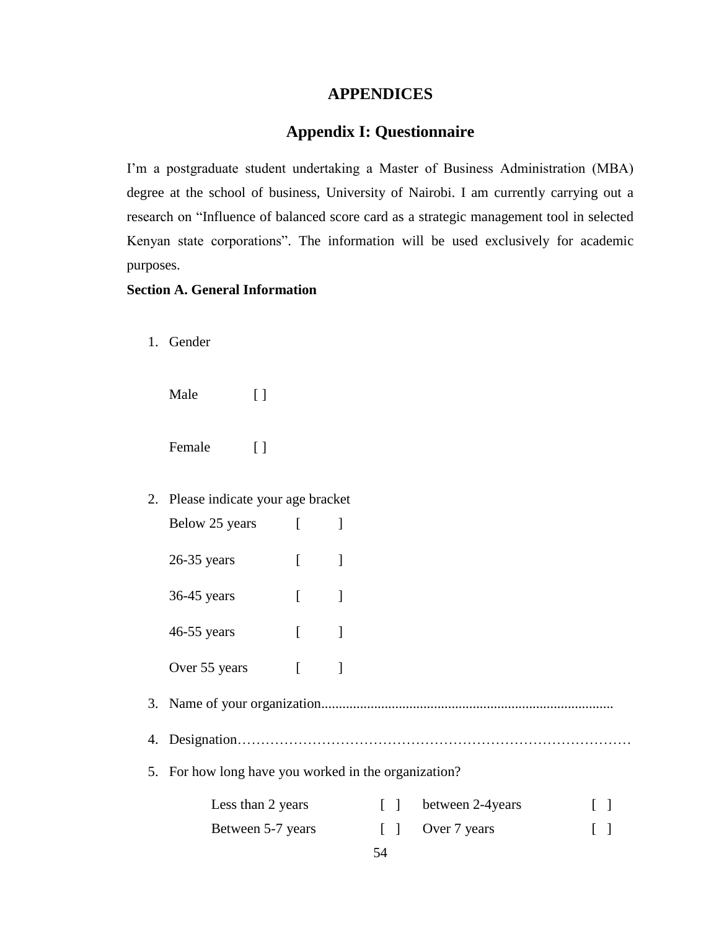# **APPENDICES**

# **Appendix I: Questionnaire**

<span id="page-63-1"></span><span id="page-63-0"></span>I'm a postgraduate student undertaking a Master of Business Administration (MBA) degree at the school of business, University of Nairobi. I am currently carrying out a research on "Influence of balanced score card as a strategic management tool in selected Kenyan state corporations". The information will be used exclusively for academic purposes.

# **Section A. General Information**

1. Gender

Male [ ]

Female [ ]

| 2. Please indicate your age bracket |  |
|-------------------------------------|--|
| Below 25 years                      |  |

| $26-35$ years |  |
|---------------|--|
| $36-45$ years |  |
| $46-55$ years |  |
| Over 55 years |  |

3. Name of your organization...................................................................................

4. Designation…………………………………………………………………………

5. For how long have you worked in the organization?

| Less than 2 years | between 2-4 years | $\Box$ |
|-------------------|-------------------|--------|
| Between 5-7 years | [ ] Over 7 years  | $\Box$ |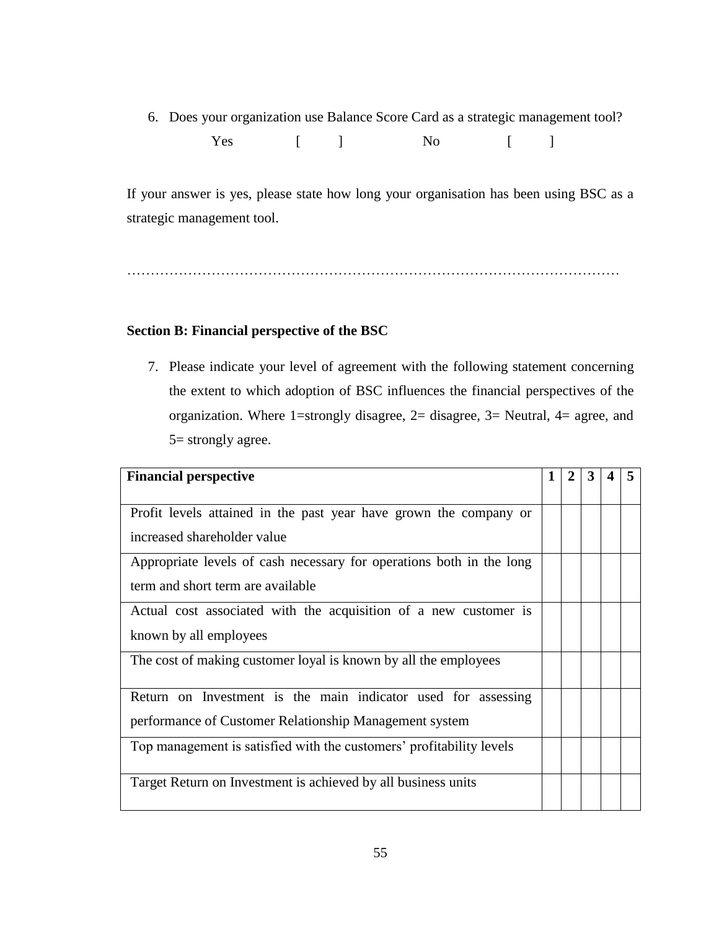6. Does your organization use Balance Score Card as a strategic management tool? Yes [ ] No [ ]

If your answer is yes, please state how long your organisation has been using BSC as a strategic management tool.

……………………………………………………………………………………………

# **Section B: Financial perspective of the BSC**

7. Please indicate your level of agreement with the following statement concerning the extent to which adoption of BSC influences the financial perspectives of the organization. Where 1=strongly disagree, 2= disagree, 3= Neutral, 4= agree, and 5= strongly agree.

| <b>Financial perspective</b>                                         | 1 | 2 | 3 | 5 |
|----------------------------------------------------------------------|---|---|---|---|
| Profit levels attained in the past year have grown the company or    |   |   |   |   |
| increased shareholder value                                          |   |   |   |   |
| Appropriate levels of cash necessary for operations both in the long |   |   |   |   |
| term and short term are available                                    |   |   |   |   |
| Actual cost associated with the acquisition of a new customer is     |   |   |   |   |
| known by all employees                                               |   |   |   |   |
| The cost of making customer loyal is known by all the employees      |   |   |   |   |
| Return on Investment is the main indicator used for assessing        |   |   |   |   |
| performance of Customer Relationship Management system               |   |   |   |   |
| Top management is satisfied with the customers' profitability levels |   |   |   |   |
| Target Return on Investment is achieved by all business units        |   |   |   |   |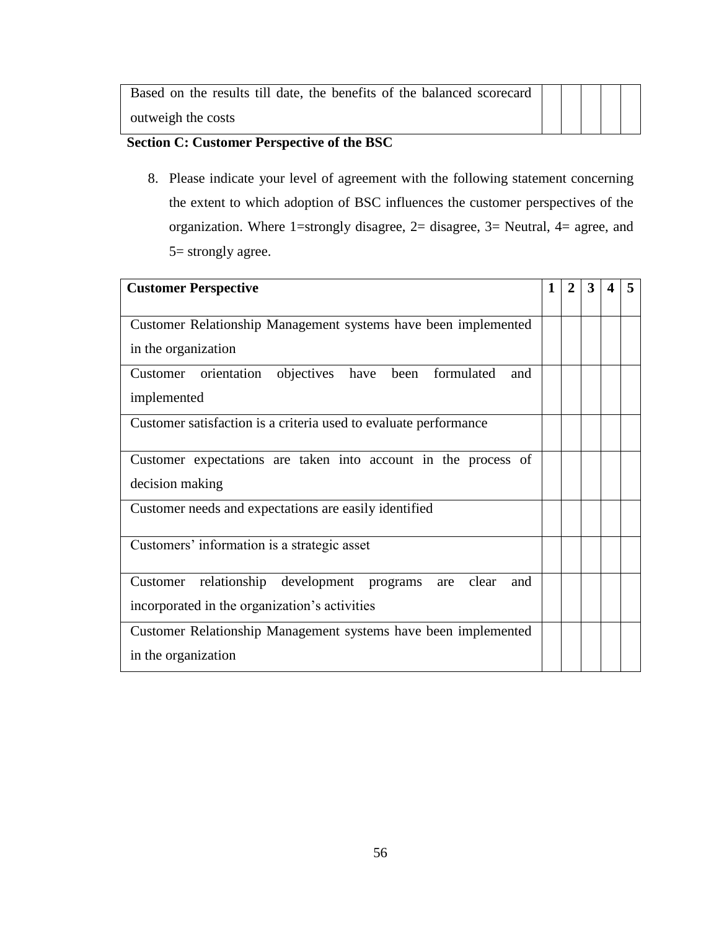| Based on the results till date, the benefits of the balanced scorecard |  |  |  |
|------------------------------------------------------------------------|--|--|--|
| outweigh the costs                                                     |  |  |  |

# **Section C: Customer Perspective of the BSC**

8. Please indicate your level of agreement with the following statement concerning the extent to which adoption of BSC influences the customer perspectives of the organization. Where 1=strongly disagree, 2= disagree, 3= Neutral, 4= agree, and 5= strongly agree.

| <b>Customer Perspective</b>                                       | 1 | $\mathbf{2}$ | 3 | 5 |
|-------------------------------------------------------------------|---|--------------|---|---|
|                                                                   |   |              |   |   |
| Customer Relationship Management systems have been implemented    |   |              |   |   |
| in the organization                                               |   |              |   |   |
| Customer orientation objectives have been formulated<br>and       |   |              |   |   |
| implemented                                                       |   |              |   |   |
| Customer satisfaction is a criteria used to evaluate performance  |   |              |   |   |
|                                                                   |   |              |   |   |
| Customer expectations are taken into account in the process of    |   |              |   |   |
| decision making                                                   |   |              |   |   |
| Customer needs and expectations are easily identified             |   |              |   |   |
|                                                                   |   |              |   |   |
| Customers' information is a strategic asset                       |   |              |   |   |
|                                                                   |   |              |   |   |
| relationship development programs<br>are clear<br>Customer<br>and |   |              |   |   |
| incorporated in the organization's activities                     |   |              |   |   |
| Customer Relationship Management systems have been implemented    |   |              |   |   |
| in the organization                                               |   |              |   |   |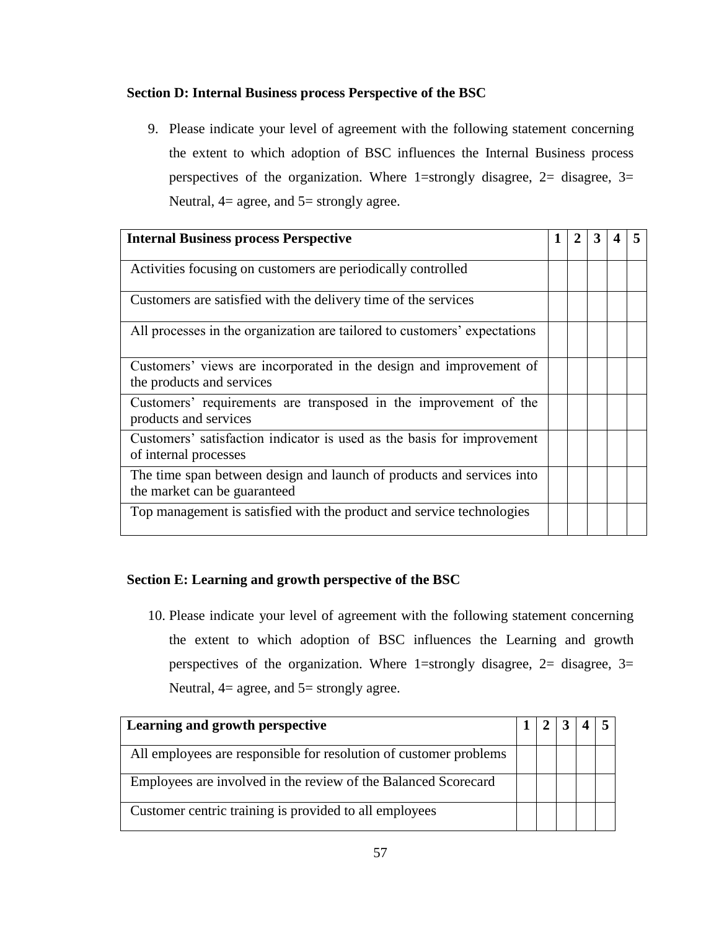# **Section D: Internal Business process Perspective of the BSC**

9. Please indicate your level of agreement with the following statement concerning the extent to which adoption of BSC influences the Internal Business process perspectives of the organization. Where 1=strongly disagree,  $2=$  disagree,  $3=$ Neutral,  $4=$  agree, and  $5=$  strongly agree.

| <b>Internal Business process Perspective</b>                                                          |  |  |  |
|-------------------------------------------------------------------------------------------------------|--|--|--|
| Activities focusing on customers are periodically controlled                                          |  |  |  |
| Customers are satisfied with the delivery time of the services                                        |  |  |  |
| All processes in the organization are tailored to customers' expectations                             |  |  |  |
| Customers' views are incorporated in the design and improvement of<br>the products and services       |  |  |  |
| Customers' requirements are transposed in the improvement of the<br>products and services             |  |  |  |
| Customers' satisfaction indicator is used as the basis for improvement<br>of internal processes       |  |  |  |
| The time span between design and launch of products and services into<br>the market can be guaranteed |  |  |  |
| Top management is satisfied with the product and service technologies                                 |  |  |  |

# **Section E: Learning and growth perspective of the BSC**

10. Please indicate your level of agreement with the following statement concerning the extent to which adoption of BSC influences the Learning and growth perspectives of the organization. Where 1=strongly disagree,  $2=$  disagree,  $3=$ Neutral,  $4=$  agree, and  $5=$  strongly agree.

| Learning and growth perspective                                   |  |  |  |
|-------------------------------------------------------------------|--|--|--|
| All employees are responsible for resolution of customer problems |  |  |  |
| Employees are involved in the review of the Balanced Scorecard    |  |  |  |
| Customer centric training is provided to all employees            |  |  |  |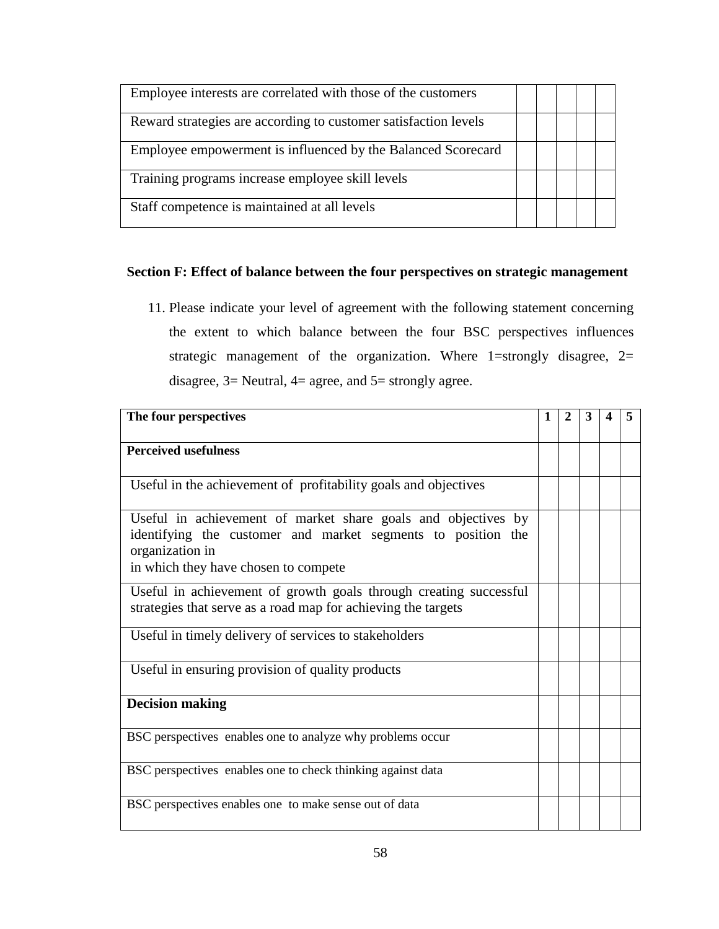| Employee interests are correlated with those of the customers   |  |  |  |
|-----------------------------------------------------------------|--|--|--|
| Reward strategies are according to customer satisfaction levels |  |  |  |
| Employee empowerment is influenced by the Balanced Scorecard    |  |  |  |
| Training programs increase employee skill levels                |  |  |  |
| Staff competence is maintained at all levels                    |  |  |  |

# **Section F: Effect of balance between the four perspectives on strategic management**

11. Please indicate your level of agreement with the following statement concerning the extent to which balance between the four BSC perspectives influences strategic management of the organization. Where 1=strongly disagree,  $2=$ disagree, 3= Neutral, 4= agree, and 5= strongly agree.

| The four perspectives                                                                                                                                                                    | 1 | $\mathbf 2$ | 3 |  |
|------------------------------------------------------------------------------------------------------------------------------------------------------------------------------------------|---|-------------|---|--|
| <b>Perceived usefulness</b>                                                                                                                                                              |   |             |   |  |
| Useful in the achievement of profitability goals and objectives                                                                                                                          |   |             |   |  |
| Useful in achievement of market share goals and objectives by<br>identifying the customer and market segments to position the<br>organization in<br>in which they have chosen to compete |   |             |   |  |
| Useful in achievement of growth goals through creating successful<br>strategies that serve as a road map for achieving the targets                                                       |   |             |   |  |
| Useful in timely delivery of services to stakeholders                                                                                                                                    |   |             |   |  |
| Useful in ensuring provision of quality products                                                                                                                                         |   |             |   |  |
| <b>Decision making</b>                                                                                                                                                                   |   |             |   |  |
| BSC perspectives enables one to analyze why problems occur                                                                                                                               |   |             |   |  |
| BSC perspectives enables one to check thinking against data                                                                                                                              |   |             |   |  |
| BSC perspectives enables one to make sense out of data                                                                                                                                   |   |             |   |  |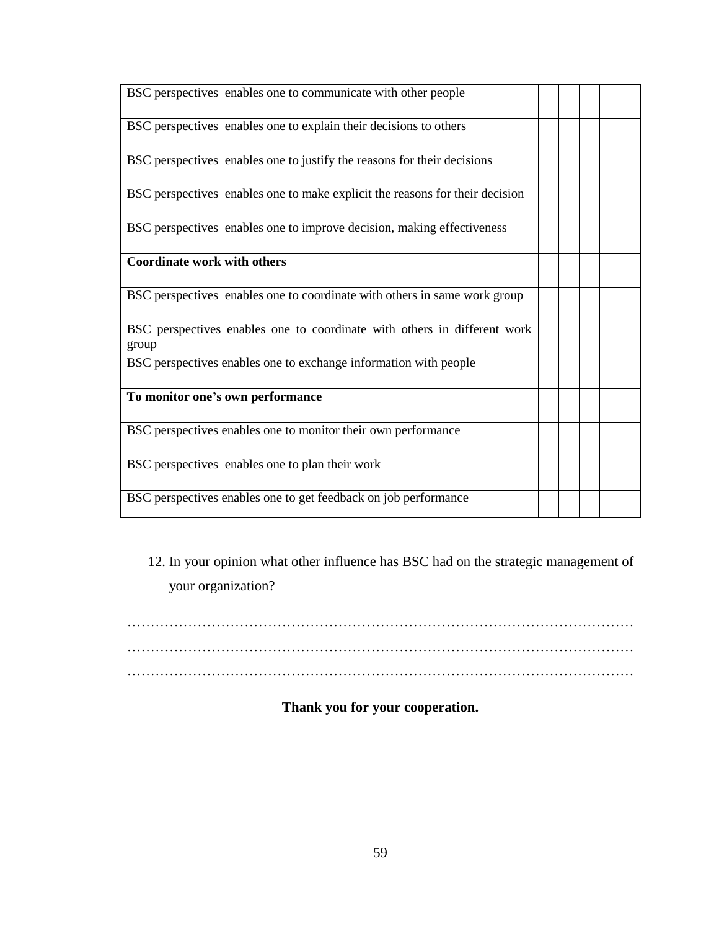| BSC perspectives enables one to communicate with other people                     |  |  |  |
|-----------------------------------------------------------------------------------|--|--|--|
| BSC perspectives enables one to explain their decisions to others                 |  |  |  |
| BSC perspectives enables one to justify the reasons for their decisions           |  |  |  |
| BSC perspectives enables one to make explicit the reasons for their decision      |  |  |  |
| BSC perspectives enables one to improve decision, making effectiveness            |  |  |  |
| <b>Coordinate work with others</b>                                                |  |  |  |
| BSC perspectives enables one to coordinate with others in same work group         |  |  |  |
| BSC perspectives enables one to coordinate with others in different work<br>group |  |  |  |
| BSC perspectives enables one to exchange information with people                  |  |  |  |
| To monitor one's own performance                                                  |  |  |  |
| BSC perspectives enables one to monitor their own performance                     |  |  |  |
| BSC perspectives enables one to plan their work                                   |  |  |  |
| BSC perspectives enables one to get feedback on job performance                   |  |  |  |

12. In your opinion what other influence has BSC had on the strategic management of your organization?

……………………………………………………………………………………………… ……………………………………………………………………………………………… ………………………………………………………………………………………………

# **Thank you for your cooperation.**